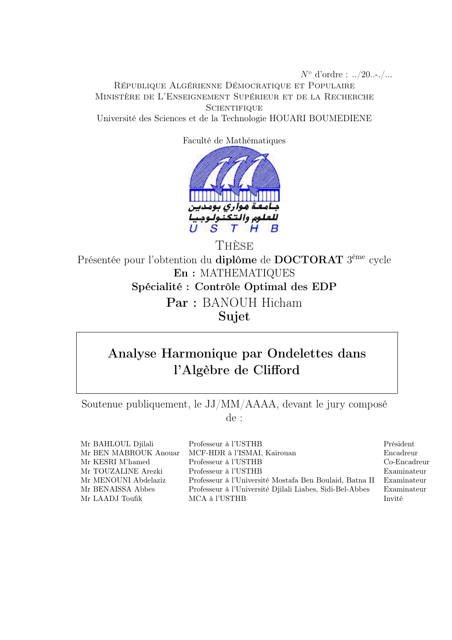$N<sup>∘</sup>$  d'ordre : ../20..-./... République Algérienne Démocratique et Populaire Ministère de L'Enseignement Supérieur et de la Recherche **SCIENTIFIQUE** Université des Sciences et de la Technologie HOUARI BOUMEDIENE

Faculté de Mathématiques



Thèse Présentée pour l'obtention du diplôme de DOCTORAT 3<sup>ème</sup> cycle En : MATHEMATIQUES Spécialité : Contrôle Optimal des EDP Par : BANOUH Hicham Sujet

# Analyse Harmonique par Ondelettes dans l'Algèbre de Clifford

Soutenue publiquement, le JJ/MM/AAAA, devant le jury composé de :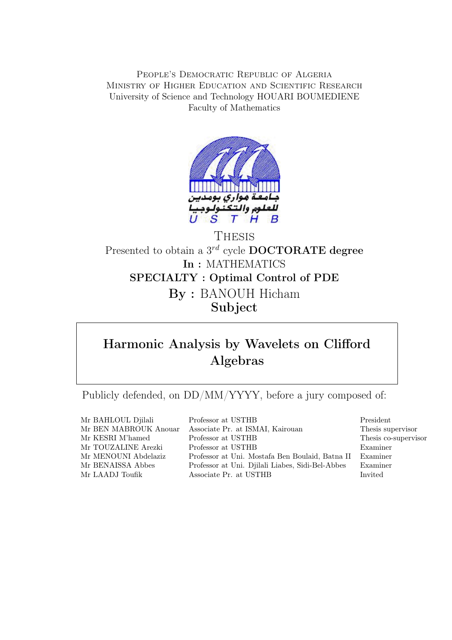People's Democratic Republic of Algeria Ministry of Higher Education and Scientific Research University of Science and Technology HOUARI BOUMEDIENE Faculty of Mathematics



# **THESIS** Presented to obtain a  $3^{rd}$  cycle **DOCTORATE** degree In : MATHEMATICS SPECIALTY : Optimal Control of PDE By : BANOUH Hicham Subject

# Harmonic Analysis by Wavelets on Clifford Algebras

Publicly defended, on DD/MM/YYYY, before a jury composed of:

Mr BAHLOUL Djilali Professor at USTHB President Mr BEN MABROUK Anouar Associate Pr. at ISMAI, Kairouan Thesis supervisor Mr KESRI M'hamed Professor at USTHB Thesis co-supervisor Mr TOUZALINE Arezki Professor at USTHB Examiner Mr MENOUNI Abdelaziz Professor at Uni. Mostafa Ben Boulaid, Batna II Examiner Mr BENAISSA Abbes Professor at Uni. Djilali Liabes, Sidi-Bel-Abbes Examiner Mr LAADJ Toufik Associate Pr. at USTHB Invited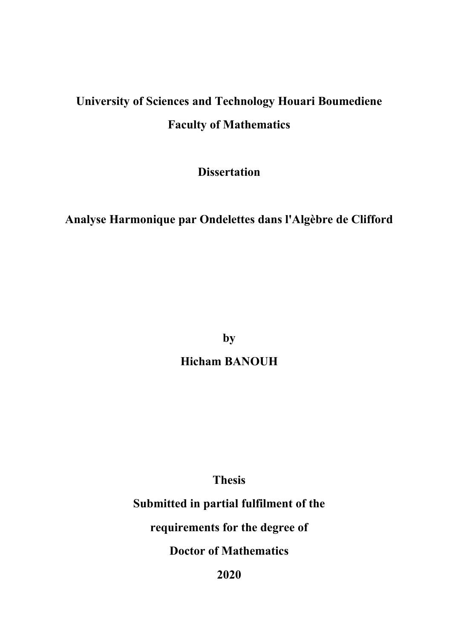# **University of Sciences and Technology Houari Boumediene Faculty of Mathematics**

**Dissertation**

# **Analyse Harmonique par Ondelettes dans l'Algèbre de Clifford**

**by**

**Hicham BANOUH**

**Thesis** 

**Submitted in partial fulfilment of the**

**requirements for the degree of**

**Doctor of Mathematics**

**2020**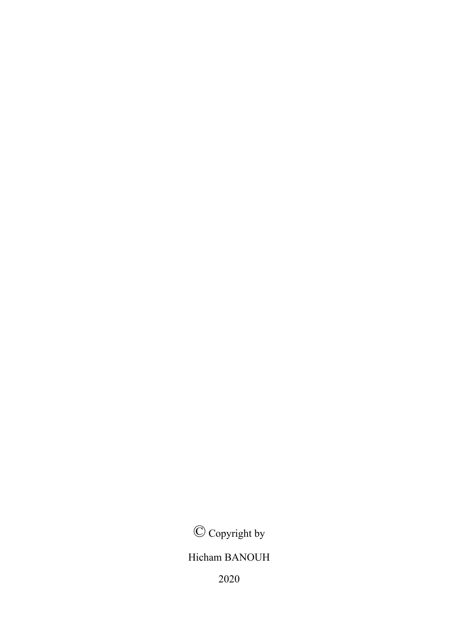

Hicham BANOUH

2020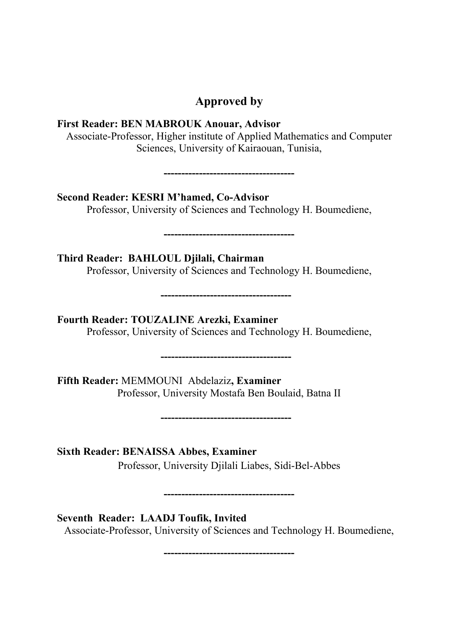## **Approved by**

**First Reader: BEN MABROUK Anouar, Advisor**

Associate-Professor, Higher institute of Applied Mathematics and Computer Sciences, University of Kairaouan, Tunisia,

**-------------------------------------**

**Second Reader: KESRI M'hamed, Co-Advisor** 

**-------------------------------------**

**-------------------------------------**

Professor, University of Sciences and Technology H. Boumediene,

**-------------------------------------**

**Third Reader: BAHLOUL Djilali, Chairman** Professor, University of Sciences and Technology H. Boumediene,

**Fourth Reader: TOUZALINE Arezki, Examiner** Professor, University of Sciences and Technology H. Boumediene,

**Fifth Reader:** MEMMOUNI Abdelaziz**, Examiner** Professor, University Mostafa Ben Boulaid, Batna II

**Sixth Reader: BENAISSA Abbes, Examiner**

 **-------------------------------------**

Professor, University Djilali Liabes, Sidi-Bel-Abbes

**-------------------------------------**

**Seventh Reader: LAADJ Toufik, Invited**

Associate-Professor, University of Sciences and Technology H. Boumediene,

**-------------------------------------**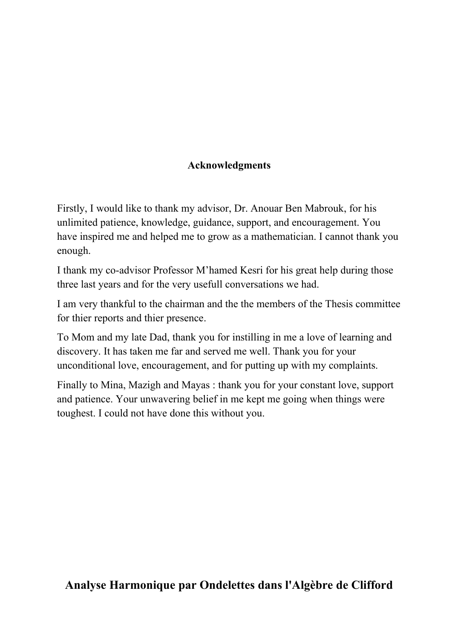## **Acknowledgments**

Firstly, I would like to thank my advisor, Dr. Anouar Ben Mabrouk, for his unlimited patience, knowledge, guidance, support, and encouragement. You have inspired me and helped me to grow as a mathematician. I cannot thank you enough.

I thank my co-advisor Professor M'hamed Kesri for his great help during those three last years and for the very usefull conversations we had.

I am very thankful to the chairman and the the members of the Thesis committee for thier reports and thier presence.

To Mom and my late Dad, thank you for instilling in me a love of learning and discovery. It has taken me far and served me well. Thank you for your unconditional love, encouragement, and for putting up with my complaints.

Finally to Mina, Mazigh and Mayas : thank you for your constant love, support and patience. Your unwavering belief in me kept me going when things were toughest. I could not have done this without you.

# **Analyse Harmonique par Ondelettes dans l'Algèbre de Clifford**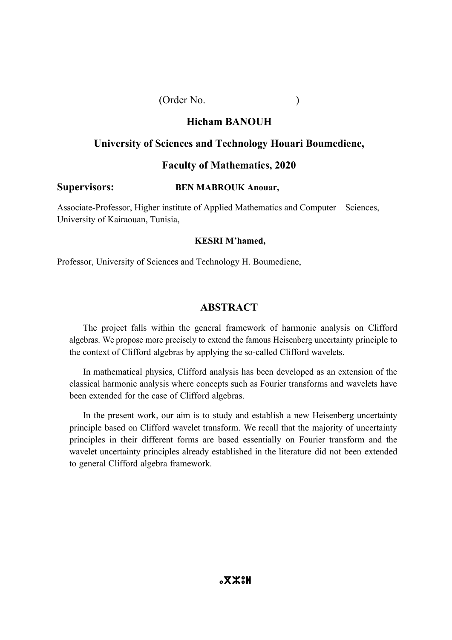#### (Order No. )

#### **Hicham BANOUH**

#### **University of Sciences and Technology Houari Boumediene,**

#### **Faculty of Mathematics, 2020**

#### **Supervisors: BEN MABROUK Anouar,**

Associate-Professor, Higher institute of Applied Mathematics and Computer Sciences, University of Kairaouan, Tunisia,

#### **KESRI M'hamed,**

Professor, University of Sciences and Technology H. Boumediene,

#### **ABSTRACT**

The project falls within the general framework of harmonic analysis on Clifford algebras. We propose more precisely to extend the famous Heisenberg uncertainty principle to the context of Clifford algebras by applying the so-called Clifford wavelets.

In mathematical physics, Clifford analysis has been developed as an extension of the classical harmonic analysis where concepts such as Fourier transforms and wavelets have been extended for the case of Clifford algebras.

In the present work, our aim is to study and establish a new Heisenberg uncertainty principle based on Clifford wavelet transform. We recall that the majority of uncertainty principles in their different forms are based essentially on Fourier transform and the wavelet uncertainty principles already established in the literature did not been extended to general Clifford algebra framework.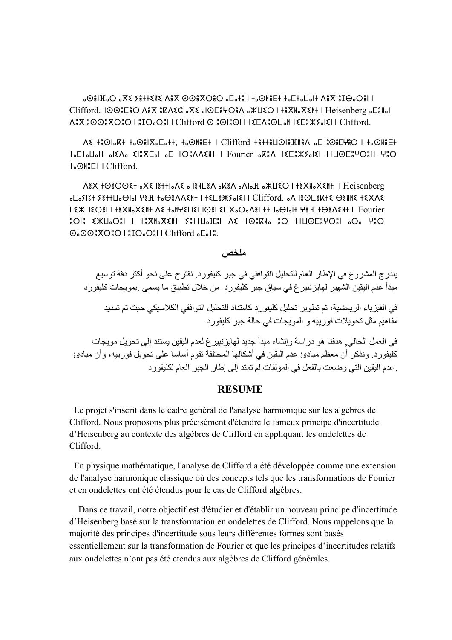ⴰⵙⴻⵏⴼⴰⵔ ⴰⴳⵉ ⵢⴻⵜⵜⵉⵍⵉ ⴷⴻⴳ ⵙⵙⴻⴳⵔⴻⵔ ⴰⵎⴰⵜⵓ ⵏ ⵜⴰⵙⵍⴻⴹⵜ ⵜⴰⵎⵜⴰⵡⴰⵏⵜ ⴷⴻⴳ ⵓⵊⴱⴰⵔⴻⵏ ⵏ Clifford. ⵏⵙⵙⵓⵎⴻⵔ ⴷⴻⴳ ⵓⵇⴷⵉⵛ ⴰⴳⵉ ⴰⵏⵙⵎⴻⵖⵔⴻⴷ ⴰⵣⵡⵉⵔ ⵏ ⵜⴻⴳⵍⴰⴳⵉⵍⵜ ⵏ Heisenberg ⴰⵎⵓⵍⴰⵏ ⴷⴻⴳ ⵓⵙⵙⴻⴳⵔⴻⵔ ⵏ ⵓⵊⴱⴰⵔⴻⵏ ⵏ Clifford ⵙ ⵓⵙⵏⴻⵙⵏ ⵏ ⵜⵉⵎⴷⴻⵙⵡⴰⵍ ⵜⵉⵎⴻⵥⵢⴰⵏⵉⵏ ⵏ Clifford.

ⴷⵉ ⵜⵓⵙⵏⴰⴽⵜ ⵜⴰⵙⴻⵏⴳⴰⵎⴰⵜⵜ, ⵜⴰⵙⵍⴻⴹⵜ ⵏ Clifford ⵜⴻⵜⵜⴻⵡⵙⵏⴻⴼⵍⴻⴷ ⴰⵎ ⵓⵙⴻⵎⵖⴻⵔ ⵏ ⵜⴰⵙⵍⴻⴹⵜ ⵜⴰⵎⵜⴰⵡⴰⵏⵜ ⴰⵏⵉⴷⴰ ⵉⵏⴻⴳⵎⴰⵏ ⴰⵎ ⵜⴱⴻⴷⴷⵉⵍⵜ ⵏ Fourier ⴰⴽⴻⴷ ⵜⵉⵎⴻⵥⵢⴰⵏⵉⵏ ⵜⵜⵡⵙⵎⴻⵖⵔⴻⵏⵜ ⵖⴻⵔ ⵜⴰⵙⵍⴻⴹⵜ ⵏ Clifford.

ⴷⴻⴳ ⵜⵙⴻⵔⵙⵉⵜ ⴰⴳⵉ ⵏⴻⵜⵜⵏⴰⴷⵉ ⴰ ⵏⴻⵍⵎⴻⴷ ⴰⴽⴻⴷ ⴰⴷⵏⴰⴼ ⴰⵣⵡⵉⵔ ⵏ ⵜⴻⴳⵍⴰⴳⵉⵍⵜ ⵏ Heisenberg ⴰⵎⴰⵢⵏⵓⵜ ⵢⴻⵜⵜⵡⴰⴱⵏⴰⵏ ⵖⴻⴼ ⵜⴰⴱⴻⴷⴷⵉⵍⵜ ⵏ ⵜⵉⵎⴻⵥⵢⴰⵏⵉⵏ ⵏ Clifford. ⴰⴷ ⵏⴻⵙⵎⴻⴽⵜⵉ ⴱⴻⵍⵍⵉ ⵜⵉⴳⴷⵉ ⵏ ⵉⵣⵡⵉⵔⴻⵏ ⵏ ⵜⴻⴳⵍⴰⴳⵉⵍⵜ ⴷⵉ ⵜⴰⵍⵖⵉⵡⵉⵏ ⵏⵙⴻⵏ ⵉⵎⴳⴰⵔⴰⴷⴻⵏ ⵜⵜⵡⴰⴱⵏⴰⵏⵜ ⵖⴻⴼ ⵜⴱⴻⴷⵉⵍⵜ ⵏ Fourier ⴻⵔⵏⵓ ⵉⵣⵡⴰⵔⴻⵏ ⵏ ⵜⴻⴳⵍⴰⴳⵉⵍⵜ ⵢⴻⵜⵜⵡⴰⴼⴻⵏ ⴷⵉ ⵜⵙⴻⴽⵍⴰ ⵓⵔ ⵜⵜⵡⵙⵎⴻⵖⵔⴻⵏ ⴰⵔⴰ ⵖⴻⵔ ⵙⴰⵙⵙⴻⴳⵔⴻⵔ ⵏ ⵓⵊⴱⴰⵔⴻⵏ ⵏ Clifford ⴰⵎⴰⵜⵓ.

#### **ملخص**

يندرج المشروع في اإلطار العام للتحليل التوافقي في جبر كليفورد. نقترح على نحو أكثر دقة توسيع مبدأ عدم اليقين الشهير لهايزنبيرغ في سياق جبر كليفورد من خالل تطبيق ما يسمى .بمويجات كليفورد

في الفيزياء الرياضية، تم تطوير تحليل كليفورد كامتداد للتحليل التوافقي الكالسيكي حيث تم تمديد مفاهيم مثل تحويالت فورييه و المويجات في حالة جبر كليفورد

في العمل الحالي, هدفنا هو دراسة وإنشاء مبدأ جديد لهايزنبيرغ لعدم اليقين يستند إلى تحويل مويجات كليفورد. ونذكر أن معظم مبادئ عدم اليقين في أشكالها المختلفة تقوم أساسا على تحويل فورييه، وأن مبادئ .عدم اليقين التي وضعت بالفعل في المؤلفات لم تمتد إلى إطار الجبر العام لكليفورد

#### **RESUME**

 Le projet s'inscrit dans le cadre général de l'analyse harmonique sur les algèbres de Clifford. Nous proposons plus précisément d'étendre le fameux principe d'incertitude d'Heisenberg au contexte des algèbres de Clifford en appliquant les ondelettes de Clifford.

 En physique mathématique, l'analyse de Clifford a été développée comme une extension de l'analyse harmonique classique où des concepts tels que les transformations de Fourier et en ondelettes ont été étendus pour le cas de Clifford algèbres.

 Dans ce travail, notre objectif est d'étudier et d'établir un nouveau principe d'incertitude d'Heisenberg basé sur la transformation en ondelettes de Clifford. Nous rappelons que la majorité des principes d'incertitude sous leurs différentes formes sont basés essentiellement sur la transformation de Fourier et que les principes d'incertitudes relatifs aux ondelettes n'ont pas été etendus aux algèbres de Clifford générales.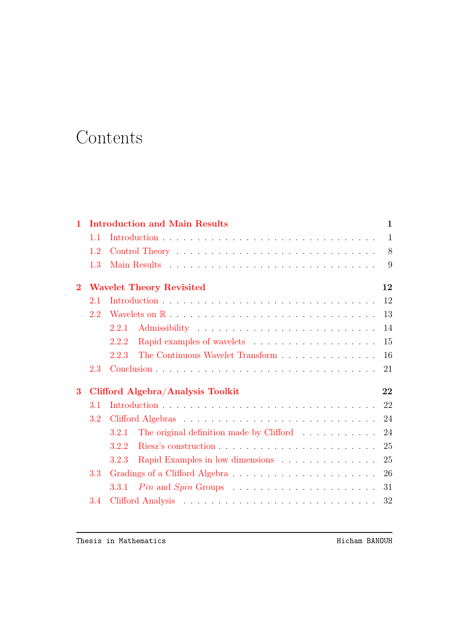# **Contents**

| 1              | <b>Introduction and Main Results</b><br>$\mathbf{1}$ |                                                                              |              |  |  |  |  |
|----------------|------------------------------------------------------|------------------------------------------------------------------------------|--------------|--|--|--|--|
|                | 1.1                                                  |                                                                              | $\mathbf{1}$ |  |  |  |  |
|                | 1.2                                                  |                                                                              | 8            |  |  |  |  |
|                | 1.3                                                  |                                                                              | 9            |  |  |  |  |
| $\overline{2}$ | 12<br><b>Wavelet Theory Revisited</b>                |                                                                              |              |  |  |  |  |
|                | 2.1                                                  |                                                                              | 12           |  |  |  |  |
|                | 2.2                                                  |                                                                              | 13           |  |  |  |  |
|                |                                                      | 2.2.1                                                                        | 14           |  |  |  |  |
|                |                                                      | 2.2.2                                                                        | 15           |  |  |  |  |
|                |                                                      | The Continuous Wavelet Transform<br>2.2.3                                    | 16           |  |  |  |  |
|                | 2.3                                                  |                                                                              | 21           |  |  |  |  |
| 3              |                                                      | Clifford Algebra/Analysis Toolkit                                            | 22           |  |  |  |  |
|                | 3.1                                                  |                                                                              | 22           |  |  |  |  |
|                | 3.2                                                  |                                                                              | 24           |  |  |  |  |
|                |                                                      | The original definition made by Clifford<br>3.2.1                            | 24           |  |  |  |  |
|                |                                                      | 3.2.2                                                                        | 25           |  |  |  |  |
|                |                                                      | Rapid Examples in low dimensions<br>3.2.3                                    | 25           |  |  |  |  |
|                | 3.3                                                  |                                                                              | 26           |  |  |  |  |
|                |                                                      | 3.3.1 Pin and Spin Groups $\ldots \ldots \ldots \ldots \ldots \ldots \ldots$ | 31           |  |  |  |  |
|                | 3.4                                                  |                                                                              | 32           |  |  |  |  |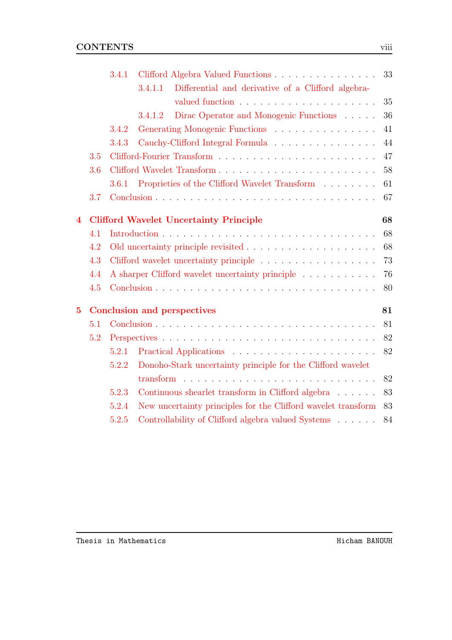|                         |     | 3.4.1                                                                                          | Clifford Algebra Valued Functions                             | 33 |  |  |  |
|-------------------------|-----|------------------------------------------------------------------------------------------------|---------------------------------------------------------------|----|--|--|--|
|                         |     |                                                                                                | Differential and derivative of a Clifford algebra-<br>3.4.1.1 |    |  |  |  |
|                         |     |                                                                                                |                                                               | 35 |  |  |  |
|                         |     |                                                                                                | Dirac Operator and Monogenic Functions<br>3.4.1.2             | 36 |  |  |  |
|                         |     | 3.4.2                                                                                          | Generating Monogenic Functions                                | 41 |  |  |  |
|                         |     | 3.4.3                                                                                          | Cauchy-Clifford Integral Formula                              | 44 |  |  |  |
|                         | 3.5 |                                                                                                |                                                               | 47 |  |  |  |
|                         | 3.6 |                                                                                                |                                                               |    |  |  |  |
|                         |     | 3.6.1                                                                                          | Proprieties of the Clifford Wavelet Transform                 | 61 |  |  |  |
|                         | 3.7 |                                                                                                |                                                               | 67 |  |  |  |
| $\overline{\mathbf{4}}$ |     | 68<br><b>Clifford Wavelet Uncertainty Principle</b>                                            |                                                               |    |  |  |  |
|                         | 4.1 |                                                                                                |                                                               | 68 |  |  |  |
|                         | 4.2 | 68                                                                                             |                                                               |    |  |  |  |
|                         | 4.3 | 73<br>Clifford wavelet uncertainty principle                                                   |                                                               |    |  |  |  |
|                         | 4.4 | A sharper Clifford wavelet uncertainty principle $\;\ldots\; \ldots\; \ldots\; \ldots\;$<br>76 |                                                               |    |  |  |  |
|                         | 4.5 |                                                                                                |                                                               | 80 |  |  |  |
| $\overline{5}$          |     | <b>Conclusion and perspectives</b><br>81                                                       |                                                               |    |  |  |  |
|                         | 5.1 |                                                                                                |                                                               | 81 |  |  |  |
|                         | 5.2 |                                                                                                |                                                               |    |  |  |  |
|                         |     | 5.2.1                                                                                          |                                                               | 82 |  |  |  |
|                         |     | 5.2.2                                                                                          | Donoho-Stark uncertainty principle for the Clifford wavelet   |    |  |  |  |
|                         |     |                                                                                                |                                                               | 82 |  |  |  |
|                         |     | 5.2.3                                                                                          | Continuous shearlet transform in Clifford algebra             | 83 |  |  |  |
|                         |     | 5.2.4                                                                                          | New uncertainty principles for the Clifford wavelet transform | 83 |  |  |  |
|                         |     | 5.2.5                                                                                          | Controllability of Clifford algebra valued Systems            | 84 |  |  |  |
|                         |     |                                                                                                |                                                               |    |  |  |  |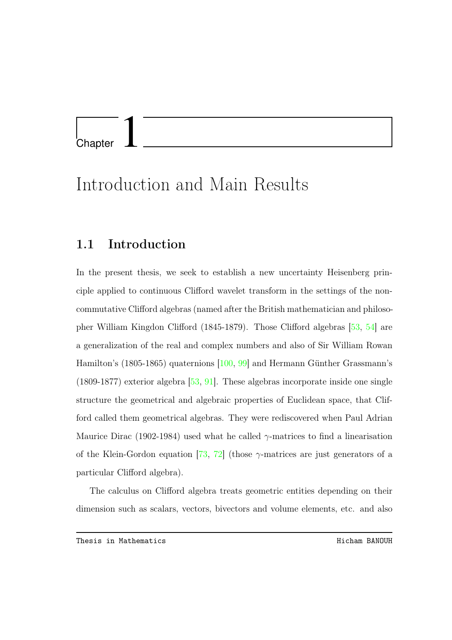# <span id="page-10-0"></span>Chapter 1

# Introduction and Main Results

# <span id="page-10-1"></span>1.1 Introduction

In the present thesis, we seek to establish a new uncertainty Heisenberg principle applied to continuous Clifford wavelet transform in the settings of the noncommutative Clifford algebras (named after the British mathematician and philosopher William Kingdon Clifford (1845-1879). Those Clifford algebras [\[53,](#page-100-0) [54\]](#page-100-1) are a generalization of the real and complex numbers and also of Sir William Rowan Hamilton's (1805-1865) quaternions [\[100,](#page-105-0) [99\]](#page-104-0) and Hermann Günther Grassmann's (1809-1877) exterior algebra [\[53,](#page-100-0) [91\]](#page-104-1). These algebras incorporate inside one single structure the geometrical and algebraic properties of Euclidean space, that Clifford called them geometrical algebras. They were rediscovered when Paul Adrian Maurice Dirac (1902-1984) used what he called  $\gamma$ -matrices to find a linearisation of the Klein-Gordon equation [\[73,](#page-102-0) [72\]](#page-101-0) (those  $\gamma$ -matrices are just generators of a particular Clifford algebra).

The calculus on Clifford algebra treats geometric entities depending on their dimension such as scalars, vectors, bivectors and volume elements, etc. and also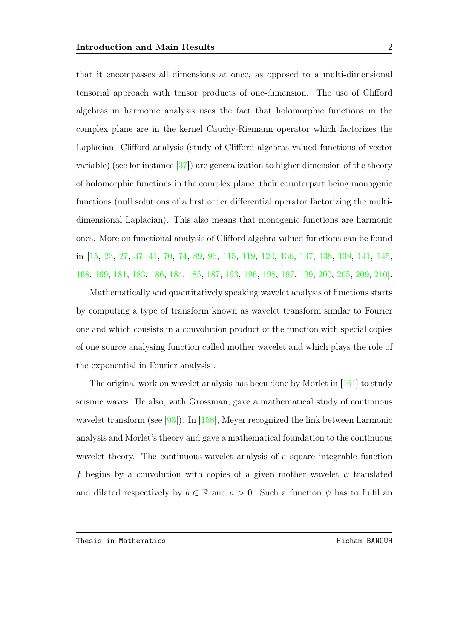that it encompasses all dimensions at once, as opposed to a multi-dimensional tensorial approach with tensor products of one-dimension. The use of Clifford algebras in harmonic analysis uses the fact that holomorphic functions in the complex plane are in the kernel Cauchy-Riemann operator which factorizes the Laplacian. Clifford analysis (study of Clifford algebras valued functions of vector variable) (see for instance [\[37\]](#page-98-0)) are generalization to higher dimension of the theory of holomorphic functions in the complex plane, their counterpart being monogenic functions (null solutions of a first order differential operator factorizing the multidimensional Laplacian). This also means that monogenic functions are harmonic ones. More on functional analysis of Clifford algebra valued functions can be found in [\[15,](#page-96-0) [23,](#page-96-1) [27,](#page-97-0) [37,](#page-98-0) [41,](#page-98-1) [70,](#page-101-1) [74,](#page-102-1) [89,](#page-103-0) [96,](#page-104-2) [115,](#page-106-0) [119,](#page-106-1) [120,](#page-107-0) [136,](#page-108-0) [137,](#page-108-1) [138,](#page-108-2) [139,](#page-108-3) [141,](#page-108-4) [145,](#page-109-0) [168,](#page-111-0) [169,](#page-112-0) [181,](#page-113-0) [183,](#page-113-1) [186,](#page-113-2) [184,](#page-113-3) [185,](#page-113-4) [187,](#page-113-5) [193,](#page-114-0) [196,](#page-114-1) [198,](#page-114-2) [197,](#page-114-3) [199,](#page-114-4) [200,](#page-115-0) [205,](#page-115-1) [209,](#page-115-2) [210\]](#page-115-3).

Mathematically and quantitatively speaking wavelet analysis of functions starts by computing a type of transform known as wavelet transform similar to Fourier one and which consists in a convolution product of the function with special copies of one source analysing function called mother wavelet and which plays the role of the exponential in Fourier analysis .

The original work on wavelet analysis has been done by Morlet in [\[161\]](#page-111-1) to study seismic waves. He also, with Grossman, gave a mathematical study of continuous wavelet transform (see [\[93\]](#page-104-3)). In [\[158\]](#page-111-2), Meyer recognized the link between harmonic analysis and Morlet's theory and gave a mathematical foundation to the continuous wavelet theory. The continuous-wavelet analysis of a square integrable function f begins by a convolution with copies of a given mother wavelet  $\psi$  translated and dilated respectively by  $b \in \mathbb{R}$  and  $a > 0$ . Such a function  $\psi$  has to fulfil an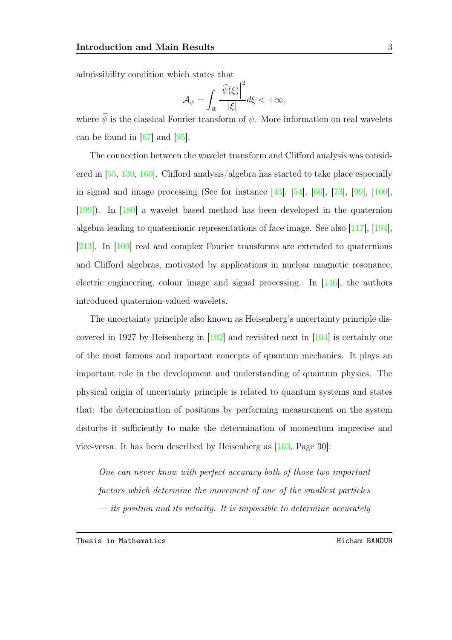admissibility condition which states that

$$
\mathcal{A}_{\psi} = \int_{\mathbb{R}} \frac{\left|\widehat{\psi}(\xi)\right|^{2}}{|\xi|} d\xi < +\infty,
$$

where  $\widehat{\psi}$  is the classical Fourier transform of  $\psi$ . More information on real wavelets can be found in [\[67\]](#page-101-2) and [\[95\]](#page-104-4).

The connection between the wavelet transform and Clifford analysis was considered in [\[55,](#page-100-2) [130,](#page-107-1) [160\]](#page-111-3). Clifford analysis/algebra has started to take place especially in signal and image processing (See for instance [\[43\]](#page-99-0), [\[54\]](#page-100-1), [\[66\]](#page-101-3), [\[73\]](#page-102-0), [\[99\]](#page-104-0), [\[100\]](#page-105-0), [\[199\]](#page-114-4)). In [\[180\]](#page-113-6) a wavelet based method has been developed in the quaternion algebra leading to quaternionic representations of face image. See also [\[117\]](#page-106-2), [\[194\]](#page-114-5), [\[213\]](#page-116-0). In [\[109\]](#page-105-1) real and complex Fourier transforms are extended to quaternions and Clifford algebras, motivated by applications in nuclear magnetic resonance, electric engineering, colour image and signal processing. In  $[146]$ , the authors introduced quaternion-valued wavelets.

The uncertainty principle also known as Heisenberg's uncertainty principle discovered in 1927 by Heisenberg in [\[102\]](#page-105-2) and revisited next in [\[104\]](#page-105-3) is certainly one of the most famous and important concepts of quantum mechanics. It plays an important role in the development and understanding of quantum physics. The physical origin of uncertainty principle is related to quantum systems and states that: the determination of positions by performing measurement on the system disturbs it sufficiently to make the determination of momentum imprecise and vice-versa. It has been described by Heisenberg as [\[103,](#page-105-4) Page 30]:

One can never know with perfect accuracy both of those two important factors which determine the movement of one of the smallest particles  $-$  its position and its velocity. It is impossible to determine accurately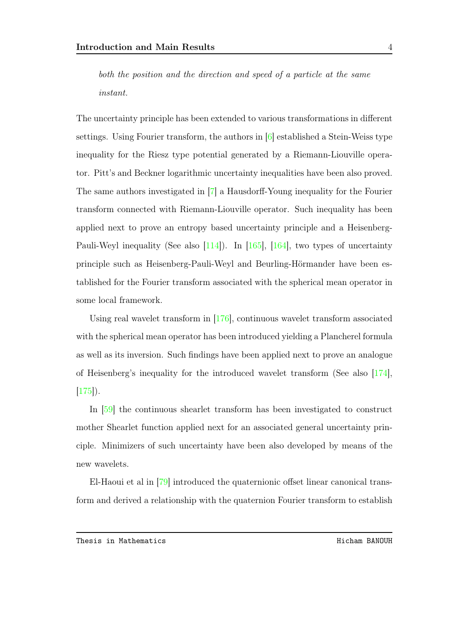both the position and the direction and speed of a particle at the same instant.

The uncertainty principle has been extended to various transformations in different settings. Using Fourier transform, the authors in [\[6\]](#page-94-0) established a Stein-Weiss type inequality for the Riesz type potential generated by a Riemann-Liouville operator. Pitt's and Beckner logarithmic uncertainty inequalities have been also proved. The same authors investigated in [\[7\]](#page-95-0) a Hausdorff-Young inequality for the Fourier transform connected with Riemann-Liouville operator. Such inequality has been applied next to prove an entropy based uncertainty principle and a Heisenberg-Pauli-Weyl inequality (See also [\[114\]](#page-106-3)). In [\[165\]](#page-111-4), [\[164\]](#page-111-5), two types of uncertainty principle such as Heisenberg-Pauli-Weyl and Beurling-Hörmander have been established for the Fourier transform associated with the spherical mean operator in some local framework.

Using real wavelet transform in [\[176\]](#page-112-1), continuous wavelet transform associated with the spherical mean operator has been introduced yielding a Plancherel formula as well as its inversion. Such findings have been applied next to prove an analogue of Heisenberg's inequality for the introduced wavelet transform (See also [\[174\]](#page-112-2),  $[175]$ .

In [\[59\]](#page-100-3) the continuous shearlet transform has been investigated to construct mother Shearlet function applied next for an associated general uncertainty principle. Minimizers of such uncertainty have been also developed by means of the new wavelets.

El-Haoui et al in [\[79\]](#page-102-2) introduced the quaternionic offset linear canonical transform and derived a relationship with the quaternion Fourier transform to establish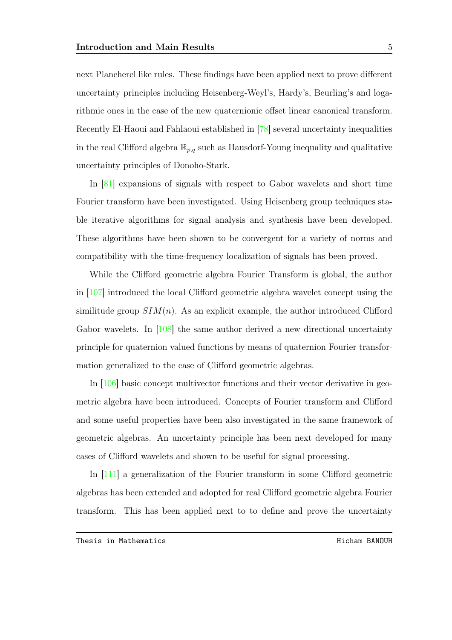next Plancherel like rules. These findings have been applied next to prove different uncertainty principles including Heisenberg-Weyl's, Hardy's, Beurling's and logarithmic ones in the case of the new quaternionic offset linear canonical transform. Recently El-Haoui and Fahlaoui established in [\[78\]](#page-102-3) several uncertainty inequalities in the real Clifford algebra  $\mathbb{R}_{p,q}$  such as Hausdorf-Young inequality and qualitative uncertainty principles of Donoho-Stark.

In [\[81\]](#page-102-4) expansions of signals with respect to Gabor wavelets and short time Fourier transform have been investigated. Using Heisenberg group techniques stable iterative algorithms for signal analysis and synthesis have been developed. These algorithms have been shown to be convergent for a variety of norms and compatibility with the time-frequency localization of signals has been proved.

While the Clifford geometric algebra Fourier Transform is global, the author in [\[107\]](#page-105-5) introduced the local Clifford geometric algebra wavelet concept using the similitude group  $SIM(n)$ . As an explicit example, the author introduced Clifford Gabor wavelets. In [\[108\]](#page-105-6) the same author derived a new directional uncertainty principle for quaternion valued functions by means of quaternion Fourier transformation generalized to the case of Clifford geometric algebras.

In [\[106\]](#page-105-7) basic concept multivector functions and their vector derivative in geometric algebra have been introduced. Concepts of Fourier transform and Clifford and some useful properties have been also investigated in the same framework of geometric algebras. An uncertainty principle has been next developed for many cases of Clifford wavelets and shown to be useful for signal processing.

In [\[111\]](#page-106-4) a generalization of the Fourier transform in some Clifford geometric algebras has been extended and adopted for real Clifford geometric algebra Fourier transform. This has been applied next to to define and prove the uncertainty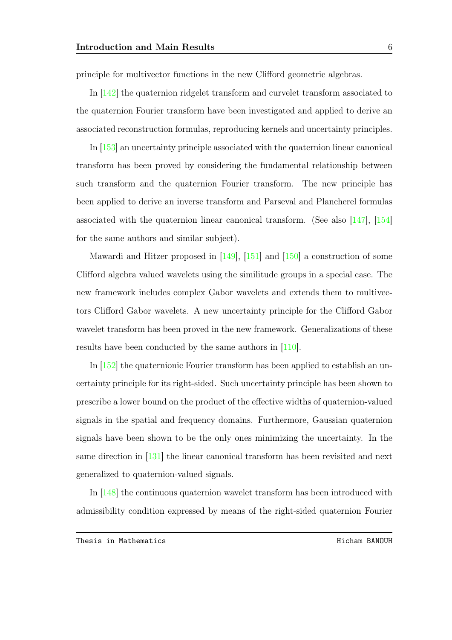principle for multivector functions in the new Clifford geometric algebras.

In [\[142\]](#page-109-2) the quaternion ridgelet transform and curvelet transform associated to the quaternion Fourier transform have been investigated and applied to derive an associated reconstruction formulas, reproducing kernels and uncertainty principles.

In [\[153\]](#page-110-0) an uncertainty principle associated with the quaternion linear canonical transform has been proved by considering the fundamental relationship between such transform and the quaternion Fourier transform. The new principle has been applied to derive an inverse transform and Parseval and Plancherel formulas associated with the quaternion linear canonical transform. (See also  $[147]$ ,  $[154]$ for the same authors and similar subject).

Mawardi and Hitzer proposed in [\[149\]](#page-109-4), [\[151\]](#page-110-2) and [\[150\]](#page-109-5) a construction of some Clifford algebra valued wavelets using the similitude groups in a special case. The new framework includes complex Gabor wavelets and extends them to multivectors Clifford Gabor wavelets. A new uncertainty principle for the Clifford Gabor wavelet transform has been proved in the new framework. Generalizations of these results have been conducted by the same authors in [\[110\]](#page-105-8).

In [\[152\]](#page-110-3) the quaternionic Fourier transform has been applied to establish an uncertainty principle for its right-sided. Such uncertainty principle has been shown to prescribe a lower bound on the product of the effective widths of quaternion-valued signals in the spatial and frequency domains. Furthermore, Gaussian quaternion signals have been shown to be the only ones minimizing the uncertainty. In the same direction in [\[131\]](#page-108-5) the linear canonical transform has been revisited and next generalized to quaternion-valued signals.

In [\[148\]](#page-109-6) the continuous quaternion wavelet transform has been introduced with admissibility condition expressed by means of the right-sided quaternion Fourier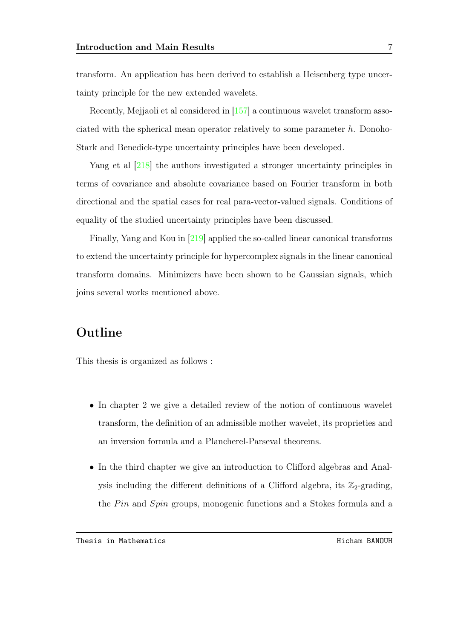transform. An application has been derived to establish a Heisenberg type uncertainty principle for the new extended wavelets.

Recently, Mejjaoli et al considered in [\[157\]](#page-110-4) a continuous wavelet transform associated with the spherical mean operator relatively to some parameter h. Donoho-Stark and Benedick-type uncertainty principles have been developed.

Yang et al [\[218\]](#page-116-1) the authors investigated a stronger uncertainty principles in terms of covariance and absolute covariance based on Fourier transform in both directional and the spatial cases for real para-vector-valued signals. Conditions of equality of the studied uncertainty principles have been discussed.

Finally, Yang and Kou in [\[219\]](#page-116-2) applied the so-called linear canonical transforms to extend the uncertainty principle for hypercomplex signals in the linear canonical transform domains. Minimizers have been shown to be Gaussian signals, which joins several works mentioned above.

# Outline

This thesis is organized as follows :

- In chapter 2 we give a detailed review of the notion of continuous wavelet transform, the definition of an admissible mother wavelet, its proprieties and an inversion formula and a Plancherel-Parseval theorems.
- In the third chapter we give an introduction to Clifford algebras and Analysis including the different definitions of a Clifford algebra, its  $\mathbb{Z}_2$ -grading, the  $Pin$  and  $Spin$  groups, monogenic functions and a Stokes formula and a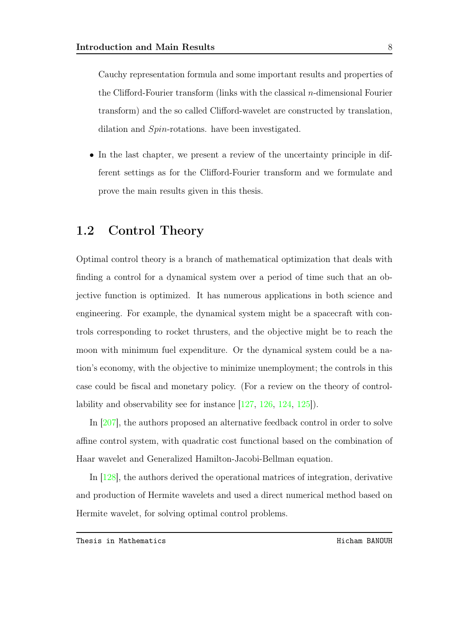Cauchy representation formula and some important results and properties of the Clifford-Fourier transform (links with the classical  $n$ -dimensional Fourier transform) and the so called Clifford-wavelet are constructed by translation, dilation and Spin-rotations. have been investigated.

• In the last chapter, we present a review of the uncertainty principle in different settings as for the Clifford-Fourier transform and we formulate and prove the main results given in this thesis.

## <span id="page-17-0"></span>1.2 Control Theory

Optimal control theory is a branch of mathematical optimization that deals with finding a control for a dynamical system over a period of time such that an objective function is optimized. It has numerous applications in both science and engineering. For example, the dynamical system might be a spacecraft with controls corresponding to rocket thrusters, and the objective might be to reach the moon with minimum fuel expenditure. Or the dynamical system could be a nation's economy, with the objective to minimize unemployment; the controls in this case could be fiscal and monetary policy. (For a review on the theory of controllability and observability see for instance [\[127,](#page-107-2) [126,](#page-107-3) [124,](#page-107-4) [125\]](#page-107-5)).

In [\[207\]](#page-115-4), the authors proposed an alternative feedback control in order to solve affine control system, with quadratic cost functional based on the combination of Haar wavelet and Generalized Hamilton-Jacobi-Bellman equation.

In [\[128\]](#page-107-6), the authors derived the operational matrices of integration, derivative and production of Hermite wavelets and used a direct numerical method based on Hermite wavelet, for solving optimal control problems.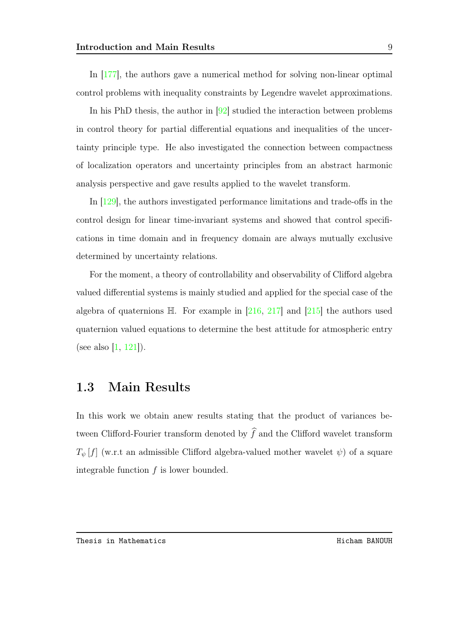In [\[177\]](#page-113-7), the authors gave a numerical method for solving non-linear optimal control problems with inequality constraints by Legendre wavelet approximations.

In his PhD thesis, the author in [\[92\]](#page-104-5) studied the interaction between problems in control theory for partial differential equations and inequalities of the uncertainty principle type. He also investigated the connection between compactness of localization operators and uncertainty principles from an abstract harmonic analysis perspective and gave results applied to the wavelet transform.

In [\[129\]](#page-107-7), the authors investigated performance limitations and trade-offs in the control design for linear time-invariant systems and showed that control specifications in time domain and in frequency domain are always mutually exclusive determined by uncertainty relations.

For the moment, a theory of controllability and observability of Clifford algebra valued differential systems is mainly studied and applied for the special case of the algebra of quaternions  $\mathbb{H}$ . For example in [\[216,](#page-116-3) [217\]](#page-116-4) and [\[215\]](#page-116-5) the authors used quaternion valued equations to determine the best attitude for atmospheric entry (see also [\[1,](#page-94-1) [121\]](#page-107-8)).

## <span id="page-18-0"></span>1.3 Main Results

In this work we obtain anew results stating that the product of variances between Clifford-Fourier transform denoted by  $\hat{f}$  and the Clifford wavelet transform  $T_{\psi}[f]$  (w.r.t an admissible Clifford algebra-valued mother wavelet  $\psi$ ) of a square integrable function  $f$  is lower bounded.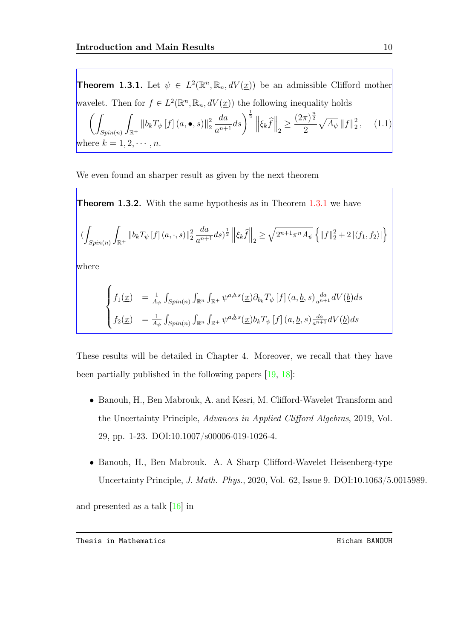<span id="page-19-0"></span>**Theorem 1.3.1.** Let  $\psi \in L^2(\mathbb{R}^n, \mathbb{R}_n, dV(\underline{x}))$  be an admissible Clifford mother wavelet. Then for  $f \in L^2(\mathbb{R}^n, \mathbb{R}_n, dV(\underline{x}))$  the following inequality holds  $\left($  $Spin(n)$ Z  $\int_{\mathbb{R}^{+}}\left\Vert b_{k}T_{\psi}\left[ f\right] \left( a,\bullet,s\right) \right\Vert _{2}^{2}$ 2 da  $\left. \frac{da}{a^{n+1}}ds\right) \frac{1}{2}\left\Vert \xi_{k}\widehat{f}\right\Vert _{2}\geq\frac{(2\pi)^{\frac{n}{2}}}{2}$ 2  $\sqrt{A_{\psi}} \|f\|_2^2$ 2  $(1.1)$ where  $k = 1, 2, \cdots, n$ .

We even found an sharper result as given by the next theorem

**Theorem 1.3.2.** With the same hypothesis as in Theorem  $1.3.1$  we have

$$
\left(\int_{Spin(n)} \int_{\mathbb{R}^+} \|b_k T_{\psi}\left[f\right](a,\cdot,s)\|_2^2 \frac{da}{a^{n+1}} ds\right)^{\frac{1}{2}} \left\|\xi_k \widehat{f}\right\|_2 \ge \sqrt{2^{n+1} \pi^n A_{\psi}} \left\{\|f\|_2^2 + 2 |\langle f_1, f_2 \rangle| \right\}
$$

where

$$
\begin{cases}\nf_1(\underline{x}) = \frac{1}{A_{\psi}} \int_{Spin(n)} \int_{\mathbb{R}^n} \int_{\mathbb{R}^+} \psi^{a,\underline{b},s}(\underline{x}) \partial_{b_k} T_{\psi} [f] (a, \underline{b}, s) \frac{da}{a^{n+1}} dV(\underline{b}) ds \\
f_2(\underline{x}) = \frac{1}{A_{\psi}} \int_{Spin(n)} \int_{\mathbb{R}^n} \int_{\mathbb{R}^+} \psi^{a,\underline{b},s}(\underline{x}) b_k T_{\psi} [f] (a, \underline{b}, s) \frac{da}{a^{n+1}} dV(\underline{b}) ds\n\end{cases}
$$

These results will be detailed in Chapter 4. Moreover, we recall that they have been partially published in the following papers [\[19,](#page-96-2) [18\]](#page-96-3):

- Banouh, H., Ben Mabrouk, A. and Kesri, M. Clifford-Wavelet Transform and the Uncertainty Principle, Advances in Applied Clifford Algebras, 2019, Vol. 29, pp. 1-23. DOI:10.1007/s00006-019-1026-4.
- Banouh, H., Ben Mabrouk. A. A Sharp Clifford-Wavelet Heisenberg-type Uncertainty Principle, J. Math. Phys., 2020, Vol. 62, Issue 9. DOI:10.1063/5.0015989.

and presented as a talk [\[16\]](#page-96-4) in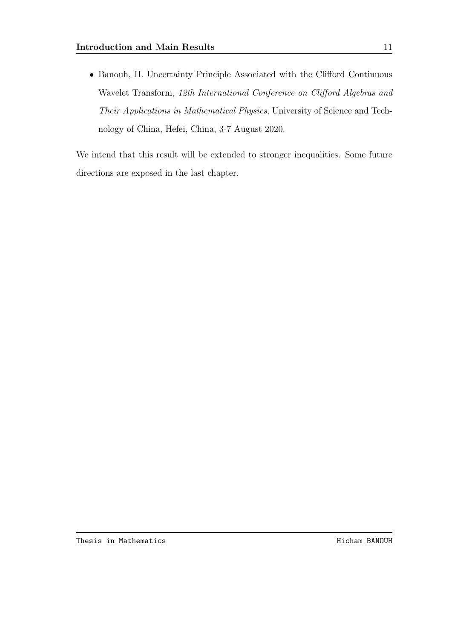• Banouh, H. Uncertainty Principle Associated with the Clifford Continuous Wavelet Transform, 12th International Conference on Clifford Algebras and Their Applications in Mathematical Physics, University of Science and Technology of China, Hefei, China, 3-7 August 2020.

We intend that this result will be extended to stronger inequalities. Some future directions are exposed in the last chapter.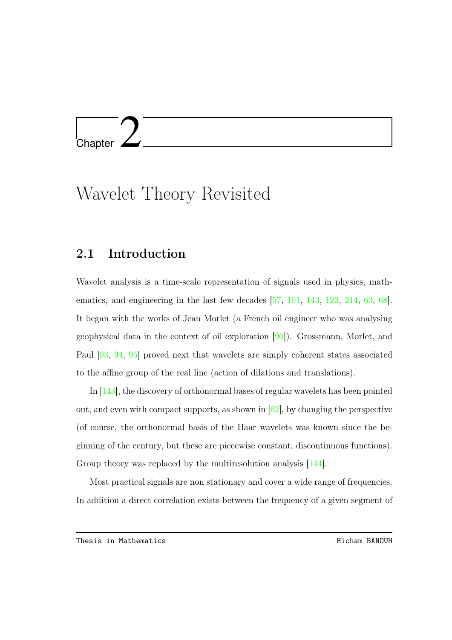# <span id="page-21-0"></span>l<br>Chapter

# Wavelet Theory Revisited

## <span id="page-21-1"></span>2.1 Introduction

Wavelet analysis is a time-scale representation of signals used in physics, mathematics, and engineering in the last few decades [\[57,](#page-100-4) [101,](#page-105-9) [143,](#page-109-7) [123,](#page-107-9) [214,](#page-116-6) [63,](#page-101-4) [68\]](#page-101-5). It began with the works of Jean Morlet (a French oil engineer who was analysing geophysical data in the context of oil exploration [\[90\]](#page-103-1)). Grossmann, Morlet, and Paul [\[93,](#page-104-3) [94,](#page-104-6) [95\]](#page-104-4) proved next that wavelets are simply coherent states associated to the affine group of the real line (action of dilations and translations).

In [\[143\]](#page-109-7), the discovery of orthonormal bases of regular wavelets has been pointed out, and even with compact supports, as shown in  $[62]$ , by changing the perspective (of course, the orthonormal basis of the Haar wavelets was known since the beginning of the century, but these are piecewise constant, discontinuous functions). Group theory was replaced by the multiresolution analysis  $[144]$ .

Most practical signals are non stationary and cover a wide range of frequencies. In addition a direct correlation exists between the frequency of a given segment of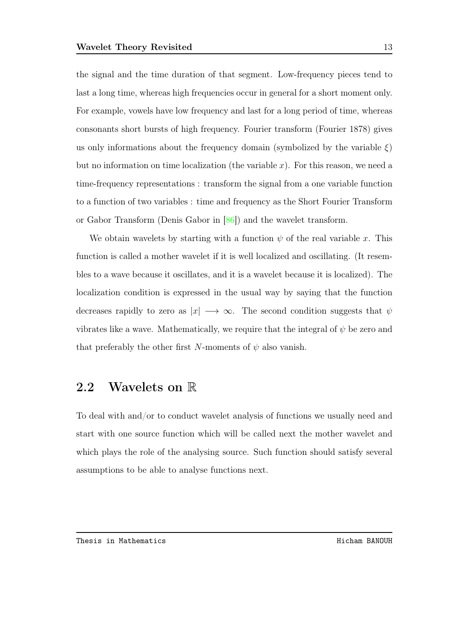the signal and the time duration of that segment. Low-frequency pieces tend to last a long time, whereas high frequencies occur in general for a short moment only. For example, vowels have low frequency and last for a long period of time, whereas consonants short bursts of high frequency. Fourier transform (Fourier 1878) gives us only informations about the frequency domain (symbolized by the variable  $\xi$ ) but no information on time localization (the variable  $x$ ). For this reason, we need a time-frequency representations : transform the signal from a one variable function to a function of two variables : time and frequency as the Short Fourier Transform or Gabor Transform (Denis Gabor in [\[86\]](#page-103-2)) and the wavelet transform.

We obtain wavelets by starting with a function  $\psi$  of the real variable x. This function is called a mother wavelet if it is well localized and oscillating. (It resembles to a wave because it oscillates, and it is a wavelet because it is localized). The localization condition is expressed in the usual way by saying that the function decreases rapidly to zero as  $|x| \rightarrow \infty$ . The second condition suggests that  $\psi$ vibrates like a wave. Mathematically, we require that the integral of  $\psi$  be zero and that preferably the other first N-moments of  $\psi$  also vanish.

#### <span id="page-22-0"></span>2.2 Wavelets on R

To deal with and/or to conduct wavelet analysis of functions we usually need and start with one source function which will be called next the mother wavelet and which plays the role of the analysing source. Such function should satisfy several assumptions to be able to analyse functions next.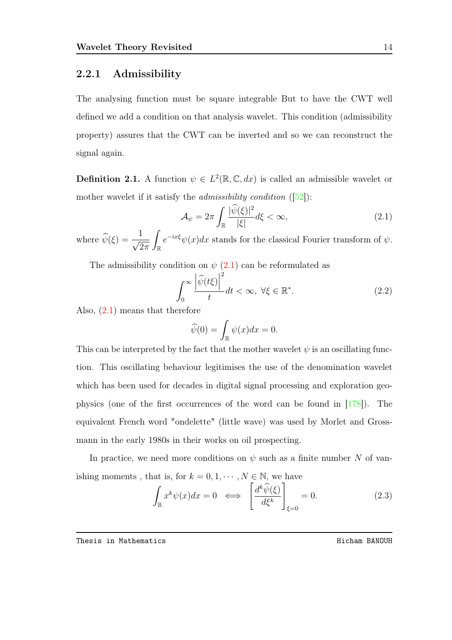#### <span id="page-23-0"></span>2.2.1 Admissibility

The analysing function must be square integrable But to have the CWT well defined we add a condition on that analysis wavelet. This condition (admissibility property) assures that the CWT can be inverted and so we can reconstruct the signal again.

**Definition 2.1.** A function  $\psi \in L^2(\mathbb{R}, \mathbb{C}, dx)$  is called an admissible wavelet or mother wavelet if it satisfy the *admissibility condition*  $([52])$  $([52])$  $([52])$ :

<span id="page-23-1"></span>
$$
\mathcal{A}_{\psi} = 2\pi \int_{\mathbb{R}} \frac{|\widehat{\psi}(\xi)|^2}{|\xi|} d\xi < \infty,\tag{2.1}
$$

where  $\widehat{\psi}(\xi) = \frac{1}{\sqrt{2}}$  $2\pi$ Z R  $e^{-ix\xi}\psi(x)dx$  stands for the classical Fourier transform of  $\psi$ .

The admissibility condition on  $\psi$  [\(2.1\)](#page-23-1) can be reformulated as

$$
\int_0^\infty \frac{\left|\widehat{\psi}(t\xi)\right|^2}{t} dt < \infty, \ \forall \xi \in \mathbb{R}^*. \tag{2.2}
$$

Also, [\(2.1\)](#page-23-1) means that therefore

$$
\widehat{\psi}(0) = \int_{\mathbb{R}} \psi(x) dx = 0.
$$

This can be interpreted by the fact that the mother wavelet  $\psi$  is an oscillating function. This oscillating behaviour legitimises the use of the denomination wavelet which has been used for decades in digital signal processing and exploration geophysics (one of the first occurrences of the word can be found in [\[178\]](#page-113-8)). The equivalent French word "ondelette" (little wave) was used by Morlet and Grossmann in the early 1980s in their works on oil prospecting.

In practice, we need more conditions on  $\psi$  such as a finite number N of vanishing moments, that is, for  $k = 0, 1, \dots, N \in \mathbb{N}$ , we have

$$
\int_{\mathbb{R}} x^{k} \psi(x) dx = 0 \iff \left[ \frac{d^{k} \hat{\psi}(\xi)}{d\xi^{k}} \right]_{\xi=0} = 0.
$$
\n(2.3)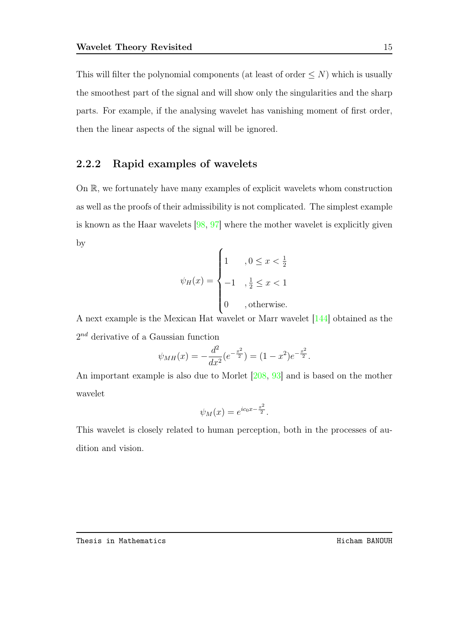This will filter the polynomial components (at least of order  $\leq N$ ) which is usually the smoothest part of the signal and will show only the singularities and the sharp parts. For example, if the analysing wavelet has vanishing moment of first order, then the linear aspects of the signal will be ignored.

#### <span id="page-24-0"></span>2.2.2 Rapid examples of wavelets

On R, we fortunately have many examples of explicit wavelets whom construction as well as the proofs of their admissibility is not complicated. The simplest example is known as the Haar wavelets  $[98, 97]$  $[98, 97]$  $[98, 97]$  where the mother wavelet is explicitly given by

$$
\psi_H(x) = \begin{cases} 1, & 0 \le x < \frac{1}{2} \\ -1, & \frac{1}{2} \le x < 1 \\ 0, & \text{otherwise.} \end{cases}
$$

A next example is the Mexican Hat wavelet or Marr wavelet [\[144\]](#page-109-8) obtained as the  $2^{nd}$  derivative of a Gaussian function

$$
\psi_{MH}(x) = -\frac{d^2}{dx^2}(e^{-\frac{x^2}{2}}) = (1-x^2)e^{-\frac{x^2}{2}}.
$$

An important example is also due to Morlet [\[208,](#page-115-5) [93\]](#page-104-3) and is based on the mother wavelet

$$
\psi_M(x) = e^{ic_0x - \frac{x^2}{2}}.
$$

This wavelet is closely related to human perception, both in the processes of audition and vision.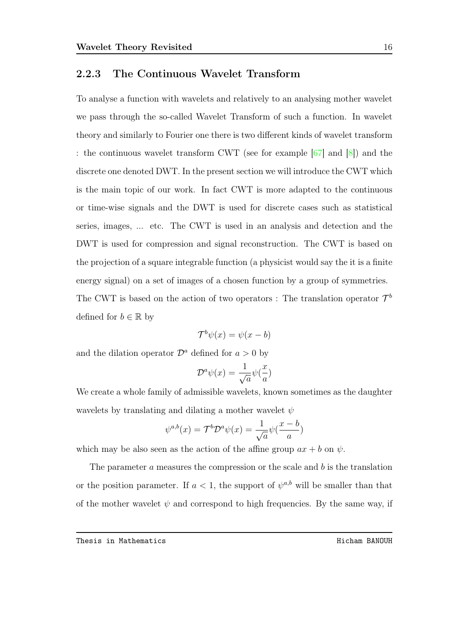#### <span id="page-25-0"></span>2.2.3 The Continuous Wavelet Transform

To analyse a function with wavelets and relatively to an analysing mother wavelet we pass through the so-called Wavelet Transform of such a function. In wavelet theory and similarly to Fourier one there is two different kinds of wavelet transform : the continuous wavelet transform CWT (see for example [\[67\]](#page-101-2) and [\[8\]](#page-95-1)) and the discrete one denoted DWT. In the present section we will introduce the CWT which is the main topic of our work. In fact CWT is more adapted to the continuous or time-wise signals and the DWT is used for discrete cases such as statistical series, images, ... etc. The CWT is used in an analysis and detection and the DWT is used for compression and signal reconstruction. The CWT is based on the projection of a square integrable function (a physicist would say the it is a finite energy signal) on a set of images of a chosen function by a group of symmetries. The CWT is based on the action of two operators : The translation operator  $\mathcal{T}^b$ defined for  $b \in \mathbb{R}$  by

$$
\mathcal{T}^b \psi(x) = \psi(x - b)
$$

and the dilation operator  $\mathcal{D}^a$  defined for  $a > 0$  by

$$
\mathcal{D}^a \psi(x) = \frac{1}{\sqrt{a}} \psi(\frac{x}{a})
$$

We create a whole family of admissible wavelets, known sometimes as the daughter wavelets by translating and dilating a mother wavelet  $\psi$ 

$$
\psi^{a,b}(x)=\mathcal{T}^b\mathcal{D}^a\psi(x)=\frac{1}{\sqrt{a}}\psi(\frac{x-b}{a})
$$

which may be also seen as the action of the affine group  $ax + b$  on  $\psi$ .

The parameter  $\alpha$  measures the compression or the scale and  $\delta$  is the translation or the position parameter. If  $a < 1$ , the support of  $\psi^{a,b}$  will be smaller than that of the mother wavelet  $\psi$  and correspond to high frequencies. By the same way, if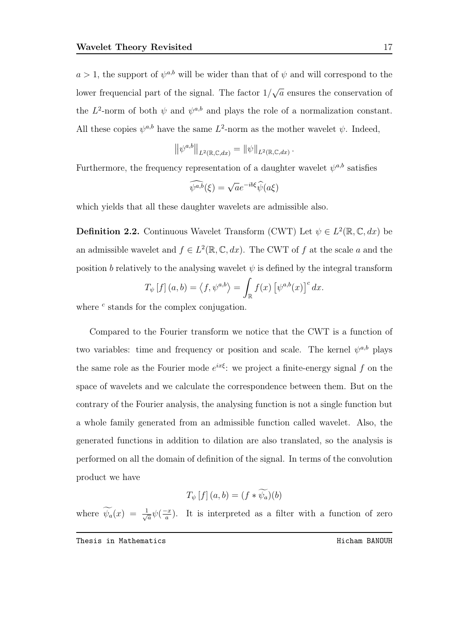$a > 1$ , the support of  $\psi^{a,b}$  will be wider than that of  $\psi$  and will correspond to the lower frequencial part of the signal. The factor 1/ √  $\overline{a}$  ensures the conservation of the  $L^2$ -norm of both  $\psi$  and  $\psi^{a,b}$  and plays the role of a normalization constant. All these copies  $\psi^{a,b}$  have the same  $L^2$ -norm as the mother wavelet  $\psi$ . Indeed,

$$
\left\|\psi^{a,b}\right\|_{L^2(\mathbb{R},\mathbb{C},dx)} = \|\psi\|_{L^2(\mathbb{R},\mathbb{C},dx)}.
$$

Furthermore, the frequency representation of a daughter wavelet  $\psi^{a,b}$  satisfies

$$
\widehat{\psi^{a,b}}(\xi) = \sqrt{a}e^{-ib\xi}\widehat{\psi}(a\xi)
$$

which yields that all these daughter wavelets are admissible also.

**Definition 2.2.** Continuous Wavelet Transform (CWT) Let  $\psi \in L^2(\mathbb{R}, \mathbb{C}, dx)$  be an admissible wavelet and  $f \in L^2(\mathbb{R}, \mathbb{C}, dx)$ . The CWT of f at the scale a and the position b relatively to the analysing wavelet  $\psi$  is defined by the integral transform

$$
T_{\psi}\left[f\right](a,b) = \left\langle f, \psi^{a,b}\right\rangle = \int_{\mathbb{R}} f(x) \left[\psi^{a,b}(x)\right]^c dx.
$$

where  $c$  stands for the complex conjugation.

Compared to the Fourier transform we notice that the CWT is a function of two variables: time and frequency or position and scale. The kernel  $\psi^{a,b}$  plays the same role as the Fourier mode  $e^{ix\xi}$ : we project a finite-energy signal f on the space of wavelets and we calculate the correspondence between them. But on the contrary of the Fourier analysis, the analysing function is not a single function but a whole family generated from an admissible function called wavelet. Also, the generated functions in addition to dilation are also translated, so the analysis is performed on all the domain of definition of the signal. In terms of the convolution product we have

$$
T_{\psi}\left[f\right](a,b)=(f\ast\widetilde{\psi_{a}})(b)
$$

where  $\psi_a(x) = \frac{1}{\sqrt{2}}$  $\frac{1}{a}\psi\left(\frac{-x}{a}\right)$  $\frac{-x}{a}$ ). It is interpreted as a filter with a function of zero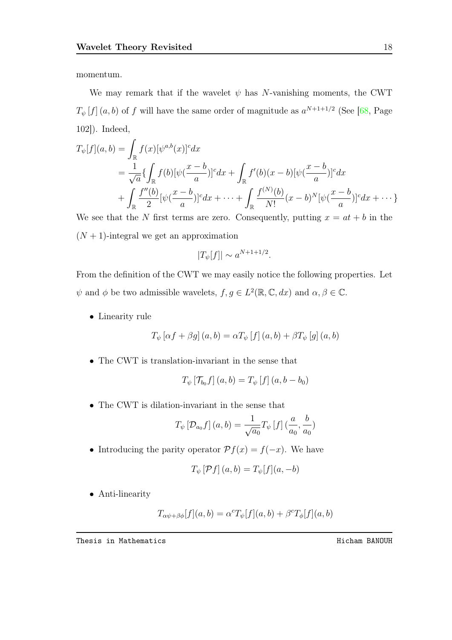momentum.

We may remark that if the wavelet  $\psi$  has N-vanishing moments, the CWT  $T_{\psi}[f](a, b)$  of f will have the same order of magnitude as  $a^{N+1+1/2}$  (See [\[68,](#page-101-5) Page 102]). Indeed,

$$
T_{\psi}[f](a,b) = \int_{\mathbb{R}} f(x)[\psi^{a,b}(x)]^{c} dx
$$
  
\n
$$
= \frac{1}{\sqrt{a}} \{ \int_{\mathbb{R}} f(b)[\psi(\frac{x-b}{a})]^{c} dx + \int_{\mathbb{R}} f'(b)(x-b)[\psi(\frac{x-b}{a})]^{c} dx
$$
  
\n
$$
+ \int_{\mathbb{R}} \frac{f''(b)}{2} [\psi(\frac{x-b}{a})]^{c} dx + \dots + \int_{\mathbb{R}} \frac{f^{(N)}(b)}{N!} (x-b)^{N} [\psi(\frac{x-b}{a})]^{c} dx + \dots \}
$$

We see that the N first terms are zero. Consequently, putting  $x = at + b$  in the  $(N + 1)$ -integral we get an approximation

$$
|T_{\psi}[f]| \sim a^{N+1+1/2}.
$$

From the definition of the CWT we may easily notice the following properties. Let  $\psi$  and  $\phi$  be two admissible wavelets,  $f, g \in L^2(\mathbb{R}, \mathbb{C}, dx)$  and  $\alpha, \beta \in \mathbb{C}$ .

• Linearity rule

$$
T_{\psi} [\alpha f + \beta g] (a, b) = \alpha T_{\psi} [f] (a, b) + \beta T_{\psi} [g] (a, b)
$$

• The CWT is translation-invariant in the sense that

$$
T_{\psi}\left[\mathcal{T}_{b_0}f\right](a,b)=T_{\psi}\left[f\right](a,b-b_0)
$$

• The CWT is dilation-invariant in the sense that

$$
T_{\psi}\left[\mathcal{D}_{a_0}f\right](a,b) = \frac{1}{\sqrt{a_0}}T_{\psi}\left[f\right](\frac{a}{a_0},\frac{b}{a_0})
$$

• Introducing the parity operator  $\mathcal{P}f(x) = f(-x)$ . We have

$$
T_{\psi}[\mathcal{P}f](a,b) = T_{\psi}[f](a,-b)
$$

• Anti-linearity

$$
T_{\alpha\psi+\beta\phi}[f](a,b) = \alpha^c T_{\psi}[f](a,b) + \beta^c T_{\phi}[f](a,b)
$$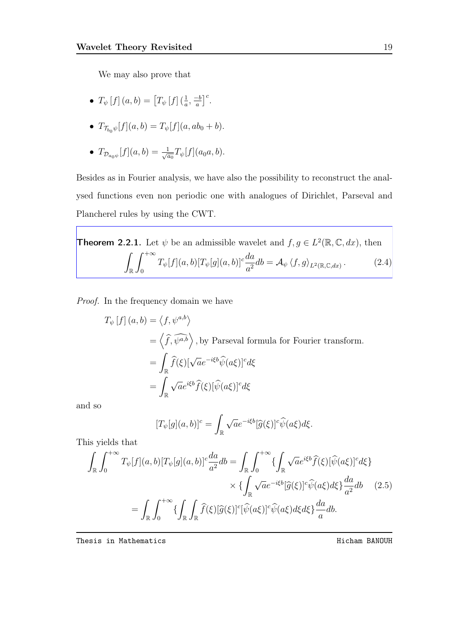We may also prove that

- $T_{\psi}\left[f\right](a,b)=\left[T_{\psi}\left[f\right](\frac{1}{a},\frac{-b}{a}\right]$  $\left[\frac{-b}{a}\right]^c$ .
- $T_{\mathcal{T}_{b_0}\psi}[f](a,b) = T_{\psi}[f](a,ab_0 + b).$
- $T_{\mathcal{D}_{a_0\psi}}[f](a,b) = \frac{1}{\sqrt{a_0}}T_{\psi}[f](a_0a,b).$

Besides as in Fourier analysis, we have also the possibility to reconstruct the analysed functions even non periodic one with analogues of Dirichlet, Parseval and Plancherel rules by using the CWT.

**Theorem 2.2.1.** Let 
$$
\psi
$$
 be an admissible wavelet and  $f, g \in L^2(\mathbb{R}, \mathbb{C}, dx)$ , then  
\n
$$
\int_{\mathbb{R}} \int_0^{+\infty} T_{\psi}[f](a, b)[T_{\psi}[g](a, b)]^c \frac{da}{a^2} db = \mathcal{A}_{\psi} \langle f, g \rangle_{L^2(\mathbb{R}, \mathbb{C}, dx)}.
$$
\n(2.4)

Proof. In the frequency domain we have

$$
T_{\psi}[f](a,b) = \langle f, \psi^{a,b} \rangle
$$
  
=  $\langle \hat{f}, \hat{\psi}^{a,b} \rangle$ , by Parseval formula for Fourier transform.  
=  $\int_{\mathbb{R}} \hat{f}(\xi) [\sqrt{a}e^{-i\xi b} \hat{\psi}(a\xi)]^c d\xi$   
=  $\int_{\mathbb{R}} \sqrt{a}e^{i\xi b} \hat{f}(\xi) [\hat{\psi}(a\xi)]^c d\xi$ 

and so

$$
[T_{\psi}[g](a,b)]^{c} = \int_{\mathbb{R}} \sqrt{a}e^{-i\xi b}[\widehat{g}(\xi)]^{c}\widehat{\psi}(a\xi)d\xi.
$$

This yields that

$$
\int_{\mathbb{R}} \int_{0}^{+\infty} T_{\psi}[f](a, b)[T_{\psi}[g](a, b)]^{c} \frac{da}{a^{2}} db = \int_{\mathbb{R}} \int_{0}^{+\infty} \{ \int_{\mathbb{R}} \sqrt{a} e^{i\xi b} \hat{f}(\xi) [\hat{\psi}(a\xi)]^{c} d\xi \} \times \{ \int_{\mathbb{R}} \sqrt{a} e^{-i\xi b} [\hat{g}(\xi)]^{c} \hat{\psi}(a\xi) d\xi \} \frac{da}{a^{2}} db \quad (2.5)
$$

$$
= \int_{\mathbb{R}} \int_{0}^{+\infty} \{ \int_{\mathbb{R}} \hat{f}(\xi) [\hat{g}(\xi)]^{c} [\hat{\psi}(a\xi)]^{c} \hat{\psi}(a\xi) d\xi d\xi \} \frac{da}{a} db.
$$

<span id="page-28-0"></span>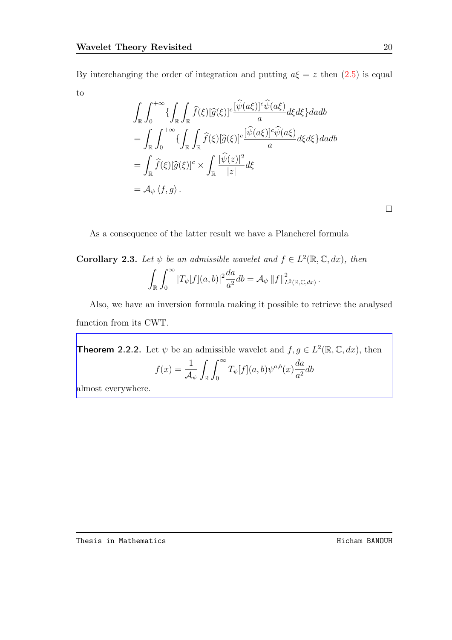By interchanging the order of integration and putting  $a\xi = z$  then [\(2.5\)](#page-28-0) is equal to

$$
\int_{\mathbb{R}} \int_{0}^{+\infty} \{ \int_{\mathbb{R}} \int_{\mathbb{R}} \widehat{f}(\xi) [\widehat{g}(\xi)]^{c} \frac{[\widehat{\psi}(a\xi)]^{c} \widehat{\psi}(a\xi)}{a} d\xi d\xi \} da db \n= \int_{\mathbb{R}} \int_{0}^{+\infty} \{ \int_{\mathbb{R}} \int_{\mathbb{R}} \widehat{f}(\xi) [\widehat{g}(\xi)]^{c} \frac{[\widehat{\psi}(a\xi)]^{c} \widehat{\psi}(a\xi)}{a} d\xi d\xi \} da db \n= \int_{\mathbb{R}} \widehat{f}(\xi) [\widehat{g}(\xi)]^{c} \times \int_{\mathbb{R}} \frac{|\widehat{\psi}(z)|^{2}}{|z|} d\xi \n= A_{\psi} \langle f, g \rangle.
$$

 $\Box$ 

As a consequence of the latter result we have a Plancherel formula

**Corollary 2.3.** Let  $\psi$  be an admissible wavelet and  $f \in L^2(\mathbb{R}, \mathbb{C}, dx)$ , then Z R  $\int^{\infty}$  $\boldsymbol{0}$  $|T_{\psi}[f](a, b)|^2 \frac{da}{a^2}$  $\frac{d\overline{a}}{a^2}db = \mathcal{A}_{\psi}\left\Vert f \right\Vert^2_{L^2(\mathbb{R},\mathbb{C},dx)}.$ 

Also, we have an inversion formula making it possible to retrieve the analysed function from its CWT.

**Theorem 2.2.2.** Let 
$$
\psi
$$
 be an admissible wavelet and  $f, g \in L^2(\mathbb{R}, \mathbb{C}, dx)$ , then  
\n
$$
f(x) = \frac{1}{\mathcal{A}_{\psi}} \int_{\mathbb{R}} \int_0^{\infty} T_{\psi}[f](a, b) \psi^{a, b}(x) \frac{da}{a^2} db
$$

almost everywhere.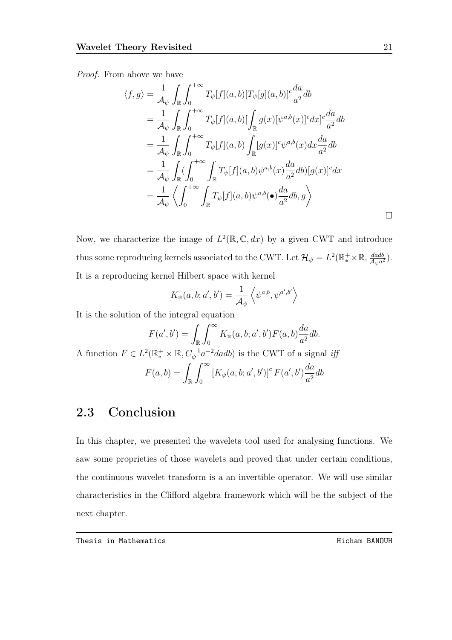Proof. From above we have

$$
\langle f, g \rangle = \frac{1}{\mathcal{A}_{\psi}} \int_{\mathbb{R}} \int_{0}^{+\infty} T_{\psi}[f](a, b)[T_{\psi}[g](a, b)]^{c} \frac{da}{a^{2}} db
$$
  
\n
$$
= \frac{1}{\mathcal{A}_{\psi}} \int_{\mathbb{R}} \int_{0}^{+\infty} T_{\psi}[f](a, b)[\int_{\mathbb{R}} g(x)[\psi^{a, b}(x)]^{c} dx]^{c} \frac{da}{a^{2}} db
$$
  
\n
$$
= \frac{1}{\mathcal{A}_{\psi}} \int_{\mathbb{R}} \int_{0}^{+\infty} T_{\psi}[f](a, b) \int_{\mathbb{R}} [g(x)]^{c} \psi^{a, b}(x) dx \frac{da}{a^{2}} db
$$
  
\n
$$
= \frac{1}{\mathcal{A}_{\psi}} \int_{\mathbb{R}} (\int_{0}^{+\infty} \int_{\mathbb{R}} T_{\psi}[f](a, b) \psi^{a, b}(x) \frac{da}{a^{2}} db) [g(x)]^{c} dx
$$
  
\n
$$
= \frac{1}{\mathcal{A}_{\psi}} \langle \int_{0}^{+\infty} \int_{\mathbb{R}} T_{\psi}[f](a, b) \psi^{a, b}(\bullet) \frac{da}{a^{2}} db, g \rangle
$$

Now, we characterize the image of  $L^2(\mathbb{R}, \mathbb{C}, dx)$  by a given CWT and introduce thus some reproducing kernels associated to the CWT. Let  $\mathcal{H}_{\psi} = L^2(\mathbb{R}_*^+ \times \mathbb{R}, \frac{d^{add}}{\mathcal{A}_{ab}a^2})$  $rac{dadb}{\mathcal{A}_{\psi}a^2}$ . It is a reproducing kernel Hilbert space with kernel

$$
K_{\psi}(a, b; a', b') = \frac{1}{\mathcal{A}_{\psi}} \left\langle \psi^{a, b}, \psi^{a', b'} \right\rangle
$$

It is the solution of the integral equation

$$
F(a',b') = \int_{\mathbb{R}} \int_0^{\infty} K_{\psi}(a,b;a',b')F(a,b)\frac{da}{a^2}db.
$$
  
A function  $F \in L^2(\mathbb{R}^+_* \times \mathbb{R}, C_{\psi}^{-1}a^{-2}dadb)$  is the CWT of a signal *if*)  

$$
F(a,b) = \int_{\mathbb{R}} \int_0^{\infty} \left[K_{\psi}(a,b;a',b')\right]^c F(a',b')\frac{da}{a^2}db
$$

### <span id="page-30-0"></span>2.3 Conclusion

In this chapter, we presented the wavelets tool used for analysing functions. We saw some proprieties of those wavelets and proved that under certain conditions, the continuous wavelet transform is a an invertible operator. We will use similar characteristics in the Clifford algebra framework which will be the subject of the next chapter.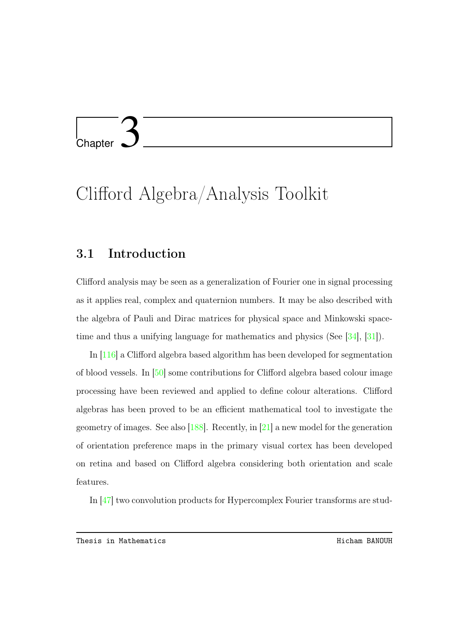# <span id="page-31-0"></span>l<br>Chapter

# Clifford Algebra/Analysis Toolkit

## <span id="page-31-1"></span>3.1 Introduction

Clifford analysis may be seen as a generalization of Fourier one in signal processing as it applies real, complex and quaternion numbers. It may be also described with the algebra of Pauli and Dirac matrices for physical space and Minkowski spacetime and thus a unifying language for mathematics and physics (See [\[34\]](#page-98-2), [\[31\]](#page-97-1)).

In [\[116\]](#page-106-5) a Clifford algebra based algorithm has been developed for segmentation of blood vessels. In [\[50\]](#page-99-1) some contributions for Clifford algebra based colour image processing have been reviewed and applied to define colour alterations. Clifford algebras has been proved to be an efficient mathematical tool to investigate the geometry of images. See also [\[188\]](#page-113-9). Recently, in [\[21\]](#page-96-5) a new model for the generation of orientation preference maps in the primary visual cortex has been developed on retina and based on Clifford algebra considering both orientation and scale features.

In [\[47\]](#page-99-2) two convolution products for Hypercomplex Fourier transforms are stud-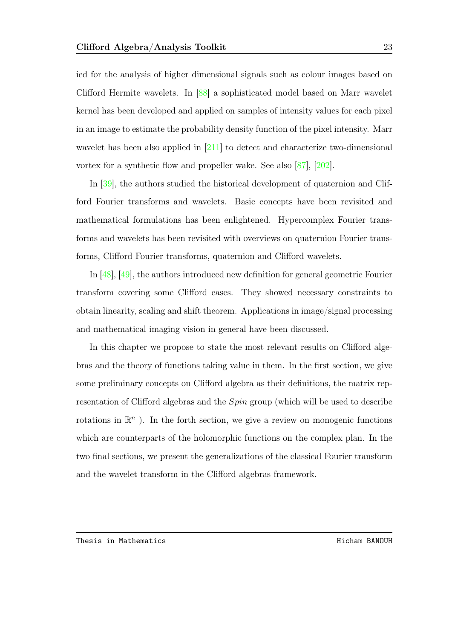ied for the analysis of higher dimensional signals such as colour images based on Clifford Hermite wavelets. In [\[88\]](#page-103-3) a sophisticated model based on Marr wavelet kernel has been developed and applied on samples of intensity values for each pixel in an image to estimate the probability density function of the pixel intensity. Marr wavelet has been also applied in [\[211\]](#page-116-7) to detect and characterize two-dimensional vortex for a synthetic flow and propeller wake. See also [\[87\]](#page-103-4), [\[202\]](#page-115-6).

In [\[39\]](#page-98-3), the authors studied the historical development of quaternion and Clifford Fourier transforms and wavelets. Basic concepts have been revisited and mathematical formulations has been enlightened. Hypercomplex Fourier transforms and wavelets has been revisited with overviews on quaternion Fourier transforms, Clifford Fourier transforms, quaternion and Clifford wavelets.

In [\[48\]](#page-99-3), [\[49\]](#page-99-4), the authors introduced new definition for general geometric Fourier transform covering some Clifford cases. They showed necessary constraints to obtain linearity, scaling and shift theorem. Applications in image/signal processing and mathematical imaging vision in general have been discussed.

In this chapter we propose to state the most relevant results on Clifford algebras and the theory of functions taking value in them. In the first section, we give some preliminary concepts on Clifford algebra as their definitions, the matrix representation of Clifford algebras and the Spin group (which will be used to describe rotations in  $\mathbb{R}^n$ ). In the forth section, we give a review on monogenic functions which are counterparts of the holomorphic functions on the complex plan. In the two final sections, we present the generalizations of the classical Fourier transform and the wavelet transform in the Clifford algebras framework.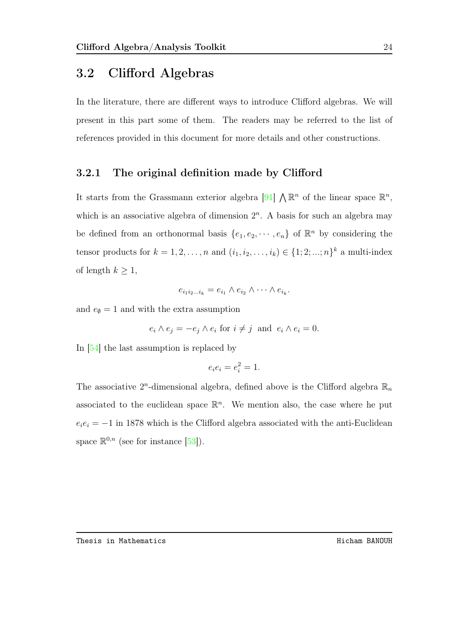### <span id="page-33-0"></span>3.2 Clifford Algebras

In the literature, there are different ways to introduce Clifford algebras. We will present in this part some of them. The readers may be referred to the list of references provided in this document for more details and other constructions.

#### <span id="page-33-1"></span>3.2.1 The original definition made by Clifford

It starts from the Grassmann exterior algebra [\[91\]](#page-104-1)  $\bigwedge \mathbb{R}^n$  of the linear space  $\mathbb{R}^n$ , which is an associative algebra of dimension  $2<sup>n</sup>$ . A basis for such an algebra may be defined from an orthonormal basis  $\{e_1, e_2, \dots, e_n\}$  of  $\mathbb{R}^n$  by considering the tensor products for  $k = 1, 2, ..., n$  and  $(i_1, i_2, ..., i_k) \in \{1, 2, ..., n\}^k$  a multi-index of length  $k \geq 1$ ,

$$
e_{i_1i_2\ldots i_k}=e_{i_1}\wedge e_{i_2}\wedge\cdots\wedge e_{i_k}.
$$

and  $e_{\emptyset} = 1$  and with the extra assumption

$$
e_i \wedge e_j = -e_j \wedge e_i
$$
 for  $i \neq j$  and  $e_i \wedge e_i = 0$ .

In [\[54\]](#page-100-1) the last assumption is replaced by

$$
e_i e_i = e_i^2 = 1.
$$

The associative  $2^n$ -dimensional algebra, defined above is the Clifford algebra  $\mathbb{R}_n$ associated to the euclidean space  $\mathbb{R}^n$ . We mention also, the case where he put  $e_i e_i = -1$  in 1878 which is the Clifford algebra associated with the anti-Euclidean space  $\mathbb{R}^{0,n}$  (see for instance [\[53\]](#page-100-0)).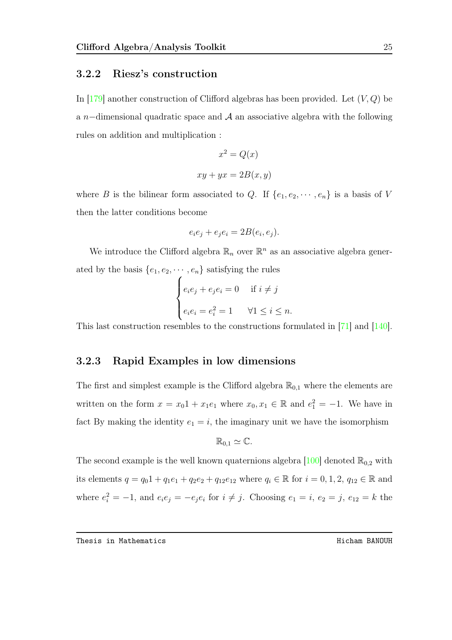#### <span id="page-34-0"></span>3.2.2 Riesz's construction

In [\[179\]](#page-113-10) another construction of Clifford algebras has been provided. Let  $(V, Q)$  be a n−dimensional quadratic space and  $A$  an associative algebra with the following rules on addition and multiplication :

$$
x^{2} = Q(x)
$$

$$
xy + yx = 2B(x, y)
$$

where B is the bilinear form associated to Q. If  $\{e_1, e_2, \dots, e_n\}$  is a basis of V then the latter conditions become

$$
e_i e_j + e_j e_i = 2B(e_i, e_j).
$$

We introduce the Clifford algebra  $\mathbb{R}_n$  over  $\mathbb{R}^n$  as an associative algebra generated by the basis  $\{e_1, e_2, \cdots, e_n\}$  satisfying the rules

$$
\begin{cases} e_i e_j + e_j e_i = 0 & \text{if } i \neq j \\ e_i e_i = e_i^2 = 1 & \forall 1 \leq i \leq n. \end{cases}
$$

This last construction resembles to the constructions formulated in [\[71\]](#page-101-7) and [\[140\]](#page-108-6).

#### <span id="page-34-1"></span>3.2.3 Rapid Examples in low dimensions

The first and simplest example is the Clifford algebra  $\mathbb{R}_{0,1}$  where the elements are written on the form  $x = x_0 1 + x_1 e_1$  where  $x_0, x_1 \in \mathbb{R}$  and  $e_1^2 = -1$ . We have in fact By making the identity  $e_1 = i$ , the imaginary unit we have the isomorphism

$$
\mathbb{R}_{0,1}\simeq\mathbb{C}.
$$

The second example is the well known quaternions algebra  $[100]$  denoted  $\mathbb{R}_{0,2}$  with its elements  $q = q_0 1 + q_1 e_1 + q_2 e_2 + q_1 e_1 e_1$  where  $q_i \in \mathbb{R}$  for  $i = 0, 1, 2, q_{12} \in \mathbb{R}$  and where  $e_i^2 = -1$ , and  $e_i e_j = -e_j e_i$  for  $i \neq j$ . Choosing  $e_1 = i$ ,  $e_2 = j$ ,  $e_{12} = k$  the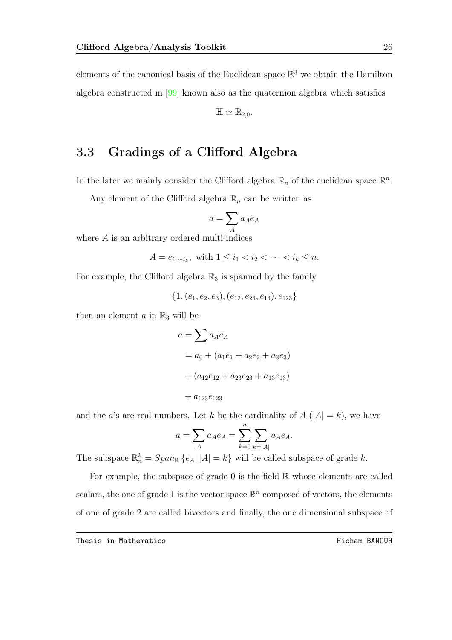elements of the canonical basis of the Euclidean space  $\mathbb{R}^3$  we obtain the Hamilton algebra constructed in  $[99]$  known also as the quaternion algebra which satisfies

$$
\mathbb{H} \simeq \mathbb{R}_{2,0}.
$$

### <span id="page-35-0"></span>3.3 Gradings of a Clifford Algebra

In the later we mainly consider the Clifford algebra  $\mathbb{R}_n$  of the euclidean space  $\mathbb{R}^n$ .

Any element of the Clifford algebra  $\mathbb{R}_n$  can be written as

$$
a=\sum_A a_A e_A
$$

where A is an arbitrary ordered multi-indices

$$
A = e_{i_1 \cdots i_k}
$$
, with  $1 \le i_1 < i_2 < \cdots < i_k \le n$ .

For example, the Clifford algebra  $\mathbb{R}_3$  is spanned by the family

$$
\{1, (e_1, e_2, e_3), (e_{12}, e_{23}, e_{13}), e_{123}\}\
$$

then an element  $a$  in  $\mathbb{R}_3$  will be

$$
a = \sum a_A e_A
$$
  
=  $a_0 + (a_1 e_1 + a_2 e_2 + a_3 e_3)$   
+  $(a_{12} e_{12} + a_{23} e_{23} + a_{13} e_{13})$   
+  $a_{123} e_{123}$ 

and the a's are real numbers. Let k be the cardinality of  $A(|A| = k)$ , we have

$$
a = \sum_{A} a_A e_A = \sum_{k=0}^{n} \sum_{k=|A|} a_A e_A.
$$

The subspace  $\mathbb{R}_n^k = Span_{\mathbb{R}} \{e_A | |A| = k\}$  will be called subspace of grade k.

For example, the subspace of grade  $0$  is the field  $\mathbb R$  whose elements are called scalars, the one of grade 1 is the vector space  $\mathbb{R}^n$  composed of vectors, the elements of one of grade 2 are called bivectors and finally, the one dimensional subspace of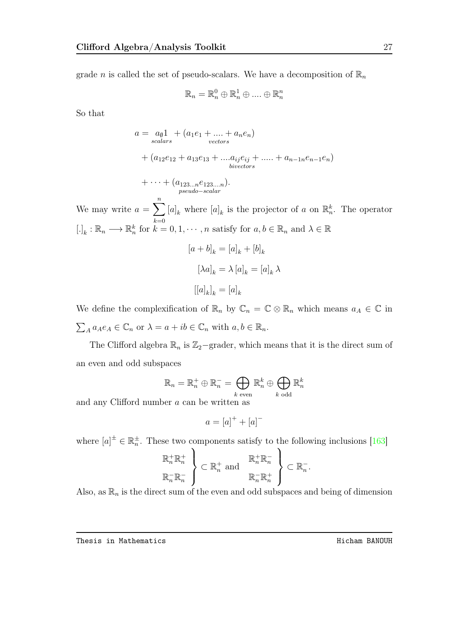grade *n* is called the set of pseudo-scalars. We have a decomposition of  $\mathbb{R}_n$ 

$$
\mathbb{R}_n=\mathbb{R}_n^0\oplus\mathbb{R}_n^1\oplus\ldots\oplus\mathbb{R}_n^n
$$

So that

$$
a = a_{\emptyset} 1 + (a_1 e_1 + \dots + a_n e_n)
$$
  
+  $(a_{12} e_{12} + a_{13} e_{13} + \dots + a_{ij} e_{ij} + \dots + a_{n-1} e_{n-1} e_n)$   
+  $\dots + (a_{123\dots n} e_{123\dots n}).$ 

We may write  $a = \sum_{n=1}^{\infty}$  $k=0$  $[a]_k$  where  $[a]_k$  is the projector of a on  $\mathbb{R}_n^k$ . The operator  $[.]_k : \mathbb{R}_n \longrightarrow \mathbb{R}_n^k$  for  $k = 0, 1, \cdots, n$  satisfy for  $a, b \in \mathbb{R}_n$  and  $\lambda \in \mathbb{R}$ 

pseudo−scalar

$$
[a + b]_k = [a]_k + [b]_k
$$

$$
[\lambda a]_k = \lambda [a]_k = [a]_k \lambda
$$

$$
[[a]_k]_k = [a]_k
$$

We define the complexification of  $\mathbb{R}_n$  by  $\mathbb{C}_n = \mathbb{C} \otimes \mathbb{R}_n$  which means  $a_A \in \mathbb{C}$  in  $\sum_{A} a_{A} e_{A} \in \mathbb{C}_{n}$  or  $\lambda = a + ib \in \mathbb{C}_{n}$  with  $a, b \in \mathbb{R}_{n}$ .

The Clifford algebra  $\mathbb{R}_n$  is  $\mathbb{Z}_2$ −grader, which means that it is the direct sum of an even and odd subspaces

$$
\mathbb{R}_n = \mathbb{R}_n^+ \oplus \mathbb{R}_n^- = \bigoplus_{k \text{ even}} \mathbb{R}_n^k \oplus \bigoplus_{k \text{ odd}} \mathbb{R}_n^k
$$

and any Clifford number a can be written as

$$
a = [a]^+ + [a]^-
$$

where  $[a]^{\pm} \in \mathbb{R}_n^{\pm}$ . These two components satisfy to the following inclusions [\[163\]](#page-111-0)

$$
\mathbb{R}_n^+\mathbb{R}_n^+ \longrightarrow \mathbb{R}_n^+\text{ and } \mathbb{R}_n^+\mathbb{R}_n^- \longrightarrow \mathbb{R}_n^- \mathbb{R}_n^+\longrightarrow \mathbb{R}_n^- \mathbb{R}_n^+.
$$

Also, as  $\mathbb{R}_n$  is the direct sum of the even and odd subspaces and being of dimension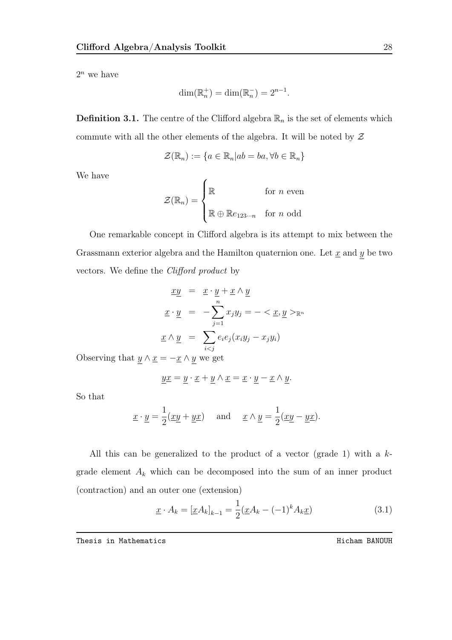$2^n$  we have

$$
\dim(\mathbb{R}_n^+) = \dim(\mathbb{R}_n^-) = 2^{n-1}.
$$

**Definition 3.1.** The centre of the Clifford algebra  $\mathbb{R}_n$  is the set of elements which commute with all the other elements of the algebra. It will be noted by  $\mathcal Z$ 

$$
\mathcal{Z}(\mathbb{R}_n) := \{ a \in \mathbb{R}_n | ab = ba, \forall b \in \mathbb{R}_n \}
$$

We have

$$
\mathcal{Z}(\mathbb{R}_n) = \begin{cases} \mathbb{R} & \text{for } n \text{ even} \\ \mathbb{R} \oplus \mathbb{R}e_{123\cdots n} & \text{for } n \text{ odd} \end{cases}
$$

One remarkable concept in Clifford algebra is its attempt to mix between the Grassmann exterior algebra and the Hamilton quaternion one. Let  $\underline{x}$  and  $\underline{y}$  be two vectors. We define the Clifford product by

$$
\underline{xy} = \underline{x} \cdot \underline{y} + \underline{x} \wedge \underline{y}
$$
  

$$
\underline{x} \cdot \underline{y} = -\sum_{j=1}^{n} x_j y_j = -\langle \underline{x}, \underline{y} \rangle_{\mathbb{R}^n}
$$
  

$$
\underline{x} \wedge \underline{y} = \sum_{i < j} e_i e_j (x_i y_j - x_j y_i)
$$

Observing that  $\underline{y} \wedge \underline{x} = -\underline{x} \wedge \underline{y}$  we get

$$
\underline{y}\underline{x} = \underline{y} \cdot \underline{x} + \underline{y} \wedge \underline{x} = \underline{x} \cdot \underline{y} - \underline{x} \wedge \underline{y}.
$$

So that

$$
\underline{x} \cdot \underline{y} = \frac{1}{2}(\underline{xy} + \underline{y}\underline{x})
$$
 and  $\underline{x} \wedge \underline{y} = \frac{1}{2}(\underline{xy} - \underline{y}\underline{x}).$ 

All this can be generalized to the product of a vector (grade 1) with a  $k$ grade element  $A_k$  which can be decomposed into the sum of an inner product (contraction) and an outer one (extension)

$$
\underline{x} \cdot A_k = [\underline{x}A_k]_{k-1} = \frac{1}{2}(\underline{x}A_k - (-1)^k A_k \underline{x}) \tag{3.1}
$$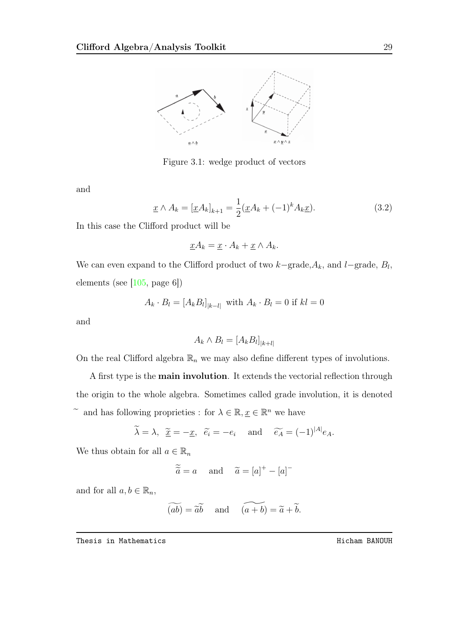

Figure 3.1: wedge product of vectors

and

<span id="page-38-0"></span>
$$
\underline{x} \wedge A_k = [\underline{x} A_k]_{k+1} = \frac{1}{2} (\underline{x} A_k + (-1)^k A_k \underline{x}). \tag{3.2}
$$

In this case the Clifford product will be

$$
\underline{x}A_k = \underline{x} \cdot A_k + \underline{x} \wedge A_k.
$$

We can even expand to the Clifford product of two  $k$ -grade, $A_k$ , and  $l$ -grade,  $B_l$ , elements (see [\[105,](#page-105-0) page 6])

$$
A_k \cdot B_l = [A_k B_l]_{|k-l|}
$$
 with 
$$
A_k \cdot B_l = 0
$$
 if  $kl = 0$ 

and

$$
A_k \wedge B_l = [A_k B_l]_{|k+l|}
$$

On the real Clifford algebra  $\mathbb{R}_n$  we may also define different types of involutions.

A first type is the main involution. It extends the vectorial reflection through the origin to the whole algebra. Sometimes called grade involution, it is denoted  $\tilde{e}$  and has following proprieties : for  $\lambda \in \mathbb{R}, \underline{x} \in \mathbb{R}^n$  we have

$$
\widetilde{\lambda} = \lambda, \ \widetilde{\underline{x}} = -\underline{x}, \ \widetilde{e_i} = -e_i \quad \text{and} \quad \widetilde{e_A} = (-1)^{|A|} e_A.
$$

We thus obtain for all  $a \in \mathbb{R}_n$ 

$$
\widetilde{\widetilde{a}} = a
$$
 and  $\widetilde{a} = [a]^+ - [a]^-$ 

and for all  $a, b \in \mathbb{R}_n$ ,

$$
\widetilde{(ab)} = \widetilde{a}\widetilde{b}
$$
 and  $\widetilde{(a+b)} = \widetilde{a} + \widetilde{b}$ .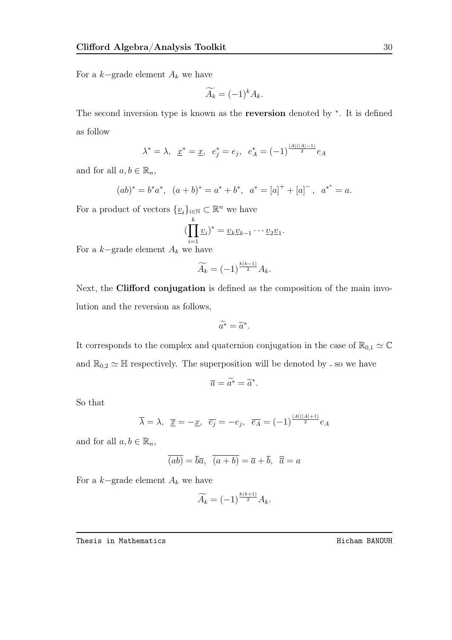For a  $k$ -grade element  $A_k$  we have

$$
\widetilde{A_k} = (-1)^k A_k.
$$

The second inversion type is known as the reversion denoted by  $*$ . It is defined as follow

$$
\lambda^* = \lambda
$$
,  $\underline{x}^* = \underline{x}$ ,  $e_j^* = e_j$ ,  $e_A^* = (-1)^{\frac{|A|(|A|-1)}{2}} e_A$ 

and for all  $a, b \in \mathbb{R}_n$ ,

$$
(ab)^* = b^*a^*, \ \ (a+b)^* = a^* + b^*, \ \ a^* = [a]^+ + [a]^-, \ \ a^{**} = a.
$$

For a product of vectors  $\{\underline{v}_i\}_{i\in\mathbb{N}}\subset\mathbb{R}^n$  we have

$$
(\prod_{i=1}^k \underline{v}_i)^* = \underline{v}_k \underline{v}_{k-1} \cdots \underline{v}_2 \underline{v}_1.
$$

For a  $k$ -grade element  $A_k$  we have

$$
\widetilde{A_k} = (-1)^{\frac{k(k-1)}{2}} A_k.
$$

Next, the Clifford conjugation is defined as the composition of the main involution and the reversion as follows,

$$
\widetilde{a^*} = \widetilde{a}^*.
$$

It corresponds to the complex and quaternion conjugation in the case of  $\mathbb{R}_{0,1} \simeq \mathbb{C}$ and  $\mathbb{R}_{0,2} \simeq \mathbb{H}$  respectively. The superposition will be denoted by - so we have

$$
\overline{a} = \widetilde{a}^* = \widetilde{a}^*.
$$

So that

$$
\overline{\lambda} = \lambda, \ \overline{\underline{x}} = -\underline{x}, \ \overline{e_j} = -e_j, \ \overline{e_A} = (-1)^{\frac{|A|(|A|+1)}{2}} e_A
$$

and for all  $a, b \in \mathbb{R}_n$ ,

$$
\overline{(ab)} = \overline{b}\overline{a}, \ \overline{(a+b)} = \overline{a} + \overline{b}, \ \overline{\overline{a}} = a
$$

For a  $k$ -grade element  $A_k$  we have

$$
\widetilde{A_k} = (-1)^{\frac{k(k+1)}{2}} A_k.
$$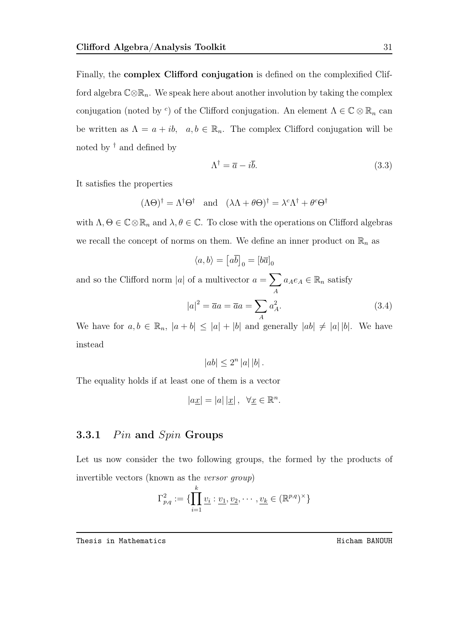Finally, the complex Clifford conjugation is defined on the complexified Clifford algebra  $\mathbb{C}\otimes\mathbb{R}_n$ . We speak here about another involution by taking the complex conjugation (noted by <sup>c</sup>) of the Clifford conjugation. An element  $\Lambda \in \mathbb{C} \otimes \mathbb{R}_n$  can be written as  $\Lambda = a + ib$ ,  $a, b \in \mathbb{R}_n$ . The complex Clifford conjugation will be noted by  $^\dagger$  and defined by

<span id="page-40-1"></span>
$$
\Lambda^{\dagger} = \overline{a} - i\overline{b}.\tag{3.3}
$$

It satisfies the properties

$$
(\Lambda \Theta)^{\dagger} = \Lambda^{\dagger} \Theta^{\dagger}
$$
 and  $(\lambda \Lambda + \theta \Theta)^{\dagger} = \lambda^{c} \Lambda^{\dagger} + \theta^{c} \Theta^{\dagger}$ 

with  $\Lambda, \Theta \in \mathbb{C} \otimes \mathbb{R}_n$  and  $\lambda, \theta \in \mathbb{C}$ . To close with the operations on Clifford algebras we recall the concept of norms on them. We define an inner product on  $\mathbb{R}_n$  as

<span id="page-40-0"></span>
$$
\langle a, b \rangle = \left[ a\overline{b} \right]_0 = \left[ b\overline{a} \right]_0
$$

and so the Clifford norm |a| of a multivector  $a = \sum$ A  $a_Ae_A \in \mathbb{R}_n$  satisfy

$$
|a|^2 = \overline{a}a = \overline{a}a = \sum_A a_A^2.
$$
 (3.4)

We have for  $a, b \in \mathbb{R}_n$ ,  $|a + b| \leq |a| + |b|$  and generally  $|ab| \neq |a| |b|$ . We have instead

$$
|ab| \le 2^n |a| |b|.
$$

The equality holds if at least one of them is a vector

$$
|a\underline{x}| = |a| |\underline{x}| \,, \, \forall \underline{x} \in \mathbb{R}^n.
$$

### 3.3.1 *Pin* and  $Spin$  Groups

Let us now consider the two following groups, the formed by the products of invertible vectors (known as the versor group)

$$
\Gamma_{p,q}^2 := \{ \prod_{i=1}^k \underline{v_i} : \underline{v_1}, \underline{v_2}, \cdots, \underline{v_k} \in (\mathbb{R}^{p,q})^{\times} \}
$$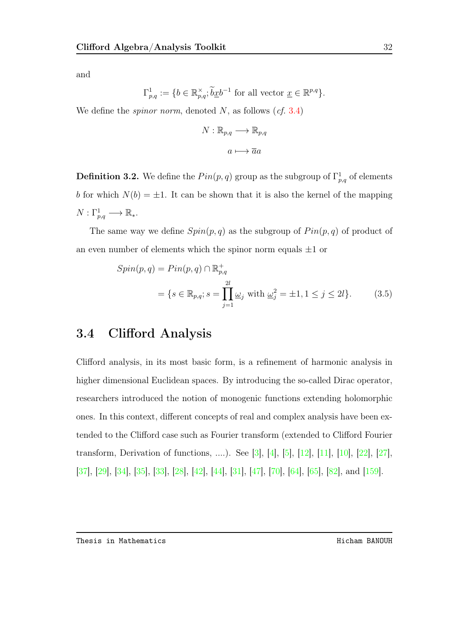and

$$
\Gamma^1_{p,q}:=\{b\in\mathbb{R}^{\times}_{p,q}; \widetilde{b}\underline{x}b^{-1} \text{ for all vector } \underline{x}\in\mathbb{R}^{p,q}\}.
$$

We define the *spinor norm*, denoted N, as follows  $(cf. 3.4)$  $(cf. 3.4)$ 

$$
N: \mathbb{R}_{p,q} \longrightarrow \mathbb{R}_{p,q}
$$

$$
a \longmapsto \overline{a}a
$$

**Definition 3.2.** We define the  $Pin(p, q)$  group as the subgroup of  $\Gamma^1_{p,q}$  of elements b for which  $N(b) = \pm 1$ . It can be shown that it is also the kernel of the mapping  $N: \Gamma^1_{p,q} \longrightarrow \mathbb{R}_*.$ 

The same way we define  $Spin(p, q)$  as the subgroup of  $Pin(p, q)$  of product of an even number of elements which the spinor norm equals  $\pm 1$  or

$$
Spin(p,q) = Pin(p,q) \cap \mathbb{R}^+_{p,q}
$$
  
=  $\{s \in \mathbb{R}_{p,q}; s = \prod_{j=1}^{2l} \underline{\omega}_j \text{ with } \underline{\omega}_j^2 = \pm 1, 1 \le j \le 2l\}.$  (3.5)

## 3.4 Clifford Analysis

Clifford analysis, in its most basic form, is a refinement of harmonic analysis in higher dimensional Euclidean spaces. By introducing the so-called Dirac operator, researchers introduced the notion of monogenic functions extending holomorphic ones. In this context, different concepts of real and complex analysis have been extended to the Clifford case such as Fourier transform (extended to Clifford Fourier transform, Derivation of functions, ....). See [\[3\]](#page-94-0), [\[4\]](#page-94-1), [\[5\]](#page-94-2), [\[12\]](#page-95-0), [\[11\]](#page-95-1), [\[10\]](#page-95-2), [\[22\]](#page-96-0), [\[27\]](#page-97-0), [\[37\]](#page-98-0), [\[29\]](#page-97-1), [\[34\]](#page-98-1), [\[35\]](#page-98-2), [\[33\]](#page-97-2), [\[28\]](#page-97-3), [\[42\]](#page-98-3), [\[44\]](#page-99-0), [\[31\]](#page-97-4), [\[47\]](#page-99-1), [\[70\]](#page-101-0), [\[64\]](#page-101-1), [\[65\]](#page-101-2), [\[82\]](#page-102-0), and [\[159\]](#page-111-1).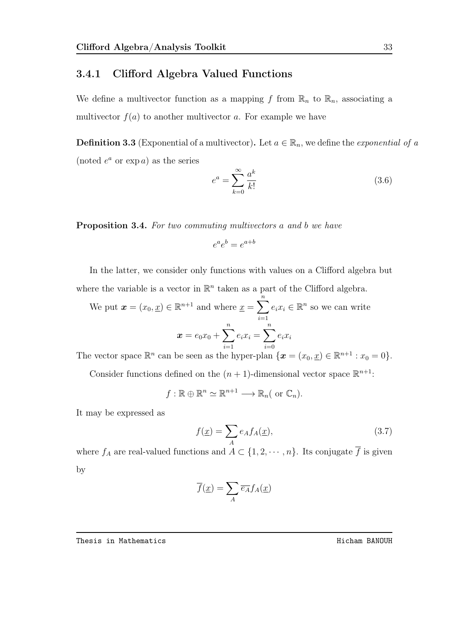### 3.4.1 Clifford Algebra Valued Functions

We define a multivector function as a mapping f from  $\mathbb{R}_n$  to  $\mathbb{R}_n$ , associating a multivector  $f(a)$  to another multivector a. For example we have

**Definition 3.3** (Exponential of a multivector). Let  $a \in \mathbb{R}_n$ , we define the exponential of a (noted  $e^a$  or  $\exp a$ ) as the series

$$
e^a = \sum_{k=0}^{\infty} \frac{a^k}{k!}
$$
 (3.6)

Proposition 3.4. For two commuting multivectors a and b we have

$$
e^a e^b = e^{a+b}
$$

In the latter, we consider only functions with values on a Clifford algebra but where the variable is a vector in  $\mathbb{R}^n$  taken as a part of the Clifford algebra.

We put  $\boldsymbol{x} = (x_0, \underline{x}) \in \mathbb{R}^{n+1}$  and where  $\underline{x} = \sum_{n=1}^n$  $i=1$  $e_i x_i \in \mathbb{R}^n$  so we can write  $\boldsymbol{x} = e_0 x_0 + \sum^n$  $i=1$  $e_i x_i = \sum^n$  $i=0$  $e_i x_i$ 

The vector space  $\mathbb{R}^n$  can be seen as the hyper-plan  $\{x = (x_0, \underline{x}) \in \mathbb{R}^{n+1} : x_0 = 0\}.$ 

Consider functions defined on the  $(n + 1)$ -dimensional vector space  $\mathbb{R}^{n+1}$ :

$$
f: \mathbb{R} \oplus \mathbb{R}^n \simeq \mathbb{R}^{n+1} \longrightarrow \mathbb{R}_n
$$
 (or  $\mathbb{C}_n$ ).

It may be expressed as

<span id="page-42-0"></span>
$$
f(\underline{x}) = \sum_{A} e_A f_A(\underline{x}), \qquad (3.7)
$$

where  $f_A$  are real-valued functions and  $A \subset \{1, 2, \cdots, n\}$ . Its conjugate  $\overline{f}$  is given by

$$
\overline{f}(\underline{x}) = \sum_{A} \overline{e_A} f_A(\underline{x})
$$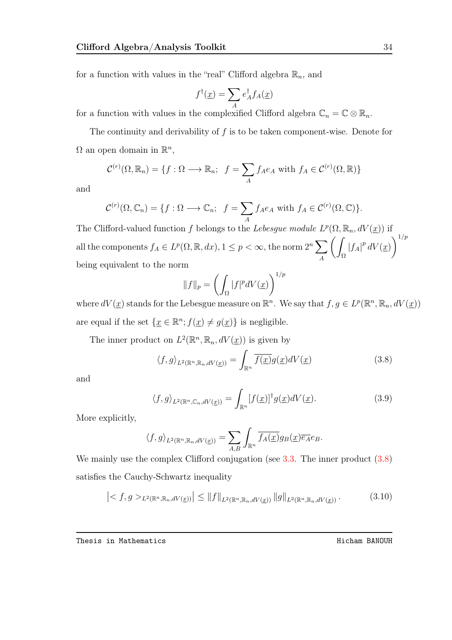for a function with values in the "real" Clifford algebra  $\mathbb{R}_n$ , and

$$
f^{\dagger}(\underline{x}) = \sum_{A} e^{\dagger}_{A} f_{A}(\underline{x})
$$

for a function with values in the complexified Clifford algebra  $\mathbb{C}_n = \mathbb{C} \otimes \mathbb{R}_n$ .

The continuity and derivability of  $f$  is to be taken component-wise. Denote for  $\Omega$  an open domain in  $\mathbb{R}^n$ ,

$$
\mathcal{C}^{(r)}(\Omega, \mathbb{R}_n) = \{ f : \Omega \longrightarrow \mathbb{R}_n; \ f = \sum_A f_A e_A \text{ with } f_A \in \mathcal{C}^{(r)}(\Omega, \mathbb{R}) \}
$$

and

$$
\mathcal{C}^{(r)}(\Omega,\mathbb{C}_n) = \{f : \Omega \longrightarrow \mathbb{C}_n; \ f = \sum_A f_A e_A \text{ with } f_A \in \mathcal{C}^{(r)}(\Omega,\mathbb{C})\}.
$$

The Clifford-valued function f belongs to the Lebesgue module  $L^p(\Omega, \mathbb{R}_n, dV(\underline{x}))$  if all the components  $f_A \in L^p(\Omega,\mathbb{R},dx)$ ,  $1 \leq p < \infty$ , the norm  $2^n$ A  $\left($ Ω  $|f_A|^p dV(\underline{x})$  $\lambda^{1/p}$ being equivalent to the norm

$$
||f||_p = \left(\int_{\Omega} |f|^p dV(\underline{x})\right)^{1/p}
$$

where  $dV(\underline{x})$  stands for the Lebesgue measure on  $\mathbb{R}^n$ . We say that  $f, g \in L^p(\mathbb{R}^n, \mathbb{R}_n, dV(\underline{x}))$ are equal if the set  $\{\underline{x} \in \mathbb{R}^n; f(\underline{x}) \neq g(\underline{x})\}$  is negligible.

The inner product on  $L^2(\mathbb{R}^n, \mathbb{R}_n, dV(\underline{x}))$  is given by

$$
\langle f, g \rangle_{L^2(\mathbb{R}^n, \mathbb{R}_n, dV(\underline{x}))} = \int_{\mathbb{R}^n} \overline{f(\underline{x})} g(\underline{x}) dV(\underline{x}) \tag{3.8}
$$

and

$$
\langle f, g \rangle_{L^2(\mathbb{R}^n, \mathbb{C}_n, dV(\underline{x}))} = \int_{\mathbb{R}^n} [f(\underline{x})]^\dagger g(\underline{x}) dV(\underline{x}). \tag{3.9}
$$

More explicitly,

$$
\langle f, g \rangle_{L^2(\mathbb{R}^n, \mathbb{R}_n, dV(\underline{x}))} = \sum_{A, B} \int_{\mathbb{R}^n} \overline{f_A(\underline{x})} g_B(\underline{x}) \overline{e_A} e_B.
$$

We mainly use the complex Clifford conjugation (see [3.3.](#page-40-1) The inner product  $(3.8)$ ) satisfies the Cauchy-Schwartz inequality

$$
\left| \langle f, g \rangle_{L^2(\mathbb{R}^n, \mathbb{R}_n, dV(\underline{x}))} \right| \le \|f\|_{L^2(\mathbb{R}^n, \mathbb{R}_n, dV(\underline{x}))} \|g\|_{L^2(\mathbb{R}^n, \mathbb{R}_n, dV(\underline{x}))}. \tag{3.10}
$$

<span id="page-43-0"></span>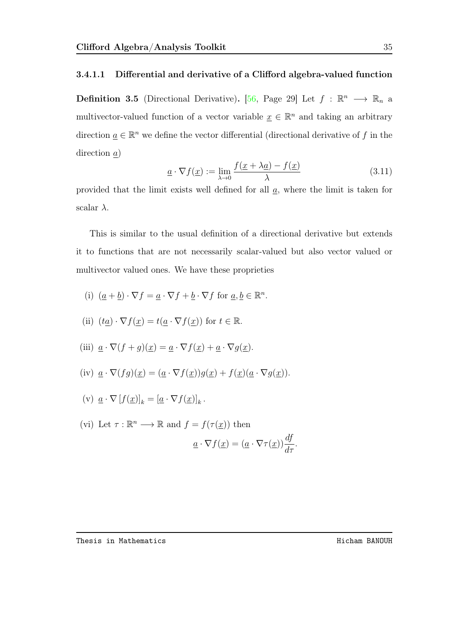#### 3.4.1.1 Differential and derivative of a Clifford algebra-valued function

<span id="page-44-0"></span>**Definition 3.5** (Directional Derivative). [\[56,](#page-100-0) Page 29] Let  $f : \mathbb{R}^n \longrightarrow \mathbb{R}_n$  a multivector-valued function of a vector variable  $\underline{x} \in \mathbb{R}^n$  and taking an arbitrary direction  $\underline{a} \in \mathbb{R}^n$  we define the vector differential (directional derivative of f in the direction a)

$$
\underline{a} \cdot \nabla f(\underline{x}) := \lim_{\lambda \to 0} \frac{f(\underline{x} + \lambda \underline{a}) - f(\underline{x})}{\lambda}
$$
\n(3.11)

provided that the limit exists well defined for all  $\underline{a}$ , where the limit is taken for scalar  $\lambda$ .

This is similar to the usual definition of a directional derivative but extends it to functions that are not necessarily scalar-valued but also vector valued or multivector valued ones. We have these proprieties

- (i)  $(\underline{a} + \underline{b}) \cdot \nabla f = \underline{a} \cdot \nabla f + \underline{b} \cdot \nabla f$  for  $\underline{a}, \underline{b} \in \mathbb{R}^n$ .
- (ii)  $(ta) \cdot \nabla f(x) = t(a \cdot \nabla f(x))$  for  $t \in \mathbb{R}$ .
- (iii)  $a \cdot \nabla (f+q)(x) = a \cdot \nabla f(x) + a \cdot \nabla q(x)$ .
- (iv)  $a \cdot \nabla (f q)(x) = (a \cdot \nabla f(x))q(x) + f(x)(a \cdot \nabla q(x)).$
- (v)  $\underline{a} \cdot \nabla [f(\underline{x})]_k = [\underline{a} \cdot \nabla f(\underline{x})]_k$ .
- (vi) Let  $\tau : \mathbb{R}^n \longrightarrow \mathbb{R}$  and  $f = f(\tau(\underline{x}))$  then  $\underline{a} \cdot \nabla f(\underline{x}) = (\underline{a} \cdot \nabla \tau(\underline{x})) \frac{df}{d\tau}$  $rac{dy}{d\tau}$ .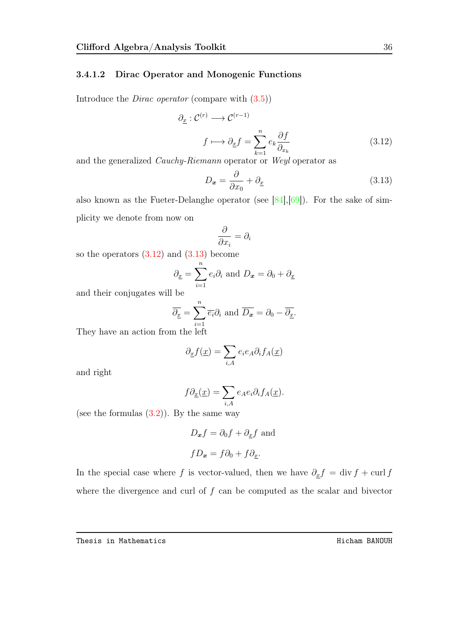#### 3.4.1.2 Dirac Operator and Monogenic Functions

Introduce the Dirac operator (compare with ([3](#page-44-0).5))

$$
\partial_{\underline{x}} : C^{(r)} \longrightarrow C^{(r-1)}
$$
\n
$$
f \longmapsto \partial_{\underline{x}} f = \sum_{k=1}^{n} e_k \frac{\partial f}{\partial x_k} \tag{3.12}
$$

and the generalized Cauchy-Riemann operator or Weyl operator as

<span id="page-45-1"></span><span id="page-45-0"></span>
$$
D_x = \frac{\partial}{\partial x_0} + \partial_{\underline{x}} \tag{3.13}
$$

also known as the Fueter-Delanghe operator (see  $[84], [69]$  $[84], [69]$  $[84], [69]$ ). For the sake of simplicity we denote from now on

$$
\frac{\partial}{\partial x_i} = \partial_i
$$

so the operators  $(3.12)$  and  $(3.13)$  become

$$
\partial_{\underline{x}} = \sum_{i=1}^{n} e_i \partial_i
$$
 and  $D_{\underline{x}} = \partial_0 + \partial_{\underline{x}}$ 

and their conjugates will be

$$
\overline{\partial_{\underline{x}}} = \sum_{i=1}^{n} \overline{e_i} \partial_i \text{ and } \overline{D_{\underline{x}}} = \partial_0 - \overline{\partial_{\underline{x}}}.
$$

They have an action from the left

$$
\partial_{\underline{x}}f(\underline{x}) = \sum_{i,A} e_i e_A \partial_i f_A(\underline{x})
$$

and right

$$
f\partial_{\underline{x}}(\underline{x}) = \sum_{i,A} e_A e_i \partial_i f_A(\underline{x}).
$$

(see the formulas  $(3.2)$ ). By the same way

$$
D_{\mathbf{x}}f = \partial_0 f + \partial_{\underline{x}} f
$$
 and  

$$
fD_{\mathbf{x}} = f\partial_0 + f\partial_{\underline{x}}.
$$

In the special case where f is vector-valued, then we have  $\partial_{\underline{x}}f = \text{div } f + \text{curl } f$ where the divergence and curl of  $f$  can be computed as the scalar and bivector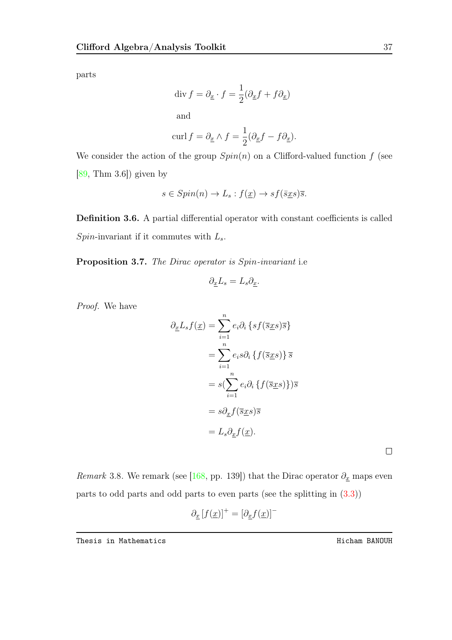parts

div 
$$
f = \partial_{\underline{x}} \cdot f = \frac{1}{2} (\partial_{\underline{x}} f + f \partial_{\underline{x}})
$$
  
and  
curl  $f = \partial_{\underline{x}} \wedge f = \frac{1}{2} (\partial_{\underline{x}} f - f \partial_{\underline{x}}).$ 

We consider the action of the group  $Spin(n)$  on a Clifford-valued function f (see  $[89, Thm 3.6]$  $[89, Thm 3.6]$  given by

$$
s \in Spin(n) \to L_s : f(\underline{x}) \to sf(\overline{s}\underline{x}s)\overline{s}.
$$

Definition 3.6. A partial differential operator with constant coefficients is called Spin-invariant if it commutes with  $L_s$ .

Proposition 3.7. The Dirac operator is Spin-invariant i.e.

$$
\partial_{\underline{x}}L_s = L_s \partial_{\underline{x}}.
$$

Proof. We have

$$
\partial_{\underline{x}}L_{s}f(\underline{x}) = \sum_{i=1}^{n} e_{i}\partial_{i} \{sf(\overline{s}\underline{x}s)\overline{s}\}
$$

$$
= \sum_{i=1}^{n} e_{i}s\partial_{i} \{f(\overline{s}\underline{x}s)\}\overline{s}
$$

$$
= s(\sum_{i=1}^{n} e_{i}\partial_{i} \{f(\overline{s}\underline{x}s)\}\overline{s})
$$

$$
= s\partial_{\underline{x}}f(\overline{s}\underline{x}s)\overline{s}
$$

$$
= L_{s}\partial_{\underline{x}}f(\underline{x}).
$$

 $\Box$ 

Remark 3.8. We remark (see [\[168,](#page-111-2) pp. 139]) that the Dirac operator  $\partial_{\underline{x}}$  maps even parts to odd parts and odd parts to even parts (see the splitting in [\(3.3\)](#page-35-0))

$$
\partial_{\underline{x}}[f(\underline{x})]^{+}=[\partial_{\underline{x}}f(\underline{x})]^{-}
$$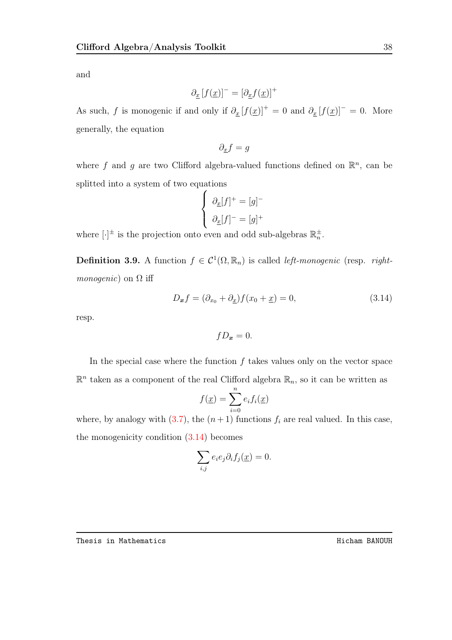and

$$
\partial_{\underline{x}}[f(\underline{x})]^- = [\partial_{\underline{x}}f(\underline{x})]^+
$$

As such, f is monogenic if and only if  $\partial_x [f(x)]^+ = 0$  and  $\partial_x [f(x)]^- = 0$ . More generally, the equation

$$
\partial_{\underline{x}}f = g
$$

where f and g are two Clifford algebra-valued functions defined on  $\mathbb{R}^n$ , can be splitted into a system of two equations

$$
\begin{cases} \partial_{\underline{x}}[f]^{+} = [g]^{-} \\ \partial_{\underline{x}}[f]^{-} = [g]^{+} \end{cases}
$$

where  $[\cdot]^{\pm}$  is the projection onto even and odd sub-algebras  $\mathbb{R}_{n}^{\pm}$ .

**Definition 3.9.** A function  $f \in C^1(\Omega, \mathbb{R}_n)$  is called *left-monogenic* (resp. *right*monogenic) on  $\Omega$  iff

$$
D_{\boldsymbol{x}}f = (\partial_{x_0} + \partial_{\underline{x}})f(x_0 + \underline{x}) = 0,\tag{3.14}
$$

resp.

<span id="page-47-0"></span>
$$
fD_x=0.
$$

In the special case where the function  $f$  takes values only on the vector space  $\mathbb{R}^n$  taken as a component of the real Clifford algebra  $\mathbb{R}_n$ , so it can be written as

$$
f(\underline{x}) = \sum_{i=0}^{n} e_i f_i(\underline{x})
$$

where, by analogy with  $(3.7)$ , the  $(n + 1)$  functions  $f_i$  are real valued. In this case, the monogenicity condition [\(3.14\)](#page-47-0) becomes

$$
\sum_{i,j} e_i e_j \partial_i f_j(\underline{x}) = 0.
$$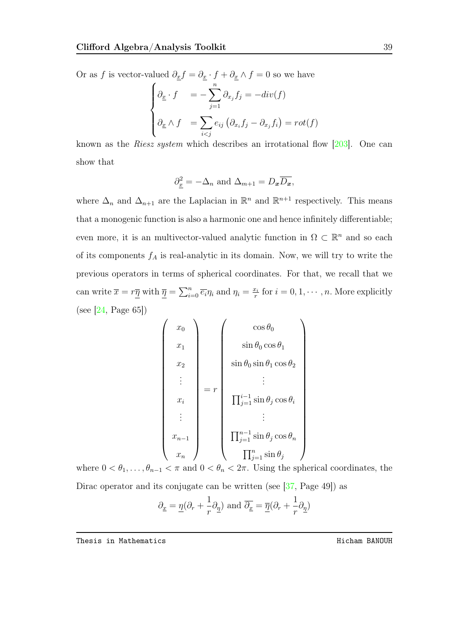Or as  $f$  is vector-valued  $\partial_{\underline{x}} f = \partial_{\underline{x}} \cdot f + \partial_{\underline{x}} \wedge f = 0$  so we have

$$
\begin{cases}\n\partial_{\underline{x}} \cdot f = -\sum_{j=1}^{n} \partial_{x_j} f_j = -div(f) \\
\partial_{\underline{x}} \wedge f = \sum_{i < j} e_{ij} \left( \partial_{x_i} f_j - \partial_{x_j} f_i \right) = rot(f)\n\end{cases}
$$

known as the *Riesz system* which describes an irrotational flow [\[203\]](#page-115-0). One can show that

$$
\partial_{\underline{x}}^2 = -\Delta_n
$$
 and  $\Delta_{m+1} = D_x \overline{D_x}$ ,

where  $\Delta_n$  and  $\Delta_{n+1}$  are the Laplacian in  $\mathbb{R}^n$  and  $\mathbb{R}^{n+1}$  respectively. This means that a monogenic function is also a harmonic one and hence infinitely differentiable; even more, it is an multivector-valued analytic function in  $\Omega \subset \mathbb{R}^n$  and so each of its components  $f_A$  is real-analytic in its domain. Now, we will try to write the previous operators in terms of spherical coordinates. For that, we recall that we can write  $\overline{x} = r\overline{\eta}$  with  $\overline{\eta} = \sum_{i=0}^{n} \overline{e_i} \eta_i$  and  $\eta_i = \frac{x_i}{r}$  $\frac{x_i}{r}$  for  $i = 0, 1, \cdots, n$ . More explicitly (see [\[24,](#page-96-1) Page 65])

$$
\begin{pmatrix}\nx_0 \\
x_1 \\
x_2 \\
\vdots \\
x_i \\
\vdots \\
x_{n-1} \\
x_n\n\end{pmatrix}\n=\n\begin{pmatrix}\n\cos \theta_0 \\
\sin \theta_0 \cos \theta_1 \\
\sin \theta_0 \sin \theta_1 \cos \theta_2 \\
\vdots \\
\sin \theta_j \cos \theta_i \\
\vdots \\
\sin \theta_j \cos \theta_n \\
\vdots \\
\prod_{j=1}^{n-1} \sin \theta_j \cos \theta_n \\
\vdots \\
\prod_{j=1}^{n} \sin \theta_j\n\end{pmatrix}
$$

where  $0 < \theta_1, \ldots, \theta_{n-1} < \pi$  and  $0 < \theta_n < 2\pi$ . Using the spherical coordinates, the Dirac operator and its conjugate can be written (see [\[37,](#page-98-0) Page 49]) as

$$
\partial_{\underline{x}} = \underline{\eta}(\partial_r + \frac{1}{r}\partial_{\underline{\eta}})
$$
 and  $\overline{\partial_{\underline{x}}} = \overline{\underline{\eta}}(\partial_r + \frac{1}{r}\partial_{\underline{\eta}})$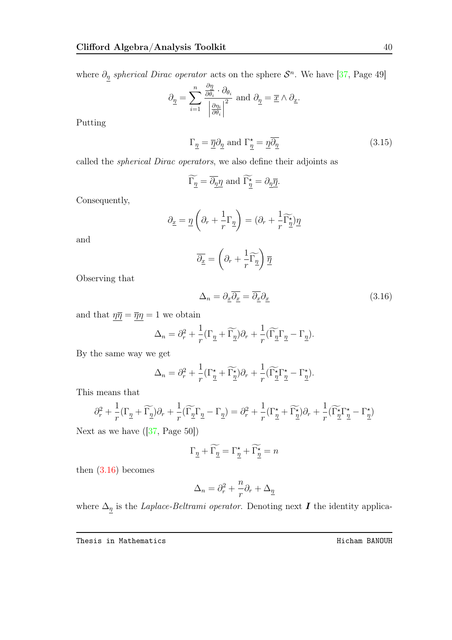where  $\partial_{\eta}$  spherical Dirac operator acts on the sphere  $S^{n}$ . We have [\[37,](#page-98-0) Page 49]

$$
\partial_{\underline{\eta}} = \sum_{i=1}^n \frac{\frac{\partial \underline{\eta}}{\partial \theta_i} \cdot \partial_{\theta_i}}{\left|\frac{\partial \eta_i}{\partial \theta_i}\right|^2} \text{ and } \partial_{\underline{\eta}} = \underline{\overline{x}} \wedge \partial_{\underline{x}}.
$$

Putting

$$
\Gamma_{\underline{\eta}} = \overline{\underline{\eta}} \partial_{\underline{\eta}} \text{ and } \Gamma_{\underline{\eta}}^{\star} = \underline{\eta} \overline{\partial_{\underline{\eta}}} \tag{3.15}
$$

called the spherical Dirac operators, we also define their adjoints as

$$
\widetilde{\Gamma_{\underline{\eta}}} = \overline{\partial_{\underline{\eta}}}\underline{\eta} \text{ and } \widetilde{\Gamma_{\underline{\eta}}} = \partial_{\underline{\eta}}\overline{\eta}.
$$

Consequently,

$$
\partial_{\underline{x}} = \underline{\eta} \left( \partial_r + \frac{1}{r} \Gamma_{\underline{\eta}} \right) = (\partial_r + \frac{1}{r} \widetilde{\Gamma_{\underline{\eta}}} \widetilde{\eta}) \underline{\eta}
$$

and

$$
\overline{\partial_{\underline{x}}} = \left(\partial_r + \frac{1}{r}\widetilde{\Gamma_{\underline{\eta}}}\right)\overline{\underline{\eta}}
$$

Observing that

<span id="page-49-0"></span>
$$
\Delta_n = \partial_{\underline{x}} \overline{\partial_{\underline{x}}} = \overline{\partial_{\underline{x}}} \partial_{\underline{x}} \tag{3.16}
$$

and that  $\eta \overline{\eta} = \overline{\eta} \eta = 1$  we obtain

$$
\Delta_n = \partial_r^2 + \frac{1}{r} (\Gamma_{\underline{\eta}} + \widetilde{\Gamma_{\underline{\eta}}} ) \partial_r + \frac{1}{r} (\widetilde{\Gamma_{\underline{\eta}}} \Gamma_{\underline{\eta}} - \Gamma_{\underline{\eta}}).
$$

By the same way we get

$$
\Delta_n = \partial_r^2 + \frac{1}{r} (\Gamma_{\underline{\eta}}^* + \widetilde{\Gamma_{\underline{\eta}}} ) \partial_r + \frac{1}{r} (\widetilde{\Gamma_{\underline{\eta}}} \Gamma_{\underline{\eta}}^* - \Gamma_{\underline{\eta}}^*).
$$

This means that

$$
\partial_r^2 + \frac{1}{r} (\Gamma_{\underline{\eta}} + \widetilde{\Gamma_{\underline{\eta}}} ) \partial_r + \frac{1}{r} (\widetilde{\Gamma_{\underline{\eta}}} \Gamma_{\underline{\eta}} - \Gamma_{\underline{\eta}}) = \partial_r^2 + \frac{1}{r} (\Gamma_{\underline{\eta}}^\star + \widetilde{\Gamma_{\underline{\eta}}^\star}) \partial_r + \frac{1}{r} (\widetilde{\Gamma_{\underline{\eta}}}^\star \Gamma_{\underline{\eta}}^\star - \Gamma_{\underline{\eta}}^\star)
$$

Next as we have ([\[37,](#page-98-0) Page 50])

$$
\Gamma_{\underline{\eta}} + \widetilde{\Gamma_{\underline{\eta}}} = \Gamma_{\underline{\eta}}^{\star} + \widetilde{\Gamma_{\underline{\eta}}^{\star}} = n
$$

then  $(3.16)$  becomes

$$
\Delta_n = \partial_r^2 + \frac{n}{r}\partial_r + \Delta_{\underline{\eta}}
$$

where  $\Delta_{\underline{\eta}}$  is the *Laplace-Beltrami operator*. Denoting next **I** the identity applica-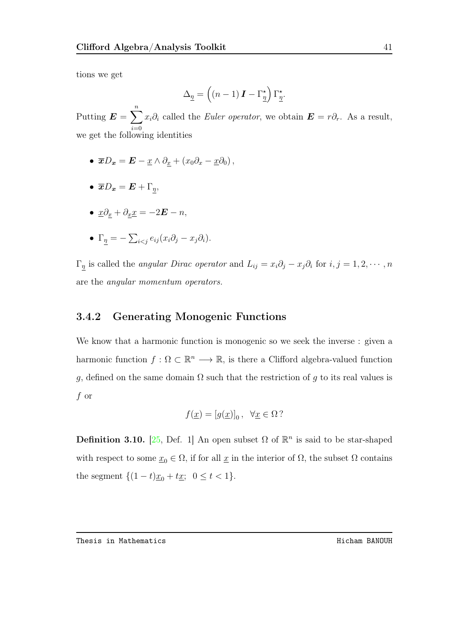tions we get

$$
\Delta_{\underline{\eta}} = \left( (n-1)\mathbf{I} - \Gamma_{\underline{\eta}}^{\star} \right) \Gamma_{\underline{\eta}}^{\star}.
$$

Putting  $\mathbf{E} = \sum_{n=1}^{n}$  $i=0$  $x_i\partial_i$  called the *Euler operator*, we obtain  $\mathbf{E} = r\partial_r$ . As a result, we get the following identities

- $\overline{x}D_x = \mathbf{E} \underline{x} \wedge \partial_x + (x_0\partial_x \underline{x}\partial_0),$
- $\overline{x}D_x = \overline{E} + \Gamma_\eta,$
- $x\partial_x + \partial_x x = -2E n$ ,
- $\Gamma_{\underline{\eta}} = -\sum_{i < j} e_{ij} (x_i \partial_j x_j \partial_i).$

 $\Gamma_{\eta}$  is called the *angular Dirac operator* and  $L_{ij} = x_i \partial_j - x_j \partial_i$  for  $i, j = 1, 2, \cdots, n$ are the angular momentum operators.

### 3.4.2 Generating Monogenic Functions

We know that a harmonic function is monogenic so we seek the inverse : given a harmonic function  $f: \Omega \subset \mathbb{R}^n \longrightarrow \mathbb{R}$ , is there a Clifford algebra-valued function g, defined on the same domain  $\Omega$  such that the restriction of g to its real values is f or

$$
f(\underline{x}) = [g(\underline{x})]_0, \ \forall \underline{x} \in \Omega?
$$

Definition 3.10. [\[25,](#page-97-5) Def. 1] An open subset  $\Omega$  of  $\mathbb{R}^n$  is said to be star-shaped with respect to some  $\underline{x}_0 \in \Omega$ , if for all  $\underline{x}$  in the interior of  $\Omega$ , the subset  $\Omega$  contains the segment  $\{(1-t)\underline{x}_0+t\underline{x};\ \ 0\leq t<1\}.$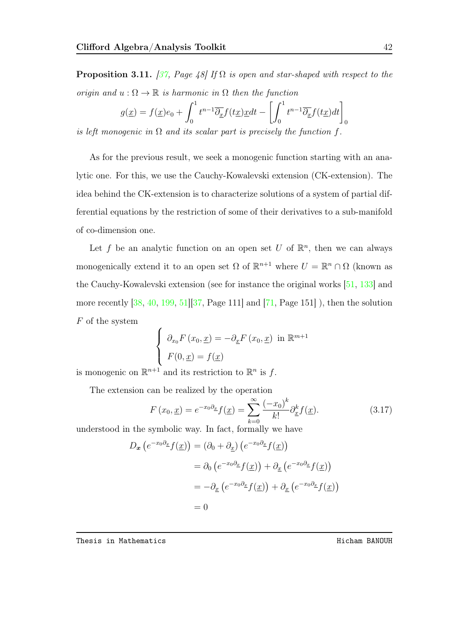**Proposition 3.11.** [\[37,](#page-98-0) Page 48] If  $\Omega$  is open and star-shaped with respect to the origin and  $u : \Omega \to \mathbb{R}$  is harmonic in  $\Omega$  then the function

$$
g(\underline{x}) = f(\underline{x})e_0 + \int_0^1 t^{n-1} \overline{\partial}_{\underline{x}} f(t\underline{x}) \underline{x} dt - \left[ \int_0^1 t^{n-1} \overline{\partial}_{\underline{x}} f(t\underline{x}) dt \right]_0^1
$$

is left monogenic in  $\Omega$  and its scalar part is precisely the function f.

As for the previous result, we seek a monogenic function starting with an analytic one. For this, we use the Cauchy-Kowalevski extension (CK-extension). The idea behind the CK-extension is to characterize solutions of a system of partial differential equations by the restriction of some of their derivatives to a sub-manifold of co-dimension one.

Let f be an analytic function on an open set U of  $\mathbb{R}^n$ , then we can always monogenically extend it to an open set  $\Omega$  of  $\mathbb{R}^{n+1}$  where  $U = \mathbb{R}^n \cap \Omega$  (known as the Cauchy-Kowalevski extension (see for instance the original works [\[51,](#page-99-2) [133\]](#page-108-0) and more recently [\[38,](#page-98-4) [40,](#page-98-5) [199,](#page-114-0) [51\]](#page-99-2)[\[37,](#page-98-0) Page 111] and [\[71,](#page-101-4) Page 151] ), then the solution  $F$  of the system

$$
\begin{cases}\n\partial_{x_0} F(x_0, \underline{x}) = -\partial_{\underline{x}} F(x_0, \underline{x}) \text{ in } \mathbb{R}^{m+1} \\
F(0, \underline{x}) = f(\underline{x})\n\end{cases}
$$

is monogenic on  $\mathbb{R}^{n+1}$  and its restriction to  $\mathbb{R}^n$  is f.

The extension can be realized by the operation

$$
F(x_0, \underline{x}) = e^{-x_0 \partial_{\underline{x}}} f(\underline{x}) = \sum_{k=0}^{\infty} \frac{(-x_0)^k}{k!} \partial_{\underline{x}}^k f(\underline{x}).
$$
\n(3.17)

understood in the symbolic way. In fact, formally we have

$$
D_{\mathbf{x}}\left(e^{-x_0\partial_{\underline{x}}}f(\underline{x})\right) = (\partial_0 + \partial_{\underline{x}})\left(e^{-x_0\partial_{\underline{x}}}f(\underline{x})\right)
$$

$$
= \partial_0\left(e^{-x_0\partial_{\underline{x}}}f(\underline{x})\right) + \partial_{\underline{x}}\left(e^{-x_0\partial_{\underline{x}}}f(\underline{x})\right)
$$

$$
= -\partial_{\underline{x}}\left(e^{-x_0\partial_{\underline{x}}}f(\underline{x})\right) + \partial_{\underline{x}}\left(e^{-x_0\partial_{\underline{x}}}f(\underline{x})\right)
$$

$$
= 0
$$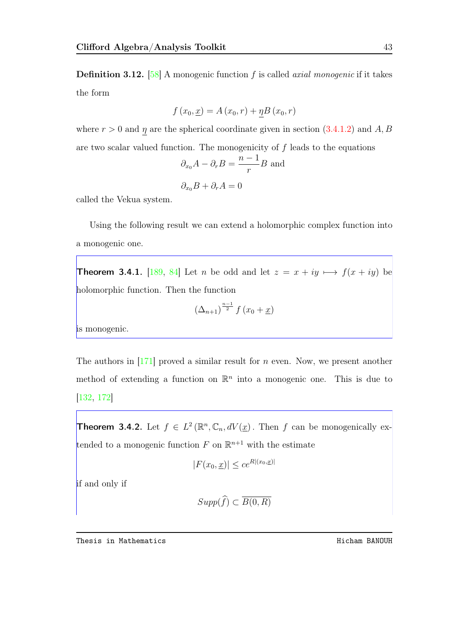**Definition 3.12.** [\[58\]](#page-100-1) A monogenic function f is called *axial monogenic* if it takes the form

$$
f(x_0, \underline{x}) = A(x_0, r) + \eta B(x_0, r)
$$

where  $r > 0$  and  $\eta$  are the spherical coordinate given in section [\(3.4.1.2\)](#page-47-0) and A, B are two scalar valued function. The monogenicity of  $f$  leads to the equations

$$
\partial_{x_0} A - \partial_r B = \frac{n-1}{r} B
$$
 and

$$
\partial_{x_0} B + \partial_r A = 0
$$

called the Vekua system.

Using the following result we can extend a holomorphic complex function into a monogenic one.

**Theorem 3.4.1.** [\[189,](#page-114-1) [84\]](#page-103-0) Let *n* be odd and let  $z = x + iy \rightarrow f(x + iy)$  be holomorphic function. Then the function

$$
(\Delta_{n+1})^{\frac{n-1}{2}} f(x_0 + \underline{x})
$$

is monogenic.

The authors in  $[171]$  proved a similar result for *n* even. Now, we present another method of extending a function on  $\mathbb{R}^n$  into a monogenic one. This is due to [\[132,](#page-108-1) [172\]](#page-112-1)

**Theorem 3.4.2.** Let  $f \in L^2(\mathbb{R}^n, \mathbb{C}_n, dV(\underline{x})$ . Then f can be monogenically extended to a monogenic function F on  $\mathbb{R}^{n+1}$  with the estimate

$$
|F(x_0, \underline{x})| \le ce^{R|(x_0, \underline{x})|}
$$

if and only if

 $Supp(\widehat{f}) \subset \overline{B(0,R)}$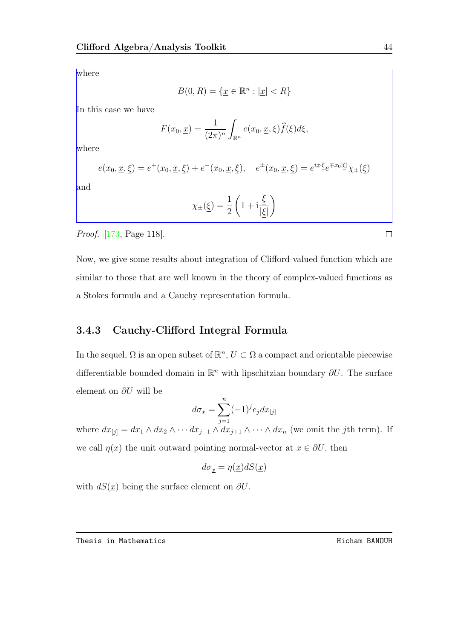where

$$
B(0,R) = \{ \underline{x} \in \mathbb{R}^n : |\underline{x}| < R \}
$$

In this case we have

$$
F(x_0, \underline{x}) = \frac{1}{(2\pi)^n} \int_{\mathbb{R}^n} e(x_0, \underline{x}, \underline{\xi}) \widehat{f}(\underline{\xi}) d\underline{\xi},
$$

where

$$
e(x_0, \underline{x}, \underline{\xi}) = e^+(x_0, \underline{x}, \underline{\xi}) + e^-(x_0, \underline{x}, \underline{\xi}), \quad e^{\pm}(x_0, \underline{x}, \underline{\xi}) = e^{i\underline{x}\cdot\xi}e^{\mp x_0|\underline{\xi}|}\chi_{\pm}(\underline{\xi})
$$

and

$$
\chi_{\pm}(\underline{\xi}) = \frac{1}{2} \left( 1 + i \frac{\underline{\xi}}{|\underline{\xi}|} \right)
$$

Proof. [\[173,](#page-112-2) Page 118].

Now, we give some results about integration of Clifford-valued function which are similar to those that are well known in the theory of complex-valued functions as a Stokes formula and a Cauchy representation formula.

### 3.4.3 Cauchy-Clifford Integral Formula

In the sequel,  $\Omega$  is an open subset of  $\mathbb{R}^n$ ,  $U \subset \Omega$  a compact and orientable piecewise differentiable bounded domain in  $\mathbb{R}^n$  with lipschitzian boundary  $\partial U$ . The surface element on ∂U will be

$$
d\sigma_{\underline{x}} = \sum_{j=1}^{n} (-1)^j e_j dx_{[j]}
$$

where  $dx_{[j]} = dx_1 \wedge dx_2 \wedge \cdots dx_{j-1} \wedge dx_{j+1} \wedge \cdots \wedge dx_n$  (we omit the jth term). If we call  $\eta(\underline{x})$  the unit outward pointing normal-vector at  $\underline{x} \in \partial U$ , then

$$
d\sigma_{\underline{x}} = \eta(\underline{x})dS(\underline{x})
$$

with  $dS(x)$  being the surface element on  $\partial U$ .

Thesis in Mathematics **Hicham BANOUH** 

 $\Box$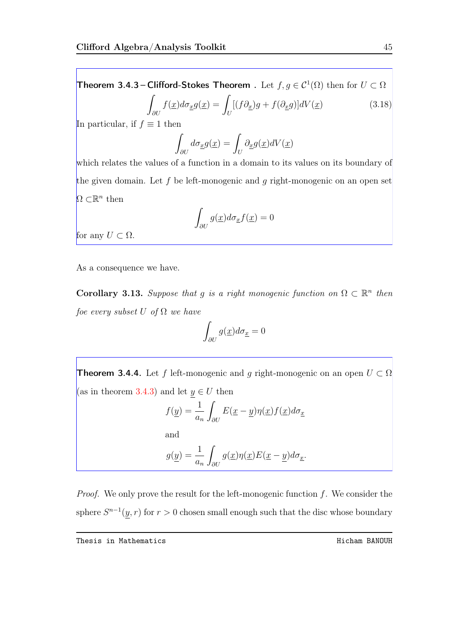<span id="page-54-0"></span>Theorem 3.4.3 – Clifford-Stokes Theorem . Let  $f, g \in C^1(\Omega)$  then for  $U \subset \Omega$ Z ∂U  $f(\underline{x})d\sigma_{\underline{x}}g(\underline{x}) =$ U  $[(f\partial_x)g + f(\partial_x g)]dV(\underline{x})$  (3.18)

In particular, if  $f \equiv 1$  then

<span id="page-54-1"></span>
$$
\int_{\partial U} d\sigma_{\underline{x}} g(\underline{x}) = \int_{U} \partial_{\underline{x}} g(\underline{x}) dV(\underline{x})
$$

which relates the values of a function in a domain to its values on its boundary of the given domain. Let  $f$  be left-monogenic and  $g$  right-monogenic on an open set  $Ω ⊂ ℝ<sup>n</sup>$  then

$$
\int_{\partial U} g(\underline{x}) d\sigma_{\underline{x}} f(\underline{x}) = 0
$$

for any  $U \subset \Omega$ .

As a consequence we have.

**Corollary 3.13.** Suppose that g is a right monogenic function on  $\Omega \subset \mathbb{R}^n$  then foe every subset U of  $\Omega$  we have

$$
\int_{\partial U} g(\underline{x}) d\sigma_{\underline{x}} = 0
$$

<span id="page-54-2"></span>**Theorem 3.4.4.** Let f left-monogenic and g right-monogenic on an open  $U \subset \Omega$ (as in theorem [3.4.3\)](#page-54-0) and let  $y \in U$  then

$$
f(\underline{y}) = \frac{1}{a_n} \int_{\partial U} E(\underline{x} - \underline{y}) \eta(\underline{x}) f(\underline{x}) d\sigma_{\underline{x}}
$$

and

$$
g(\underline{y}) = \frac{1}{a_n} \int_{\partial U} g(\underline{x}) \eta(\underline{x}) E(\underline{x} - \underline{y}) d\sigma_{\underline{x}}.
$$

*Proof.* We only prove the result for the left-monogenic function  $f$ . We consider the sphere  $S^{n-1}(y, r)$  for  $r > 0$  chosen small enough such that the disc whose boundary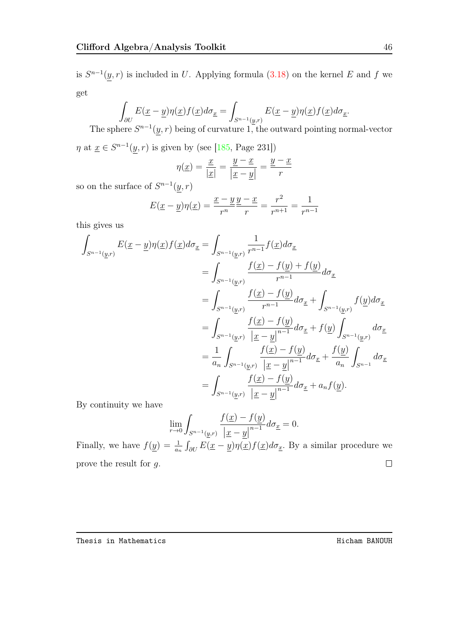is  $S^{n-1}(y, r)$  is included in U. Applying formula [\(3.18\)](#page-54-1) on the kernel E and f we get

$$
\int_{\partial U} E(\underline{x} - \underline{y}) \eta(\underline{x}) f(\underline{x}) d\sigma_{\underline{x}} = \int_{S^{n-1}(\underline{y}, r)} E(\underline{x} - \underline{y}) \eta(\underline{x}) f(\underline{x}) d\sigma_{\underline{x}}.
$$

The sphere  $S^{n-1}(y,r)$  being of curvature  $1,$  the outward pointing normal-vector

 $\eta$  at  $\underline{x} \in S^{n-1}(y, r)$  is given by (see [\[185,](#page-113-0) Page 231])

$$
\eta(\underline{x}) = \frac{\underline{x}}{|\underline{x}|} = \frac{\underline{y} - \underline{x}}{|\underline{x} - \underline{y}|} = \frac{\underline{y} - \underline{x}}{r}
$$

so on the surface of  $S^{n-1}(y,r)$ 

$$
E(\underline{x} - \underline{y})\eta(\underline{x}) = \frac{\underline{x} - \underline{y}}{r^n} \frac{\underline{y} - \underline{x}}{r} = \frac{r^2}{r^{n+1}} = \frac{1}{r^{n-1}}
$$

this gives us

$$
\int_{S^{n-1}(\underline{y},r)} E(\underline{x}-\underline{y})\eta(\underline{x})f(\underline{x})d\sigma_{\underline{x}} = \int_{S^{n-1}(\underline{y},r)} \frac{1}{r^{n-1}}f(\underline{x})d\sigma_{\underline{x}} \n= \int_{S^{n-1}(\underline{y},r)} \frac{f(\underline{x}) - f(\underline{y}) + f(\underline{y})}{r^{n-1}} d\sigma_{\underline{x}} \n= \int_{S^{n-1}(\underline{y},r)} \frac{f(\underline{x}) - f(\underline{y})}{r^{n-1}} d\sigma_{\underline{x}} + \int_{S^{n-1}(\underline{y},r)} f(\underline{y})d\sigma_{\underline{x}} \n= \int_{S^{n-1}(\underline{y},r)} \frac{f(\underline{x}) - f(\underline{y})}{|\underline{x} - \underline{y}|^{n-1}} d\sigma_{\underline{x}} + f(\underline{y}) \int_{S^{n-1}(\underline{y},r)} d\sigma_{\underline{x}} \n= \frac{1}{a_n} \int_{S^{n-1}(\underline{y},r)} \frac{f(\underline{x}) - f(\underline{y})}{|\underline{x} - \underline{y}|^{n-1}} d\sigma_{\underline{x}} + \frac{f(\underline{y})}{a_n} \int_{S^{n-1}} d\sigma_{\underline{x}} \n= \int_{S^{n-1}(\underline{y},r)} \frac{f(\underline{x}) - f(\underline{y})}{|\underline{x} - \underline{y}|^{n-1}} d\sigma_{\underline{x}} + a_n f(\underline{y}).
$$

By continuity we have

$$
\lim_{r \to 0} \int_{S^{n-1}(\underline{y}, r)} \frac{f(\underline{x}) - f(\underline{y})}{\left| \underline{x} - \underline{y} \right|^{n-1}} d\sigma_{\underline{x}} = 0.
$$

Finally, we have  $f(\underline{y}) = \frac{1}{a_n} \int_{\partial U} E(\underline{x} - \underline{y}) \eta(\underline{x}) f(\underline{x}) d\sigma_{\underline{x}}$ . By a similar procedure we prove the result for g.  $\Box$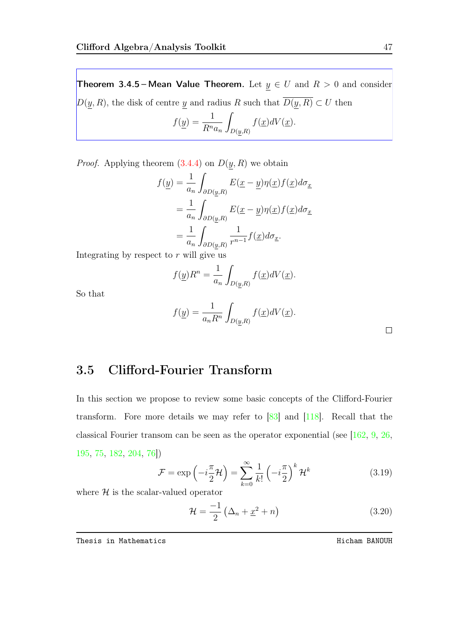Theorem 3.4.5 – Mean Value Theorem. Let  $y \in U$  and  $R > 0$  and consider  $D(\underline{y}, R)$ , the disk of centre  $\underline{y}$  and radius R such that  $\overline{D(\underline{y}, R)} \subset U$  then  $f(y) = \frac{1}{D^n}$  $R^n a_n$ Z  $D(y,R)$  $f(\underline{x})dV(\underline{x}).$ 

*Proof.* Applying theorem  $(3.4.4)$  on  $D(y, R)$  we obtain

$$
f(\underline{y}) = \frac{1}{a_n} \int_{\partial D(\underline{y}, R)} E(\underline{x} - \underline{y}) \eta(\underline{x}) f(\underline{x}) d\sigma_{\underline{x}}
$$
  
= 
$$
\frac{1}{a_n} \int_{\partial D(\underline{y}, R)} E(\underline{x} - \underline{y}) \eta(\underline{x}) f(\underline{x}) d\sigma_{\underline{x}}
$$
  
= 
$$
\frac{1}{a_n} \int_{\partial D(\underline{y}, R)} \frac{1}{r^{n-1}} f(\underline{x}) d\sigma_{\underline{x}}.
$$

Integrating by respect to  $r$  will give us

$$
f(\underline{y})R^n = \frac{1}{a_n} \int_{D(\underline{y},R)} f(\underline{x})dV(\underline{x}).
$$

So that

$$
f(\underline{y}) = \frac{1}{a_n R^n} \int_{D(\underline{y},R)} f(\underline{x}) dV(\underline{x}).
$$

 $\Box$ 

## 3.5 Clifford-Fourier Transform

In this section we propose to review some basic concepts of the Clifford-Fourier transform. Fore more details we may refer to  $[83]$  and  $[118]$ . Recall that the classical Fourier transom can be seen as the operator exponential (see  $[162, 9, 26,$  $[162, 9, 26,$  $[162, 9, 26,$  $[162, 9, 26,$  $[162, 9, 26,$ [195,](#page-114-2) [75,](#page-102-1) [182,](#page-113-1) [204,](#page-115-1) [76\]](#page-102-2))

$$
\mathcal{F} = \exp\left(-i\frac{\pi}{2}\mathcal{H}\right) = \sum_{k=0}^{\infty} \frac{1}{k!} \left(-i\frac{\pi}{2}\right)^k \mathcal{H}^k
$$
\n(3.19)

where  $H$  is the scalar-valued operator

$$
\mathcal{H} = \frac{-1}{2} \left( \Delta_n + \underline{x}^2 + n \right) \tag{3.20}
$$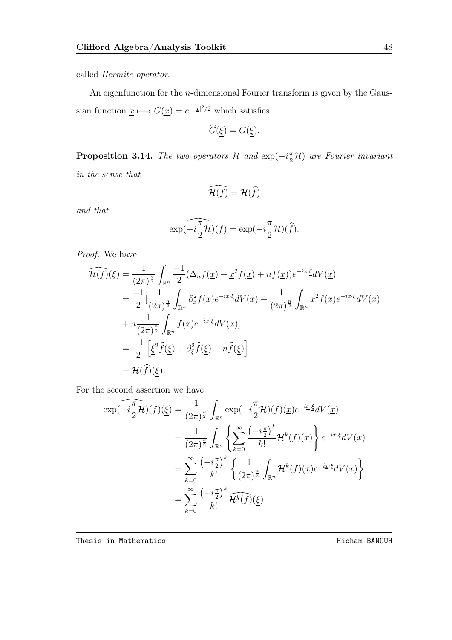called Hermite operator.

An eigenfunction for the n-dimensional Fourier transform is given by the Gaussian function  $\underline{x} \longmapsto G(\underline{x}) = e^{-|\underline{x}|^2/2}$  which satisfies

$$
G(\underline{\xi}) = G(\underline{\xi}).
$$

<span id="page-57-0"></span>**Proposition 3.14.** The two operators H and  $\exp(-i\frac{\pi}{2}H)$  are Fourier invariant in the sense that

$$
\widehat{\mathcal{H}(f)} = \mathcal{H}(\widehat{f})
$$

and that

$$
\exp\left(-i\frac{\pi}{2}\mathcal{H}\right)(f) = \exp\left(-i\frac{\pi}{2}\mathcal{H}\right)(\widehat{f}).
$$

Proof. We have

$$
\widehat{\mathcal{H}(f)}(\underline{\xi}) = \frac{1}{(2\pi)^{\frac{n}{2}}} \int_{\mathbb{R}^n} \frac{-1}{2} (\Delta_n f(\underline{x}) + \underline{x}^2 f(\underline{x}) + n f(\underline{x})) e^{-i\underline{x}\cdot\xi} dV(\underline{x})
$$
  
\n
$$
= \frac{-1}{2} \left[ \frac{1}{(2\pi)^{\frac{n}{2}}} \int_{\mathbb{R}^n} \partial_{\underline{x}}^2 f(\underline{x}) e^{-i\underline{x}\cdot\xi} dV(\underline{x}) + \frac{1}{(2\pi)^{\frac{n}{2}}} \int_{\mathbb{R}^n} \underline{x}^2 f(\underline{x}) e^{-i\underline{x}\cdot\xi} dV(\underline{x}) \right]
$$
  
\n
$$
+ n \frac{1}{(2\pi)^{\frac{n}{2}}} \int_{\mathbb{R}^n} f(\underline{x}) e^{-i\underline{x}\cdot\xi} dV(\underline{x})]
$$
  
\n
$$
= \frac{-1}{2} \left[ \underline{\xi}^2 \widehat{f}(\underline{\xi}) + \partial_{\underline{\xi}}^2 \widehat{f}(\underline{\xi}) + n \widehat{f}(\underline{\xi}) \right]
$$
  
\n
$$
= \mathcal{H}(\widehat{f})(\underline{\xi}).
$$

For the second assertion we have

$$
\exp\left(-i\frac{\pi}{2}\mathcal{H}\right)(f)(\xi) = \frac{1}{(2\pi)^{\frac{n}{2}}} \int_{\mathbb{R}^n} \exp\left(-i\frac{\pi}{2}\mathcal{H}\right)(f)(\underline{x})e^{-i\underline{x}\cdot\xi}dV(\underline{x})
$$
  
\n
$$
= \frac{1}{(2\pi)^{\frac{n}{2}}} \int_{\mathbb{R}^n} \left\{ \sum_{k=0}^{\infty} \frac{\left(-i\frac{\pi}{2}\right)^k}{k!} \mathcal{H}^k(f)(\underline{x}) \right\} e^{-i\underline{x}\cdot\xi}dV(\underline{x})
$$
  
\n
$$
= \sum_{k=0}^{\infty} \frac{\left(-i\frac{\pi}{2}\right)^k}{k!} \left\{ \frac{1}{(2\pi)^{\frac{n}{2}}} \int_{\mathbb{R}^n} \mathcal{H}^k(f)(\underline{x})e^{-i\underline{x}\cdot\xi}dV(\underline{x}) \right\}
$$
  
\n
$$
= \sum_{k=0}^{\infty} \frac{\left(-i\frac{\pi}{2}\right)^k}{k!} \widehat{\mathcal{H}^k(f)}(\underline{\xi}).
$$

Thesis in Mathematics **Hicham BANOUH Hicham BANOUH**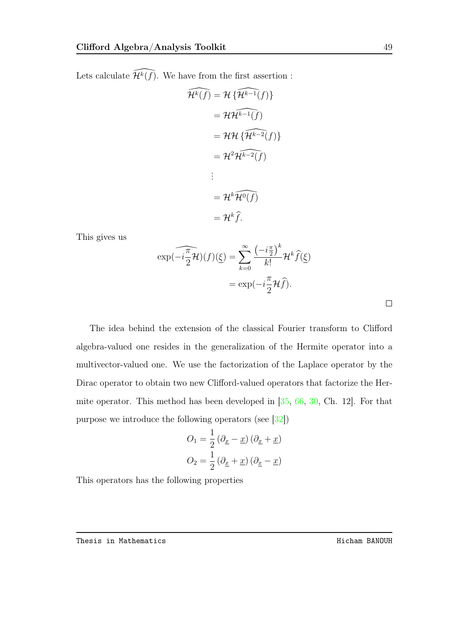Lets calculate  $\widehat{\mathcal{H}^k(f)}$ . We have from the first assertion :

$$
\widehat{\mathcal{H}^k(f)} = \mathcal{H} \{ \widehat{\mathcal{H}^{k-1}(f)} \}
$$
\n
$$
= \mathcal{H} \widehat{\mathcal{H}^{k-1}(f)}
$$
\n
$$
= \mathcal{H} \{ \widehat{\mathcal{H}^{k-2}(f)} \}
$$
\n
$$
= \mathcal{H}^2 \widehat{\mathcal{H}^{k-2}(f)}
$$
\n
$$
\vdots
$$
\n
$$
= \mathcal{H}^k \widehat{\mathcal{H}^0(f)}
$$
\n
$$
= \mathcal{H}^k \widehat{f}.
$$

This gives us

$$
\exp\left(-i\frac{\pi}{2}\mathcal{H}\right)(f)(\underline{\xi}) = \sum_{k=0}^{\infty} \frac{\left(-i\frac{\pi}{2}\right)^k}{k!} \mathcal{H}^k \widehat{f}(\underline{\xi})
$$

$$
= \exp\left(-i\frac{\pi}{2}\mathcal{H}\widehat{f}\right).
$$

The idea behind the extension of the classical Fourier transform to Clifford algebra-valued one resides in the generalization of the Hermite operator into a multivector-valued one. We use the factorization of the Laplace operator by the Dirac operator to obtain two new Clifford-valued operators that factorize the Hermite operator. This method has been developed in [\[35,](#page-98-2) [66,](#page-101-5) [30,](#page-97-7) Ch. 12]. For that purpose we introduce the following operators (see [\[32\]](#page-97-8))

$$
O_1 = \frac{1}{2} (\partial_{\underline{x}} - \underline{x}) (\partial_{\underline{x}} + \underline{x})
$$

$$
O_2 = \frac{1}{2} (\partial_{\underline{x}} + \underline{x}) (\partial_{\underline{x}} - \underline{x})
$$

This operators has the following properties

 $\Box$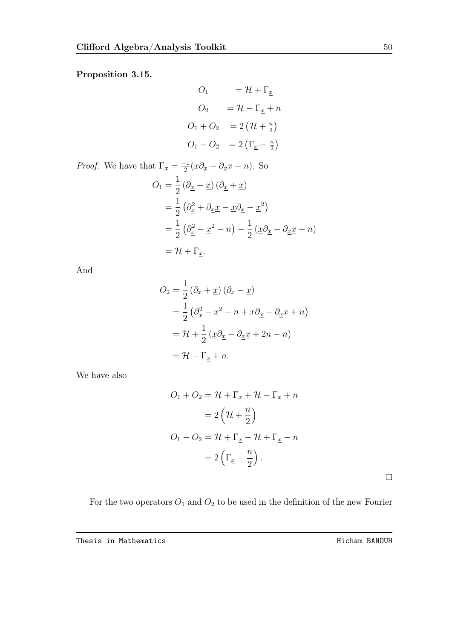#### Proposition 3.15.

$$
O_1 = \mathcal{H} + \Gamma_{\underline{x}}
$$
  
\n
$$
O_2 = \mathcal{H} - \Gamma_{\underline{x}} + n
$$
  
\n
$$
O_1 + O_2 = 2(\mathcal{H} + \frac{n}{2})
$$
  
\n
$$
O_1 - O_2 = 2(\Gamma_{\underline{x}} - \frac{n}{2})
$$

*Proof.* We have that  $\Gamma_x = \frac{-1}{2}$  $\frac{-1}{2}(\underline{x}\partial_{\underline{x}}-\partial_{\underline{x}}\underline{x}-n)$ . So  $O_1 =$ 1  $\frac{1}{2}(\partial_{\underline{x}}-\underline{x})(\partial_{\underline{x}}+\underline{x})$ = 1 2  $\left(\partial_{\underline{x}}^2 + \partial_{\underline{x}} \underline{x} - \underline{x} \partial_{\underline{x}} - \underline{x}^2\right)$ = 1 2  $\left(\partial_x^2 - x^2 - n\right) - \frac{1}{2}$  $\frac{1}{2} \left( \underline{x} \partial_{\underline{x}} - \partial_{\underline{x}} \underline{x} - n \right)$  $=$  H +  $\Gamma_{\underline{x}}$ .

And

$$
O_2 = \frac{1}{2} (\partial_{\underline{x}} + \underline{x}) (\partial_{\underline{x}} - \underline{x})
$$
  
=  $\frac{1}{2} (\partial_{\underline{x}}^2 - \underline{x}^2 - n + \underline{x} \partial_{\underline{x}} - \partial_{\underline{x}} \underline{x} + n)$   
=  $\mathcal{H} + \frac{1}{2} (\underline{x} \partial_{\underline{x}} - \partial_{\underline{x}} \underline{x} + 2n - n)$   
=  $\mathcal{H} - \Gamma_{\underline{x}} + n$ .

We have also

$$
O_1 + O_2 = \mathcal{H} + \Gamma_{\underline{x}} + \mathcal{H} - \Gamma_{\underline{x}} + n
$$

$$
= 2\left(\mathcal{H} + \frac{n}{2}\right)
$$

$$
O_1 - O_2 = \mathcal{H} + \Gamma_{\underline{x}} - \mathcal{H} + \Gamma_{\underline{x}} - n
$$

$$
= 2\left(\Gamma_{\underline{x}} - \frac{n}{2}\right).
$$

 $\Box$ 

For the two operators  $O_1$  and  $O_2$  to be used in the definition of the new Fourier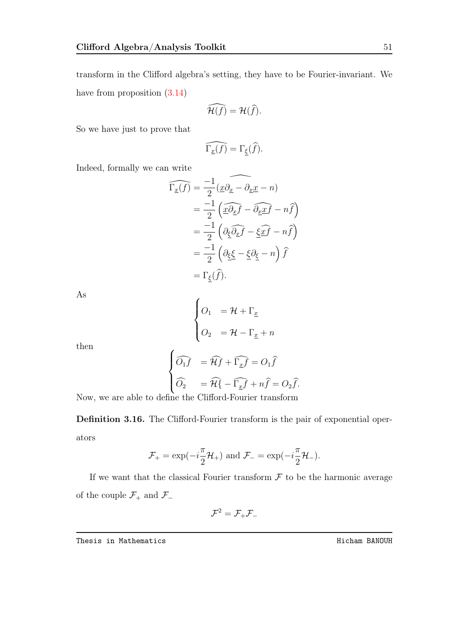transform in the Clifford algebra's setting, they have to be Fourier-invariant. We have from proposition  $(3.14)$ 

$$
\widehat{\mathcal{H}(f)} = \mathcal{H}(\widehat{f}).
$$

So we have just to prove that

$$
\widehat{\Gamma_{\underline{x}}(f)}=\Gamma_{\underline{\xi}}(\widehat{f}).
$$

Indeed, formally we can write

$$
\widehat{\Gamma_{\underline{x}}(f)} = \frac{-1}{2} (\widehat{\underline{x}\partial_{\underline{x}} - \partial_{\underline{x}\underline{x}} - n)}
$$
  
\n
$$
= \frac{-1}{2} (\widehat{\underline{x}\partial_{\underline{x}}f} - \widehat{\partial_{\underline{x}\underline{x}}f} - n\widehat{f})
$$
  
\n
$$
= \frac{-1}{2} (\partial_{\underline{\xi}} \widehat{\partial_{\underline{x}}f} - \underline{\xi}\widehat{\underline{x}f} - n\widehat{f})
$$
  
\n
$$
= \frac{-1}{2} (\partial_{\underline{\xi}}\underline{\xi} - \underline{\xi}\partial_{\underline{\xi}} - n)\widehat{f}
$$
  
\n
$$
= \Gamma_{\underline{\xi}}(\widehat{f}).
$$

As

$$
\begin{cases}\nO_1 &= \mathcal{H} + \Gamma_{\underline{x}} \\
O_2 &= \mathcal{H} - \Gamma_{\underline{x}} + n\n\end{cases}
$$

then

$$
\begin{cases}\n\widehat{O_1 f} &= \widehat{\mathcal{H} f} + \widehat{\Gamma_x f} = O_1 \widehat{f} \\
\widehat{O_2} &= \widehat{\mathcal{H} \{ - \widehat{\Gamma_x f} + n \widehat{f} = O_2 \widehat{f}.\n\end{cases}
$$

Now, we are able to define the Clifford-Fourier transform

Definition 3.16. The Clifford-Fourier transform is the pair of exponential operators

$$
\mathcal{F}_{+} = \exp(-i\frac{\pi}{2}\mathcal{H}_{+})
$$
 and 
$$
\mathcal{F}_{-} = \exp(-i\frac{\pi}{2}\mathcal{H}_{-}).
$$

If we want that the classical Fourier transform  $\mathcal F$  to be the harmonic average of the couple  $\mathcal{F}_+$  and  $\mathcal{F}_-$ 

$$
\mathcal{F}^2=\mathcal{F}_+\mathcal{F}_-
$$

Thesis in Mathematics **Hicham BANOUH Hicham BANOUH**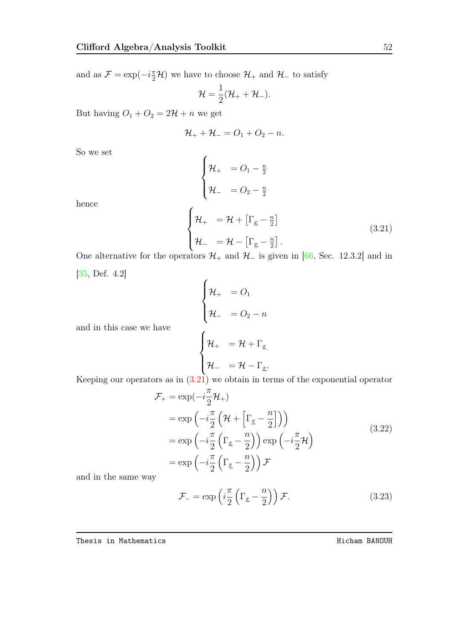and as  $\mathcal{F} = \exp(-i\frac{\pi}{2}\mathcal{H})$  we have to choose  $\mathcal{H}_+$  and  $\mathcal{H}_-$  to satisfy

$$
\mathcal{H}=\frac{1}{2}(\mathcal{H}_++\mathcal{H}_-).
$$

But having  $O_1 + O_2 = 2\mathcal{H} + n$  we get

$$
\mathcal{H}_+ + \mathcal{H}_- = O_1 + O_2 - n.
$$

So we set

hence

<span id="page-61-0"></span>
$$
\begin{cases}\n\mathcal{H}_{+} = O_{1} - \frac{n}{2} \\
\mathcal{H}_{-} = O_{2} - \frac{n}{2}\n\end{cases}
$$
\n
$$
\begin{cases}\n\mathcal{H}_{+} = \mathcal{H} + \left[\Gamma_{\underline{x}} - \frac{n}{2}\right] \\
\mathcal{H}_{-} = \mathcal{H} - \left[\Gamma_{\underline{x}} - \frac{n}{2}\right].\n\end{cases}
$$
\n(3.21)

One alternative for the operators  $\mathcal{H}_+$  and  $\mathcal{H}_-$  is given in [\[66,](#page-101-5) Sec. 12.3.2] and in [\[35,](#page-98-2) Def. 4.2]  $\overline{ }$ 

and in this case we have  
\n
$$
\begin{cases}\n\mathcal{H}_{+} = O_{1} \\
\mathcal{H}_{-} = O_{2} - n \\
\mathcal{H}_{+} = \mathcal{H} + \Gamma_{\underline{x}} \\
\mathcal{H}_{-} = \mathcal{H} - \Gamma_{\underline{x}}.\n\end{cases}
$$

Keeping our operators as in  $(3.21)$  we obtain in terms of the exponential operator

<span id="page-61-1"></span>
$$
\mathcal{F}_{+} = \exp(-i\frac{\pi}{2}\mathcal{H}_{+})
$$
\n
$$
= \exp\left(-i\frac{\pi}{2}\left(\mathcal{H} + \left[\Gamma_{\underline{x}} - \frac{n}{2}\right]\right)\right)
$$
\n
$$
= \exp\left(-i\frac{\pi}{2}\left(\Gamma_{\underline{x}} - \frac{n}{2}\right)\right)\exp\left(-i\frac{\pi}{2}\mathcal{H}\right)
$$
\n
$$
= \exp\left(-i\frac{\pi}{2}\left(\Gamma_{\underline{x}} - \frac{n}{2}\right)\right)\mathcal{F}
$$
\n(3.22)

and in the same way

$$
\mathcal{F}_{-} = \exp\left(i\frac{\pi}{2}\left(\Gamma_{\underline{x}} - \frac{n}{2}\right)\right)\mathcal{F}.\tag{3.23}
$$

Thesis in Mathematics **Hicham BANOUH Hicham BANOUH** 

<span id="page-61-2"></span>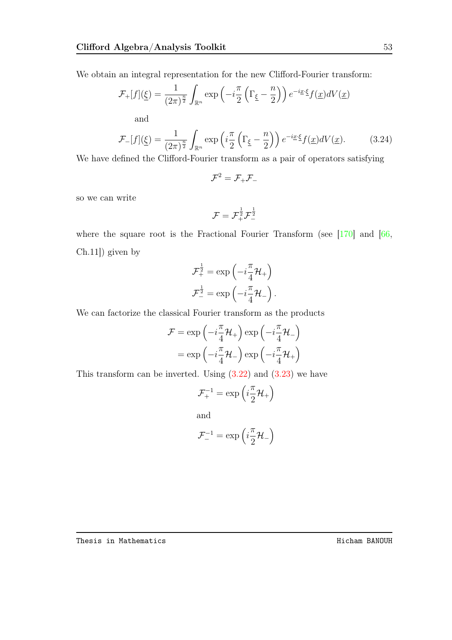We obtain an integral representation for the new Clifford-Fourier transform:

$$
\mathcal{F}_{+}[f](\underline{\xi}) = \frac{1}{(2\pi)^{\frac{n}{2}}} \int_{\mathbb{R}^n} \exp\left(-i\frac{\pi}{2}\left(\Gamma_{\underline{\xi}} - \frac{n}{2}\right)\right) e^{-i\underline{x}\cdot\xi} f(\underline{x}) dV(\underline{x})
$$

and

$$
\mathcal{F}_{-}[f](\underline{\xi}) = \frac{1}{(2\pi)^{\frac{n}{2}}} \int_{\mathbb{R}^n} \exp\left(i\frac{\pi}{2}\left(\Gamma_{\underline{\xi}} - \frac{n}{2}\right)\right) e^{-i\underline{x}\cdot\xi} f(\underline{x}) dV(\underline{x}).\tag{3.24}
$$

We have defined the Clifford-Fourier transform as a pair of operators satisfying

<span id="page-62-0"></span>
$$
\mathcal{F}^2=\mathcal{F}_+\mathcal{F}_-
$$

so we can write

$$
\mathcal{F}=\mathcal{F}_{+}^{\frac{1}{2}}\mathcal{F}_{-}^{\frac{1}{2}}
$$

where the square root is the Fractional Fourier Transform (see  $[170]$  and  $[66]$ , Ch.11]) given by

$$
\mathcal{F}_{+}^{\frac{1}{2}} = \exp\left(-i\frac{\pi}{4}\mathcal{H}_{+}\right)
$$

$$
\mathcal{F}_{-}^{\frac{1}{2}} = \exp\left(-i\frac{\pi}{4}\mathcal{H}_{-}\right).
$$

We can factorize the classical Fourier transform as the products

$$
\mathcal{F} = \exp\left(-i\frac{\pi}{4}\mathcal{H}_+\right) \exp\left(-i\frac{\pi}{4}\mathcal{H}_-\right)
$$

$$
= \exp\left(-i\frac{\pi}{4}\mathcal{H}_-\right) \exp\left(-i\frac{\pi}{4}\mathcal{H}_+\right)
$$

This transform can be inverted. Using  $(3.22)$  and  $(3.23)$  we have

$$
\mathcal{F}_{+}^{-1}=\exp\left(i\frac{\pi}{2}\mathcal{H}_{+}\right)
$$

and

$$
\mathcal{F}_-^{-1} = \exp\left(i\frac{\pi}{2}\mathcal{H}_-\right)
$$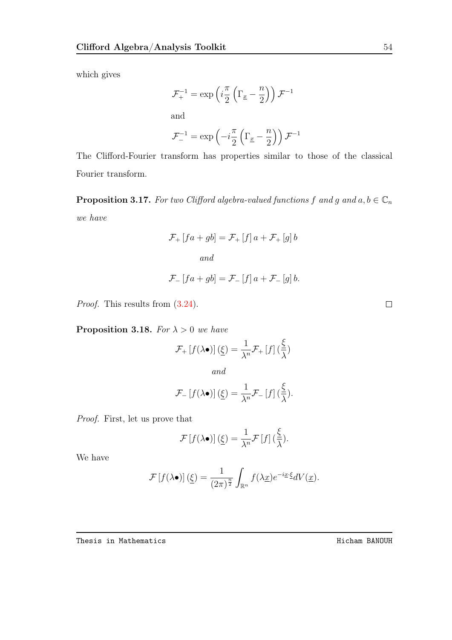which gives

$$
\mathcal{F}_{+}^{-1} = \exp\left(i\frac{\pi}{2}\left(\Gamma_{\underline{x}} - \frac{n}{2}\right)\right)\mathcal{F}^{-1}
$$
  
and  

$$
\mathcal{F}_{-}^{-1} = \exp\left(-i\frac{\pi}{2}\left(\Gamma_{\underline{x}} - \frac{n}{2}\right)\right)\mathcal{F}^{-1}
$$

The Clifford-Fourier transform has properties similar to those of the classical Fourier transform.

**Proposition 3.17.** For two Clifford algebra-valued functions f and g and  $a, b \in \mathbb{C}_n$ we have

$$
\mathcal{F}_{+}[fa+gb] = \mathcal{F}_{+}[f]a + \mathcal{F}_{+}[g]b
$$
  
and  

$$
\mathcal{F}_{-}[fa+gb] = \mathcal{F}_{-}[f]a + \mathcal{F}_{-}[g]b.
$$

Proof. This results from  $(3.24)$ .

**Proposition 3.18.** For  $\lambda > 0$  we have

$$
\mathcal{F}_{+}[f(\lambda \bullet)](\underline{\xi}) = \frac{1}{\lambda^{n}} \mathcal{F}_{+}[f](\frac{\xi}{\lambda})
$$
  
and  

$$
\mathcal{F}_{-}[f(\lambda \bullet)](\underline{\xi}) = \frac{1}{\lambda^{n}} \mathcal{F}_{-}[f](\frac{\xi}{\lambda}).
$$

$$
= -\lambda^n
$$

Proof. First, let us prove that

$$
\mathcal{F}[f(\lambda \bullet)]\left(\underline{\xi}\right) = \frac{1}{\lambda^n}\mathcal{F}[f]\left(\frac{\underline{\xi}}{\lambda}\right).
$$

λ

We have

$$
\mathcal{F}[f(\lambda \bullet)]\left(\underline{\xi}\right) = \frac{1}{(2\pi)^{\frac{n}{2}}} \int_{\mathbb{R}^n} f(\lambda \underline{x}) e^{-i\underline{x}\cdot \underline{\xi}} dV(\underline{x}).
$$

Thesis in Mathematics **Hicham BANOUH Hicham BANOUH** 

 $\Box$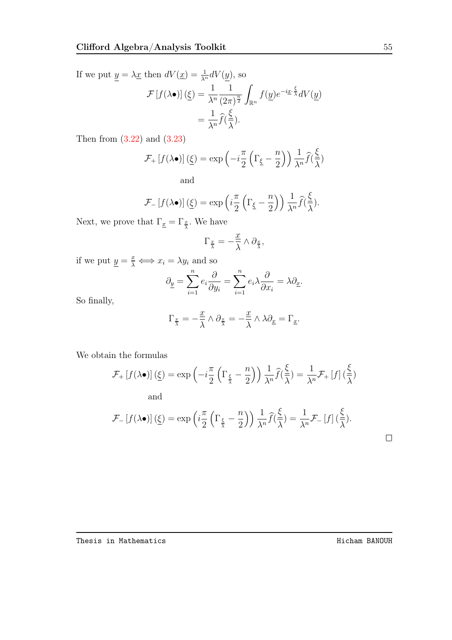If we put  $\underline{y} = \lambda \underline{x}$  then  $dV(\underline{x}) = \frac{1}{\lambda^n} dV(\underline{y})$ , so

$$
\mathcal{F}[f(\lambda \bullet)]\left(\underline{\xi}\right) = \frac{1}{\lambda^n} \frac{1}{(2\pi)^{\frac{n}{2}}} \int_{\mathbb{R}^n} f(\underline{y}) e^{-i\underline{x}\cdot \frac{\xi}{\lambda}} dV(\underline{y})
$$

$$
= \frac{1}{\lambda^n} \widehat{f}(\frac{\xi}{\lambda}).
$$

Then from [\(3.22\)](#page-61-1) and [\(3.23\)](#page-61-2)

$$
\mathcal{F}_{+}[f(\lambda \bullet)]\left(\underline{\xi}\right) = \exp\left(-i\frac{\pi}{2}\left(\Gamma_{\underline{\xi}} - \frac{n}{2}\right)\right)\frac{1}{\lambda^{n}}\widehat{f}(\frac{\xi}{\lambda})
$$

and

$$
\mathcal{F}_{-}[f(\lambda \bullet)]\left(\underline{\xi}\right) = \exp\left(i\frac{\pi}{2}\left(\Gamma_{\underline{\xi}} - \frac{n}{2}\right)\right) \frac{1}{\lambda^{n}} \widehat{f}\left(\frac{\xi}{\lambda}\right).
$$

Next, we prove that  $\Gamma_{\underline{x}} = \Gamma_{\frac{x}{\overline{\lambda}}}$ . We have

$$
\Gamma_{\frac{x}{\overline{\lambda}}} = -\frac{x}{\overline{\lambda}} \wedge \partial_{\frac{x}{\overline{\lambda}}},
$$

if we put  $\underline{y} = \frac{x}{\lambda} \Longleftrightarrow x_i = \lambda y_i$  and so

$$
\partial_{\underline{y}} = \sum_{i=1}^{n} e_i \frac{\partial}{\partial y_i} = \sum_{i=1}^{n} e_i \lambda \frac{\partial}{\partial x_i} = \lambda \partial_{\underline{x}}.
$$

So finally,

$$
\Gamma_{\frac{x}{\lambda}}=-\frac{x}{\lambda}\wedge\partial_{\frac{x}{\lambda}}=-\frac{x}{\lambda}\wedge\lambda\partial_{\underline{x}}=\Gamma_{\underline{x}}.
$$

We obtain the formulas

$$
\mathcal{F}_{+}[f(\lambda \bullet)](\underline{\xi}) = \exp\left(-i\frac{\pi}{2}\left(\Gamma_{\frac{\xi}{\lambda}} - \frac{n}{2}\right)\right) \frac{1}{\lambda^{n}} \widehat{f}(\frac{\xi}{\lambda}) = \frac{1}{\lambda^{n}} \mathcal{F}_{+}[f](\frac{\xi}{\lambda})
$$
  
and  

$$
\mathcal{F}_{-}[f(\lambda \bullet)](\underline{\xi}) = \exp\left(i\frac{\pi}{2}\left(\Gamma_{\frac{\xi}{\lambda}} - \frac{n}{2}\right)\right) \frac{1}{\lambda^{n}} \widehat{f}(\frac{\xi}{\lambda}) = \frac{1}{\lambda^{n}} \mathcal{F}_{-}[f](\frac{\xi}{\lambda}).
$$

 $\Box$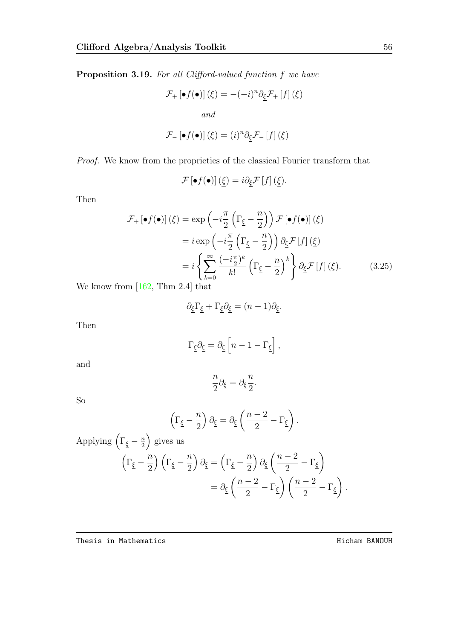Proposition 3.19. For all Clifford-valued function f we have

$$
\mathcal{F}_{+}\left[\bullet f(\bullet)\right](\underline{\xi}) = -(-i)^{n}\partial_{\underline{\xi}}\mathcal{F}_{+}\left[f\right](\underline{\xi})
$$
  
and

$$
\mathcal{F}_{-}\left[\bullet f(\bullet)\right](\underline{\xi})=(i)^{n}\partial_{\underline{\xi}}\mathcal{F}_{-}\left[f\right](\underline{\xi})
$$

Proof. We know from the proprieties of the classical Fourier transform that

$$
\mathcal{F}\left[\bullet f\left(\bullet\right)\right]\left(\underline{\xi}\right) = i\partial_{\underline{\xi}}\mathcal{F}\left[f\right]\left(\underline{\xi}\right).
$$

Then

$$
\mathcal{F}_{+}\left[\bullet f(\bullet)\right](\underline{\xi}) = \exp\left(-i\frac{\pi}{2}\left(\Gamma_{\underline{\xi}} - \frac{n}{2}\right)\right)\mathcal{F}\left[\bullet f(\bullet)\right](\underline{\xi})
$$

$$
= i \exp\left(-i\frac{\pi}{2}\left(\Gamma_{\underline{\xi}} - \frac{n}{2}\right)\right)\partial_{\underline{\xi}}\mathcal{F}\left[f\right](\underline{\xi})
$$

$$
= i \left\{\sum_{k=0}^{\infty} \frac{(-i\frac{\pi}{2})^{k}}{k!} \left(\Gamma_{\underline{\xi}} - \frac{n}{2}\right)^{k}\right\} \partial_{\underline{\xi}}\mathcal{F}\left[f\right](\underline{\xi}). \tag{3.25}
$$

We know from [\[162,](#page-111-3) Thm 2.4] that

$$
\partial_{\underline{\xi}}\Gamma_{\underline{\xi}} + \Gamma_{\underline{\xi}}\partial_{\underline{\xi}} = (n-1)\partial_{\underline{\xi}}.
$$

Then

$$
\Gamma_{\underline{\xi}}\partial_{\underline{\xi}} = \partial_{\underline{\xi}}\left[n-1-\Gamma_{\underline{\xi}}\right],
$$

<span id="page-65-0"></span>n 2 .

and

So

$$
\left(\Gamma_{\underline{\xi}} - \frac{n}{2}\right)\partial_{\underline{\xi}} = \partial_{\underline{\xi}}\left(\frac{n-2}{2} - \Gamma_{\underline{\xi}}\right).
$$

 $\frac{\pi}{2}\partial_{\xi}=\partial_{\xi}$ 

Applying 
$$
(\Gamma_{\underline{\xi}} - \frac{n}{2})
$$
 gives us  
\n
$$
(\Gamma_{\underline{\xi}} - \frac{n}{2}) (\Gamma_{\underline{\xi}} - \frac{n}{2}) \partial_{\underline{\xi}} = (\Gamma_{\underline{\xi}} - \frac{n}{2}) \partial_{\underline{\xi}} (\frac{n-2}{2} - \Gamma_{\underline{\xi}})
$$
\n
$$
= \partial_{\underline{\xi}} (\frac{n-2}{2} - \Gamma_{\underline{\xi}}) (\frac{n-2}{2} - \Gamma_{\underline{\xi}})
$$

n

Thesis in Mathematics **Hicham BANOUH** 

.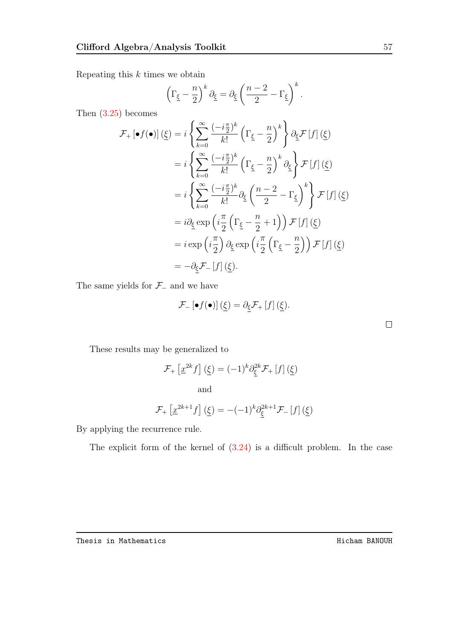Repeating this  $k$  times we obtain

$$
\left(\Gamma_{\underline{\xi}} - \frac{n}{2}\right)^k \partial_{\underline{\xi}} = \partial_{\underline{\xi}} \left(\frac{n-2}{2} - \Gamma_{\underline{\xi}}\right)^k.
$$

Then [\(3.25\)](#page-65-0) becomes

$$
\mathcal{F}_{+}\left[\bullet f(\bullet)\right](\underline{\xi}) = i \left\{ \sum_{k=0}^{\infty} \frac{(-i\frac{\pi}{2})^{k}}{k!} \left(\Gamma_{\underline{\xi}} - \frac{n}{2}\right)^{k} \right\} \partial_{\underline{\xi}} \mathcal{F}\left[f\right](\underline{\xi})
$$

$$
= i \left\{ \sum_{k=0}^{\infty} \frac{(-i\frac{\pi}{2})^{k}}{k!} \left(\Gamma_{\underline{\xi}} - \frac{n}{2}\right)^{k} \partial_{\underline{\xi}} \right\} \mathcal{F}\left[f\right](\underline{\xi})
$$

$$
= i \left\{ \sum_{k=0}^{\infty} \frac{(-i\frac{\pi}{2})^{k}}{k!} \partial_{\underline{\xi}} \left(\frac{n-2}{2} - \Gamma_{\underline{\xi}}\right)^{k} \right\} \mathcal{F}\left[f\right](\underline{\xi})
$$

$$
= i \partial_{\underline{\xi}} \exp\left(i\frac{\pi}{2}\left(\Gamma_{\underline{\xi}} - \frac{n}{2} + 1\right)\right) \mathcal{F}\left[f\right](\underline{\xi})
$$

$$
= i \exp\left(i\frac{\pi}{2}\right) \partial_{\underline{\xi}} \exp\left(i\frac{\pi}{2}\left(\Gamma_{\underline{\xi}} - \frac{n}{2}\right)\right) \mathcal{F}\left[f\right](\underline{\xi})
$$

$$
= -\partial_{\underline{\xi}} \mathcal{F}_{-}\left[f\right](\underline{\xi}).
$$

The same yields for  $\mathcal{F}_-$  and we have

$$
\mathcal{F}_{-}\left[\bullet f(\bullet)\right](\underline{\xi})=\partial_{\underline{\xi}}\mathcal{F}_{+}\left[f\right](\underline{\xi}).
$$

These results may be generalized to

$$
\mathcal{F}_{+}\left[\underline{x}^{2k}f\right](\underline{\xi}) = (-1)^{k}\partial_{\underline{\xi}}^{2k}\mathcal{F}_{+}\left[f\right](\underline{\xi})
$$
  
and  

$$
\mathcal{F}_{+}\left[\underline{x}^{2k+1}f\right](\underline{\xi}) = -(-1)^{k}\partial_{\xi}^{2k+1}\mathcal{F}_{-}\left[f\right](\underline{\xi})
$$

By applying the recurrence rule.

The explicit form of the kernel of [\(3.24\)](#page-62-0) is a difficult problem. In the case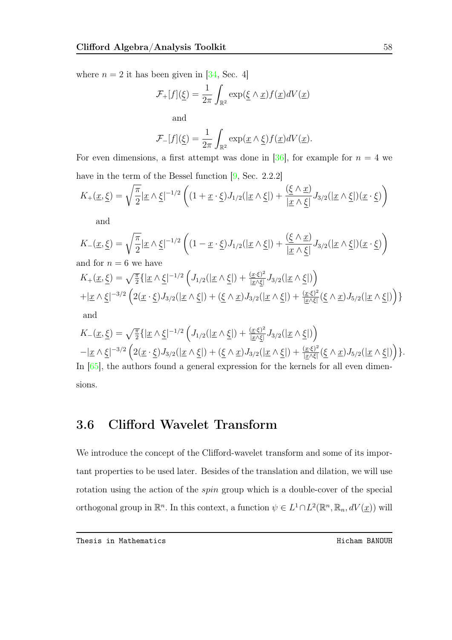where  $n = 2$  it has been given in [\[34,](#page-98-1) Sec. 4]

$$
\mathcal{F}_+[f](\underline{\xi})=\frac{1}{2\pi}\int_{\mathbb{R}^2}\exp(\underline{\xi}\wedge\underline{x})f(\underline{x})dV(\underline{x})
$$
 and

$$
\mathcal{F}_{-}[f](\underline{\xi}) = \frac{1}{2\pi} \int_{\mathbb{R}^2} \exp(\underline{x} \wedge \underline{\xi}) f(\underline{x}) dV(\underline{x}).
$$

For even dimensions, a first attempt was done in [\[36\]](#page-98-6), for example for  $n = 4$  we have in the term of the Bessel function [\[9,](#page-95-3) Sec. 2.2.2]

$$
K_{+}(\underline{x},\underline{\xi}) = \sqrt{\frac{\pi}{2}} |\underline{x} \wedge \underline{\xi}|^{-1/2} \left( (1 + \underline{x} \cdot \underline{\xi}) J_{1/2}(|\underline{x} \wedge \underline{\xi}|) + \frac{(\underline{\xi} \wedge \underline{x})}{|\underline{x} \wedge \underline{\xi}|} J_{3/2}(|\underline{x} \wedge \underline{\xi}|)(\underline{x} \cdot \underline{\xi}) \right)
$$

and

$$
K_{-}(\underline{x}, \underline{\xi}) = \sqrt{\frac{\pi}{2}} |\underline{x} \wedge \underline{\xi}|^{-1/2} \left( (1 - \underline{x} \cdot \underline{\xi}) J_{1/2}(|\underline{x} \wedge \underline{\xi}|) + \frac{(\underline{\xi} \wedge \underline{x})}{|\underline{x} \wedge \underline{\xi}|} J_{3/2}(|\underline{x} \wedge \underline{\xi}|)(\underline{x} \cdot \underline{\xi}) \right)
$$
  
and for  $n = 6$  we have

$$
K_{+}(\underline{x},\underline{\xi}) = \sqrt{\frac{\pi}{2}} \{ |\underline{x} \wedge \underline{\xi}|^{-1/2} \left( J_{1/2}(|\underline{x} \wedge \underline{\xi}|) + \frac{(\underline{x} \cdot \xi)^2}{|\underline{x} \wedge \underline{\xi}|} J_{3/2}(|\underline{x} \wedge \underline{\xi}|) \right) + |\underline{x} \wedge \underline{\xi}|^{-3/2} \left( 2(\underline{x} \cdot \underline{\xi}) J_{3/2}(|\underline{x} \wedge \underline{\xi}|) + (\underline{\xi} \wedge \underline{x}) J_{3/2}(|\underline{x} \wedge \underline{\xi}|) + \frac{(\underline{x} \cdot \xi)^2}{|\underline{x} \wedge \underline{\xi}|} (\underline{\xi} \wedge \underline{x}) J_{5/2}(|\underline{x} \wedge \underline{\xi}|) \right) \}
$$
 and

$$
K_{-}(\underline{x},\underline{\xi}) = \sqrt{\frac{\pi}{2}} \{ |\underline{x} \wedge \underline{\xi}|^{-1/2} \left( J_{1/2}(|\underline{x} \wedge \underline{\xi}|) + \frac{(\underline{x} \cdot \xi)^2}{|\underline{x} \wedge \underline{\xi}|} J_{3/2}(|\underline{x} \wedge \underline{\xi}|) \right) - |\underline{x} \wedge \underline{\xi}|^{-3/2} \left( 2(\underline{x} \cdot \underline{\xi}) J_{3/2}(|\underline{x} \wedge \underline{\xi}|) + (\underline{\xi} \wedge \underline{x}) J_{3/2}(|\underline{x} \wedge \underline{\xi}|) + \frac{(\underline{x} \cdot \xi)^2}{|\underline{x} \wedge \underline{\xi}|} (\underline{\xi} \wedge \underline{x}) J_{5/2}(|\underline{x} \wedge \underline{\xi}|) \right) \}.
$$
  
In [65], the authors found a general expression for the kernels for all even dimensions.

## 3.6 Clifford Wavelet Transform

We introduce the concept of the Clifford-wavelet transform and some of its important properties to be used later. Besides of the translation and dilation, we will use rotation using the action of the *spin* group which is a double-cover of the special orthogonal group in  $\mathbb{R}^n$ . In this context, a function  $\psi \in L^1 \cap L^2(\mathbb{R}^n, \mathbb{R}_n, dV(\underline{x}))$  will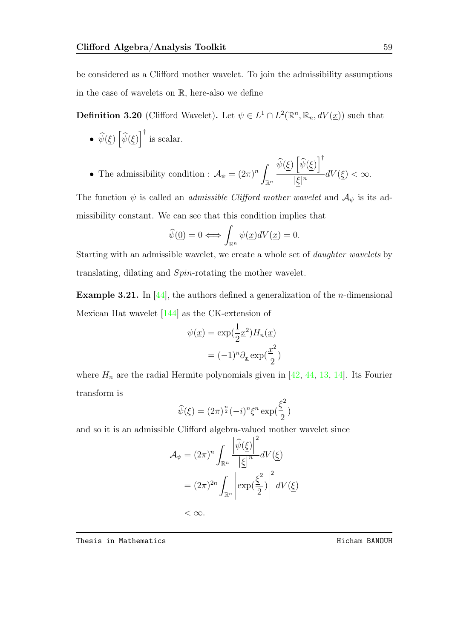be considered as a Clifford mother wavelet. To join the admissibility assumptions in the case of wavelets on R, here-also we define

<span id="page-68-0"></span>**Definition 3.20** (Clifford Wavelet). Let  $\psi \in L^1 \cap L^2(\mathbb{R}^n, \mathbb{R}_n, dV(\underline{x}))$  such that

- $\widehat{\psi}(\underline{\xi}) \left[ \widehat{\psi}(\underline{\xi}) \right]^{\dagger}$  is scalar.
- The admissibility condition :  $\mathcal{A}_{\psi} = (2\pi)^n$  $\mathbb{R}^n$  $\widehat{\psi}(\underline{\xi})\left[\widehat{\psi}(\underline{\xi})\right]^\dagger$  $\frac{1}{|\xi|^n} - \frac{1}{dV(\xi)} < \infty.$

The function  $\psi$  is called an *admissible Clifford mother wavelet* and  $\mathcal{A}_{\psi}$  is its admissibility constant. We can see that this condition implies that

$$
\widehat{\psi}(\underline{0}) = 0 \Longleftrightarrow \int_{\mathbb{R}^n} \psi(\underline{x}) dV(\underline{x}) = 0.
$$

Starting with an admissible wavelet, we create a whole set of daughter wavelets by translating, dilating and Spin-rotating the mother wavelet.

**Example 3.21.** In [\[44\]](#page-99-0), the authors defined a generalization of the *n*-dimensional Mexican Hat wavelet [\[144\]](#page-109-0) as the CK-extension of

$$
\psi(\underline{x}) = \exp(\frac{1}{2}\underline{x}^2)H_n(\underline{x})
$$

$$
= (-1)^n \partial_{\underline{x}} \exp(\frac{\underline{x}^2}{2})
$$

where  $H_n$  are the radial Hermite polynomials given in [\[42,](#page-98-3) [44,](#page-99-0) [13,](#page-95-4) [14\]](#page-95-5). Its Fourier transform is

$$
\widehat{\psi}(\underline{\xi}) = (2\pi)^{\frac{n}{2}}(-i)^n \underline{\xi}^n \exp(\frac{\underline{\xi}^2}{2})
$$

and so it is an admissible Clifford algebra-valued mother wavelet since

$$
\mathcal{A}_{\psi} = (2\pi)^n \int_{\mathbb{R}^n} \frac{\left|\widehat{\psi}(\underline{\xi})\right|^2}{\left|\underline{\xi}\right|^n} dV(\underline{\xi})
$$

$$
= (2\pi)^{2n} \int_{\mathbb{R}^n} \left|\exp(\frac{\underline{\xi}^2}{2})\right|^2 dV(\underline{\xi})
$$

$$
< \infty.
$$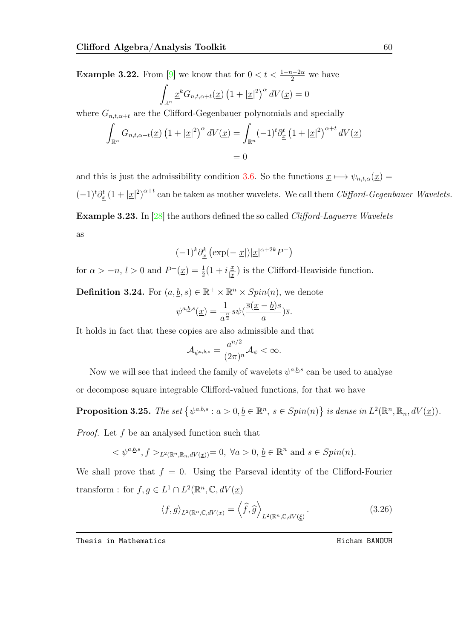**Example 3.22.** From [\[9\]](#page-95-3) we know that for  $0 < t < \frac{1-n-2\alpha}{2}$  we have

$$
\int_{\mathbb{R}^n} \underline{x}^k G_{n,t,\alpha+t}(\underline{x}) \left(1 + |\underline{x}|^2\right)^{\alpha} dV(\underline{x}) = 0
$$

where  $G_{n,t,\alpha+t}$  are the Clifford-Gegenbauer polynomials and specially

$$
\int_{\mathbb{R}^n} G_{n,t,\alpha+t}(\underline{x}) \left(1 + |\underline{x}|^2\right)^{\alpha} dV(\underline{x}) = \int_{\mathbb{R}^n} (-1)^t \partial_{\underline{x}}^t \left(1 + |\underline{x}|^2\right)^{\alpha+t} dV(\underline{x})
$$

$$
= 0
$$

and this is just the admissibility condition [3.6.](#page-68-0) So the functions  $\underline{x} \mapsto \psi_{n,t,\alpha}(\underline{x}) =$ 

 $(-1)^t \partial_x^t (1 + |\underline{x}|^2)^{\alpha+t}$  can be taken as mother wavelets. We call them *Clifford-Gegenbauer Wavelets.* 

**Example 3.23.** In  $[28]$  the authors defined the so called *Clifford-Laguerre Wavelets* as

$$
(-1)^{k} \partial_{\underline{x}}^{k} \left( \exp(-|\underline{x}|) |\underline{x}|^{\alpha+2k} P^{+} \right)
$$

for  $\alpha > -n, l > 0$  and  $P^+(\underline{x}) = \frac{1}{2}(1 + i\frac{x}{|\underline{x}|})$  $\frac{x}{|x|}$  is the Clifford-Heaviside function.

**Definition 3.24.** For  $(a, \underline{b}, s) \in \mathbb{R}^+ \times \mathbb{R}^n \times Spin(n)$ , we denote

$$
\psi^{a,\underline{b},s}(\underline{x}) = \frac{1}{a^{\frac{n}{2}}} s \psi(\frac{\overline{s}(\underline{x}-\underline{b})s}{a})\overline{s}.
$$

It holds in fact that these copies are also admissible and that

$$
\mathcal{A}_{\psi^{a,\underline{b},s}}=\frac{a^{n/2}}{(2\pi)^n}\mathcal{A}_{\psi}<\infty.
$$

Now we will see that indeed the family of wavelets  $\psi^{a,b,s}$  can be used to analyse

or decompose square integrable Clifford-valued functions, for that we have

**Proposition 3.25.** The set  $\{\psi^{a,b,s} : a > 0, \underline{b} \in \mathbb{R}^n, s \in Spin(n)\}\$ is dense in  $L^2(\mathbb{R}^n, \mathbb{R}_n, dV(\underline{x}))$ . Proof. Let f be an analysed function such that

$$
\langle \psi^{a,\underline{b},s}, f \rangle_{L^2(\mathbb{R}^n, \mathbb{R}_n, dV(\underline{x}))} = 0, \ \forall a \ge 0, \ \underline{b} \in \mathbb{R}^n \ \text{and} \ s \in Spin(n).
$$

We shall prove that  $f = 0$ . Using the Parseval identity of the Clifford-Fourier transform : for  $f, g \in L^1 \cap L^2(\mathbb{R}^n, \mathbb{C}, dV(\underline{x}))$ 

$$
\langle f, g \rangle_{L^2(\mathbb{R}^n, \mathbb{C}, dV(\underline{x})} = \left\langle \widehat{f}, \widehat{g} \right\rangle_{L^2(\mathbb{R}^n, \mathbb{C}, dV(\underline{\xi})}.
$$
\n(3.26)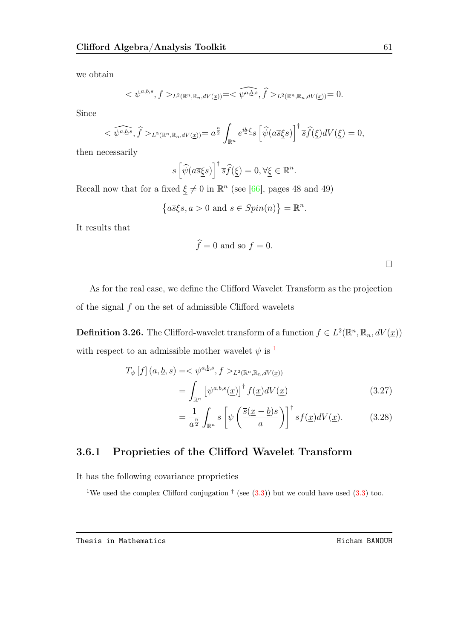we obtain

$$
<\psi^{a,\underline{b},s}, f>_{L^2(\mathbb{R}^n,\mathbb{R}_n,dV(\underline{x}))} = <\widehat{\psi^{a,\underline{b},s}}, \widehat{f}>_{L^2(\mathbb{R}^n,\mathbb{R}_n,dV(\underline{x}))} = 0.
$$

Since

$$
\langle \widehat{\psi^{a,\underline{b},s}}, \widehat{f} \rangle_{L^2(\mathbb{R}^n, \mathbb{R}_n, dV(\underline{x}))} = a^{\frac{n}{2}} \int_{\mathbb{R}^n} e^{i\underline{b}\cdot\xi} s \left[ \widehat{\psi}(a\overline{s}\underline{\xi}s) \right]^{\dagger} \overline{s} \widehat{f}(\underline{\xi}) dV(\underline{\xi}) = 0,
$$

then necessarily

$$
s\left[\widehat{\psi}(a\overline{s}\underline{\xi}s)\right]^{\dagger}\overline{s}\widehat{f}(\underline{\xi})=0, \forall \underline{\xi}\in\mathbb{R}^{n}.
$$

Recall now that for a fixed  $\xi \neq 0$  in  $\mathbb{R}^n$  (see [\[66\]](#page-101-5), pages 48 and 49)

$$
\{a\overline{s}\xi s, a>0 \text{ and } s \in Spin(n)\} = \mathbb{R}^n.
$$

It results that

$$
\hat{f} = 0
$$
 and so  $f = 0$ .

 $\Box$ 

As for the real case, we define the Clifford Wavelet Transform as the projection of the signal  $f$  on the set of admissible Clifford wavelets

**Definition 3.26.** The Clifford-wavelet transform of a function  $f \in L^2(\mathbb{R}^n, \mathbb{R}_n, dV(\underline{x}))$ with respect to an admissible mother wavelet  $\psi$  is <sup>[1](#page-70-0)</sup>

$$
T_{\psi}[f](a, \underline{b}, s) = \langle \psi^{a, \underline{b}, s}, f \rangle_{L^2(\mathbb{R}^n, \mathbb{R}_n, dV(\underline{x}))}
$$
  
\n
$$
= \int_{\mathbb{R}^n} \left[ \psi^{a, \underline{b}, s}(\underline{x}) \right]^{\dagger} f(\underline{x}) dV(\underline{x})
$$
(3.27)  
\n
$$
= \frac{1}{a^{\frac{n}{2}}} \int_{\mathbb{R}^n} s \left[ \psi \left( \frac{\overline{s}(\underline{x} - \underline{b})s}{a} \right) \right]^{\dagger} \overline{s} f(\underline{x}) dV(\underline{x}).
$$
(3.28)

# 3.6.1 Proprieties of the Clifford Wavelet Transform

It has the following covariance proprieties

<span id="page-70-0"></span><sup>&</sup>lt;sup>1</sup>We used the complex Clifford conjugation  $\dagger$  (see [\(3.3\)](#page-38-0)) but we could have used (3.3) too.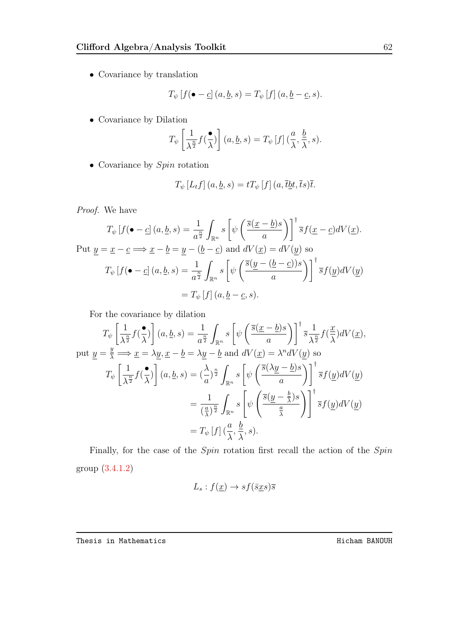• Covariance by translation

$$
T_{\psi}\left[f(\bullet - \underline{c}\right](a, \underline{b}, s) = T_{\psi}\left[f\right](a, \underline{b} - \underline{c}, s).
$$

• Covariance by Dilation

$$
T_{\psi}\left[\frac{1}{\lambda^{\frac{n}{2}}}f(\frac{\bullet}{\lambda})\right](a,\underline{b},s) = T_{\psi}\left[f\right](\frac{a}{\lambda},\frac{\underline{b}}{\lambda},s).
$$

 $\bullet\,$  Covariance by  $Spin$  rotation

$$
T_{\psi}\left[L_{t}f\right](a,\underline{b},s) = tT_{\psi}\left[f\right](a,\overline{t}\underline{b}t,\overline{t}s)\overline{t}.
$$

Proof. We have

$$
T_{\psi}\left[f(\bullet - \underline{c}](a, \underline{b}, s) = \frac{1}{a^{\frac{n}{2}}} \int_{\mathbb{R}^n} s \left[\psi\left(\frac{\overline{s}(\underline{x} - \underline{b})s}{a}\right)\right]^{\dagger} \overline{s}f(\underline{x} - \underline{c})dV(\underline{x}).
$$
  
Put  $\underline{y} = \underline{x} - \underline{c} \Longrightarrow \underline{x} - \underline{b} = \underline{y} - (\underline{b} - \underline{c})$  and  $dV(\underline{x}) = dV(\underline{y})$  so  

$$
T_{\psi}\left[f(\bullet - \underline{c}](a, \underline{b}, s) = \frac{1}{a^{\frac{n}{2}}} \int_{\mathbb{R}^n} s \left[\psi\left(\frac{\overline{s}(\underline{y} - (\underline{b} - \underline{c}))s}{a}\right)\right]^{\dagger} \overline{s}f(\underline{y})dV(\underline{y})
$$

$$
= T_{\psi}\left[f\right](a, \underline{b} - \underline{c}, s).
$$

For the covariance by dilation

$$
T_{\psi}\left[\frac{1}{\lambda^{\frac{n}{2}}}f(\frac{\bullet}{\lambda})\right](a,b,s) = \frac{1}{a^{\frac{n}{2}}}\int_{\mathbb{R}^n} s\left[\psi\left(\frac{\overline{s}(\underline{x}-\underline{b})s}{a}\right)\right]^{\dagger} \overline{s}\frac{1}{\lambda^{\frac{n}{2}}}f(\frac{\underline{x}}{\lambda})dV(\underline{x}),
$$
  
put  $\underline{y} = \frac{y}{\lambda} \Longrightarrow \underline{x} = \lambda \underline{y}, \underline{x} - \underline{b} = \lambda \underline{y} - \underline{b}$  and  $dV(\underline{x}) = \lambda^n dV(\underline{y})$  so  

$$
T_{\psi}\left[\frac{1}{\lambda^{\frac{n}{2}}}f(\frac{\bullet}{\lambda})\right](a,b,s) = (\frac{\lambda}{a})^{\frac{n}{2}}\int_{\mathbb{R}^n} s\left[\psi\left(\frac{\overline{s}(\lambda \underline{y}-\underline{b})s}{a}\right)\right]^{\dagger} \overline{s}f(\underline{y})dV(\underline{y})
$$

$$
= \frac{1}{(\frac{a}{\lambda})^{\frac{n}{2}}}\int_{\mathbb{R}^n} s\left[\psi\left(\frac{\overline{s}(\underline{y}-\frac{b}{\lambda})s}{\frac{a}{\lambda}}\right)\right]^{\dagger} \overline{s}f(\underline{y})dV(\underline{y})
$$

$$
= T_{\psi}\left[f\right](\frac{a}{\lambda},\frac{b}{\lambda},s).
$$

Finally, for the case of the  $Spin$  rotation first recall the action of the  $Spin$ group [\(3.4.1.2\)](#page-45-1)

$$
L_s: f(\underline{x}) \to sf(\overline{s}\underline{x}s)\overline{s}
$$

Thesis in Mathematics **Hicham BANOUH Hicham BANOUH**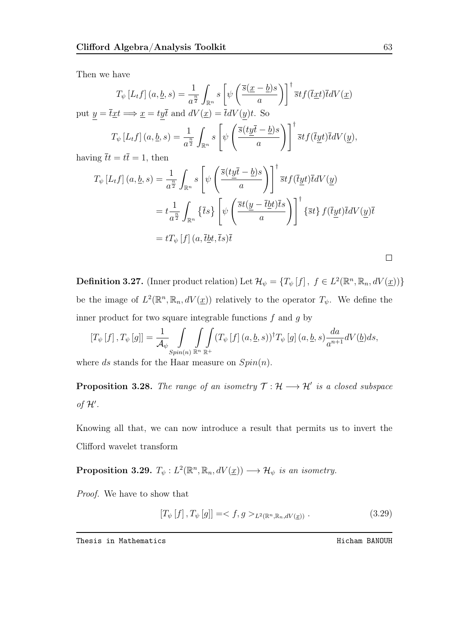Then we have

$$
T_{\psi}\left[L_{t}f\right](a,\underline{b},s) = \frac{1}{a^{\frac{n}{2}}} \int_{\mathbb{R}^{n}} s\left[\psi\left(\frac{\overline{s}(\underline{x}-\underline{b})s}{a}\right)\right]^{\dagger} \overline{s}tf(\overline{t}\underline{x}t)\overline{t}dV(\underline{x})
$$
\nput  $\underline{y} = \overline{t}\underline{x}t \Longrightarrow \underline{x} = t\underline{y}\overline{t}$  and  $dV(\underline{x}) = \overline{t}dV(\underline{y})t$ . So\n
$$
T_{\psi}\left[L_{t}f\right](a,\underline{b},s) = \frac{1}{a^{\frac{n}{2}}} \int_{\mathbb{R}^{n}} s\left[\psi\left(\frac{\overline{s}(t\underline{y}\overline{t}-\underline{b})s}{a}\right)\right]^{\dagger} \overline{s}tf(\overline{t}\underline{y}t)\overline{t}dV(\underline{y}),
$$
\nhaving  $\overline{t}t = t\overline{t} = 1$ , then

$$
T_{\psi}\left[L_{t}f\right](a,\underline{b},s) = \frac{1}{a^{\frac{n}{2}}} \int_{\mathbb{R}^{n}} s\left[\psi\left(\frac{\overline{s}(t\underline{y}\overline{t}-\underline{b})s}{a}\right)\right]^{\dagger} \overline{s}tf(\overline{t}\underline{y}t)\overline{t}dV(\underline{y})
$$

$$
= t\frac{1}{a^{\frac{n}{2}}} \int_{\mathbb{R}^{n}} \left\{\overline{t}s\right\} \left[\psi\left(\frac{\overline{s}t(\underline{y}-\overline{t}\underline{b}t)\overline{t}s}{a}\right)\right]^{\dagger} \left\{\overline{s}t\right\} f(\overline{t}\underline{y}t)\overline{t}dV(\underline{y})\overline{t}
$$

$$
= tT_{\psi}\left[f\right](a,\overline{t}\underline{b}t,\overline{t}s)\overline{t}
$$

**Definition 3.27.** (Inner product relation) Let  $\mathcal{H}_{\psi} = \{T_{\psi}[f], f \in L^2(\mathbb{R}^n, \mathbb{R}_n, dV(\underline{x}))\}$ be the image of  $L^2(\mathbb{R}^n, \mathbb{R}_n, dV(\underline{x}))$  relatively to the operator  $T_{\psi}$ . We define the inner product for two square integrable functions  $f$  and  $g$  by

$$
[T_{\psi}[f], T_{\psi}[g]] = \frac{1}{\mathcal{A}_{\psi}} \int \int \int \int (T_{\psi}[f](a, \underline{b}, s))^{\dagger} T_{\psi}[g](a, \underline{b}, s) \frac{da}{a^{n+1}} dV(\underline{b}) ds,
$$

where ds stands for the Haar measure on  $Spin(n)$ .

**Proposition 3.28.** The range of an isometry  $\mathcal{T} : \mathcal{H} \longrightarrow \mathcal{H}'$  is a closed subspace of  $\mathcal{H}'$ .

Knowing all that, we can now introduce a result that permits us to invert the Clifford wavelet transform

<span id="page-72-0"></span>**Proposition 3.29.**  $T_{\psi}: L^2(\mathbb{R}^n, \mathbb{R}_n, dV(\underline{x})) \longrightarrow \mathcal{H}_{\psi}$  is an isometry.

Proof. We have to show that

$$
[T_{\psi}[f], T_{\psi}[g]] = \langle f, g \rangle_{L^2(\mathbb{R}^n, \mathbb{R}_n, dV(\underline{x}))}. \tag{3.29}
$$

Thesis in Mathematics **Hicham BANOUH** 

 $\Box$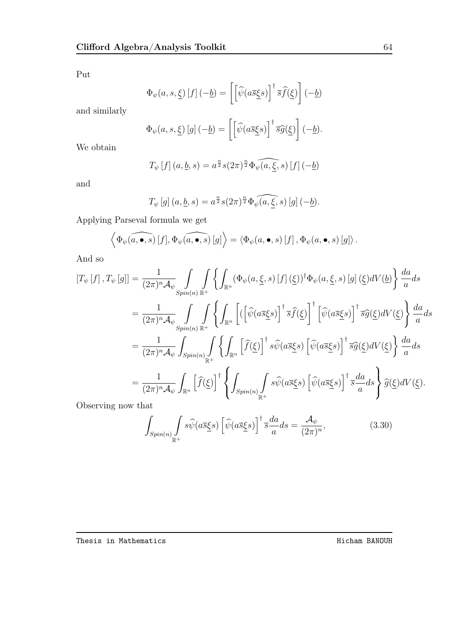Put

$$
\Phi_{\psi}(a, s, \underline{\xi}) [f] (-\underline{b}) = \left[ \left[ \widehat{\psi}(a\overline{s}\underline{\xi}s) \right]^{\dagger} \overline{s}\widehat{f}(\underline{\xi}) \right] (-\underline{b})
$$

and similarly

$$
\Phi_{\psi}(a,s,\underline{\xi}) [g](-\underline{b}) = \left[ \left[ \widehat{\psi}(a\overline{s}\underline{\xi}s) \right]^{\dagger} \overline{s}\widehat{g}(\underline{\xi}) \right] (-\underline{b}).
$$

We obtain

$$
T_{\psi}\left[f\right](a,\underline{b},s) = a^{\frac{n}{2}}s(2\pi)^{\frac{n}{2}}\widehat{\Phi_{\psi}(a,\underline{\xi},s)}\left[f\right](-\underline{b})
$$

and

$$
T_{\psi}\left[g\right](a,\underline{b},s) = a^{\frac{n}{2}}s(2\pi)^{\frac{n}{2}}\widehat{\Phi_{\psi}(a,\underline{\xi},s)}\left[g\right](-\underline{b}).
$$

Applying Parseval formula we get

$$
\left\langle \Phi_{\psi}(\widehat{a,\bullet,s})\left[f\right],\Phi_{\psi}(\widehat{a,\bullet,s})\left[g\right]\right\rangle = \left\langle \Phi_{\psi}(a,\bullet,s)\left[f\right],\Phi_{\psi}(a,\bullet,s)\left[g\right]\right\rangle.
$$

And so

$$
[T_{\psi}[f], T_{\psi}[g]] = \frac{1}{(2\pi)^n \mathcal{A}_{\psi}} \int_{Spin(n)} \int \left\{ \int_{\mathbb{R}^n} (\Phi_{\psi}(a, \xi, s) [f](\xi))^{\dagger} \Phi_{\psi}(a, \xi, s) [g](\xi) dV(\xi) \right\} \frac{da}{a} ds
$$
  
\n
$$
= \frac{1}{(2\pi)^n \mathcal{A}_{\psi}} \int_{Spin(n)} \int_{\mathbb{R}^+} \left\{ \int_{\mathbb{R}^n} \left[ (\left[ \hat{\psi}(a\overline{s}\xi s) \right]^{\dagger} \overline{s} \hat{f}(\xi) \right]^{\dagger} \left[ \hat{\psi}(a\overline{s}\xi s) \right]^{\dagger} \overline{s} \hat{g}(\xi) dV(\xi) \right\} \frac{da}{a} ds
$$
  
\n
$$
= \frac{1}{(2\pi)^n \mathcal{A}_{\psi}} \int_{Spin(n)} \int_{\mathbb{R}^+} \left\{ \int_{\mathbb{R}^n} \left[ \hat{f}(\xi) \right]^{\dagger} s \hat{\psi}(a\overline{s}\xi s) \left[ \hat{\psi}(a\overline{s}\xi s) \right]^{\dagger} \overline{s} \hat{g}(\xi) dV(\xi) \right\} \frac{da}{a} ds
$$
  
\n
$$
= \frac{1}{(2\pi)^n \mathcal{A}_{\psi}} \int_{\mathbb{R}^n} \left[ \hat{f}(\xi) \right]^{\dagger} \left\{ \int_{Spin(n)} \int_{\mathbb{R}^+} s \hat{\psi}(a\overline{s}\xi s) \left[ \hat{\psi}(a\overline{s}\xi s) \right]^{\dagger} \overline{s} \frac{da}{a} ds \right\} \hat{g}(\xi) dV(\xi).
$$

Observing now that

<span id="page-73-0"></span>
$$
\int_{Spin(n)} \int_{\mathbb{R}^+} s\widehat{\psi}(a\overline{s}\underline{\xi}s) \left[\widehat{\psi}(a\overline{s}\underline{\xi}s)\right]^{\dagger} \overline{s}\frac{da}{a}ds = \frac{\mathcal{A}_{\psi}}{(2\pi)^n},\tag{3.30}
$$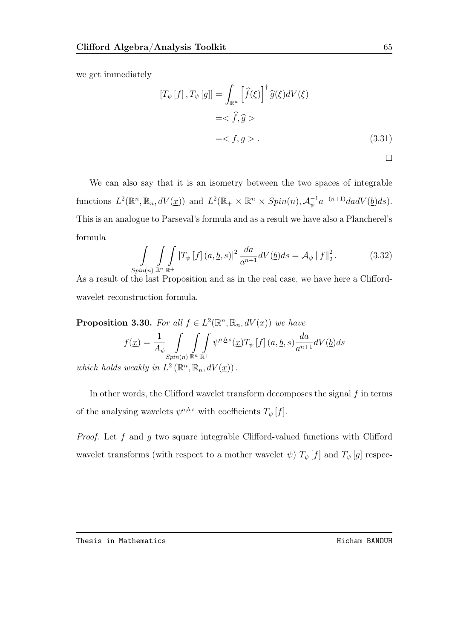we get immediately

$$
[T_{\psi}[f], T_{\psi}[g]] = \int_{\mathbb{R}^n} \left[ \widehat{f}(\xi) \right]^{\dagger} \widehat{g}(\xi) dV(\xi)
$$

$$
= \langle \widehat{f}, \widehat{g} \rangle
$$

$$
= \langle f, g \rangle.
$$
(3.31)

 $\Box$ 

We can also say that it is an isometry between the two spaces of integrable functions  $L^2(\mathbb{R}^n, \mathbb{R}_n, dV(\underline{x}))$  and  $L^2(\mathbb{R}_+ \times \mathbb{R}^n \times Spin(n), \mathcal{A}_{\psi}^{-1})$  $_{\psi}^{-1}a^{-(n+1)}dadV(\underline{b})ds).$ This is an analogue to Parseval's formula and as a result we have also a Plancherel's formula

<span id="page-74-0"></span>
$$
\int\limits_{Spin(n)\,\mathbb{R}^n}\int\limits_{\mathbb{R}^+} |T_{\psi}\left[f\right](a,\underline{b},s)|^2 \frac{da}{a^{n+1}}dV(\underline{b})ds = \mathcal{A}_{\psi}\left\|f\right\|_2^2.
$$
 (3.32)

As a result of the last Proposition and as in the real case, we have here a Cliffordwavelet reconstruction formula.

**Proposition 3.30.** For all  $f \in L^2(\mathbb{R}^n, \mathbb{R}_n, dV(\underline{x}))$  we have

$$
f(\underline{x}) = \frac{1}{A_{\psi}} \int \int \int \psi^{a, \underline{b}, s}(\underline{x}) T_{\psi}[f] (a, \underline{b}, s) \frac{da}{a^{n+1}} dV(\underline{b}) ds
$$

which holds weakly in  $L^2(\mathbb{R}^n, \mathbb{R}_n, dV(\underline{x}))$ .

In other words, the Clifford wavelet transform decomposes the signal  $f$  in terms of the analysing wavelets  $\psi^{a,b,s}$  with coefficients  $T_{\psi}[f]$ .

Proof. Let f and g two square integrable Clifford-valued functions with Clifford wavelet transforms (with respect to a mother wavelet  $\psi$ )  $T_{\psi}$  [f] and  $T_{\psi}$  [g] respec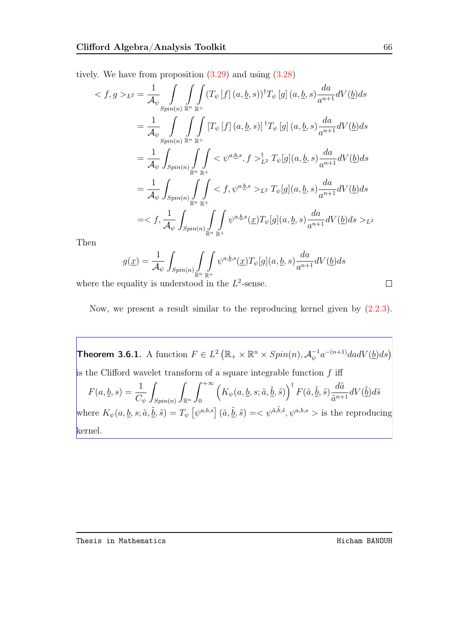tively. We have from proposition [\(3.29\)](#page-72-0) and using [\(3.28\)](#page-70-0)

$$
\langle f, g \rangle_{L^{2}} = \frac{1}{\mathcal{A}_{\psi}} \int_{Spin(n)} \int_{\mathbb{R}^{n}} \int_{\mathbb{R}^{+}} (T_{\psi}[f](a, \underline{b}, s))^{\dagger} T_{\psi}[g](a, \underline{b}, s) \frac{da}{a^{n+1}} dV(\underline{b}) ds
$$
  
\n
$$
= \frac{1}{\mathcal{A}_{\psi}} \int_{Spin(n)} \int_{\mathbb{R}^{n}} \int_{\mathbb{R}^{+}} [T_{\psi}[f](a, \underline{b}, s)]^{\dagger} T_{\psi}[g](a, \underline{b}, s) \frac{da}{a^{n+1}} dV(\underline{b}) ds
$$
  
\n
$$
= \frac{1}{\mathcal{A}_{\psi}} \int_{Spin(n)} \int_{\mathbb{R}^{n}} \int_{\mathbb{R}^{+}} \langle \psi^{a, \underline{b}, s}, f \rangle_{L^{2}}^{+} T_{\psi}[g](a, \underline{b}, s) \frac{da}{a^{n+1}} dV(\underline{b}) ds
$$
  
\n
$$
= \frac{1}{\mathcal{A}_{\psi}} \int_{Spin(n)} \int_{\mathbb{R}^{n}} \int_{\mathbb{R}^{+}} \langle f, \psi^{a, \underline{b}, s} \rangle_{L^{2}} T_{\psi}[g](a, \underline{b}, s) \frac{da}{a^{n+1}} dV(\underline{b}) ds
$$
  
\n
$$
= \langle f, \frac{1}{\mathcal{A}_{\psi}} \int_{Spin(n)} \int_{\mathbb{R}^{n}} \int_{\mathbb{R}^{+}} \psi^{a, \underline{b}, s}(\underline{x}) T_{\psi}[g](a, \underline{b}, s) \frac{da}{a^{n+1}} dV(\underline{b}) ds \rangle_{L^{2}}
$$

Then

$$
g(\underline{x}) = \frac{1}{\mathcal{A}_{\psi}} \int_{Spin(n)} \int_{\mathbb{R}^n} \int_{\mathbb{R}^+} \psi^{a, \underline{b}, s}(\underline{x}) T_{\psi}[g](a, \underline{b}, s) \frac{da}{a^{n+1}} dV(\underline{b}) ds
$$

where the equality is understood in the  $L^2$ -sense.

 $\Box$ 

Now, we present a result similar to the reproducing kernel given by [\(2.2.3\)](#page-29-0).

**Theorem 3.6.1.** A function  $F \in L^2(\mathbb{R}_+ \times \mathbb{R}^n \times Spin(n), \mathcal{A}_{\psi}^{-1})$  $\frac{1}{\psi}a^{-(n+1)}dadV(\underline{b})ds$ is the Clifford wavelet transform of a square integrable function  $f$  iff  $F(a, \underline{b}, s) = \frac{1}{\alpha}$  $C_\psi$ Z  $Spin(n)$ Z  $\mathbb{R}^n$  $\int^{+\infty}$ 0  $\left(K_{\psi}(a, \underline{b}, s; \tilde{a}, \underline{\tilde{b}}, \tilde{s})\right)^{\dagger} F(\tilde{a}, \underline{\tilde{b}}, \tilde{s}) \frac{d \tilde{a}}{z_{n+1}}$  $\frac{aa}{\tilde{a}^{n+1}}dV(\underline{\tilde{b}})d\tilde{s}$ where  $K_{\psi}(a, \underline{b}, s; \tilde{a}, \underline{\tilde{b}}, \tilde{s}) = T_{\psi} \left[ \psi^{a, b, s} \right] (\tilde{a}, \underline{\tilde{b}}, \tilde{s}) = \langle \psi^{ \tilde{a}, \tilde{b}, \tilde{s}}, \psi^{a, b, s} \rangle$  is the reproducing kernel.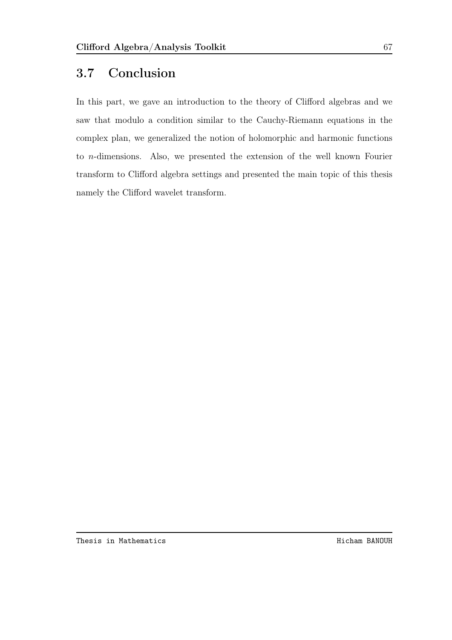## 3.7 Conclusion

In this part, we gave an introduction to the theory of Clifford algebras and we saw that modulo a condition similar to the Cauchy-Riemann equations in the complex plan, we generalized the notion of holomorphic and harmonic functions to n-dimensions. Also, we presented the extension of the well known Fourier transform to Clifford algebra settings and presented the main topic of this thesis namely the Clifford wavelet transform.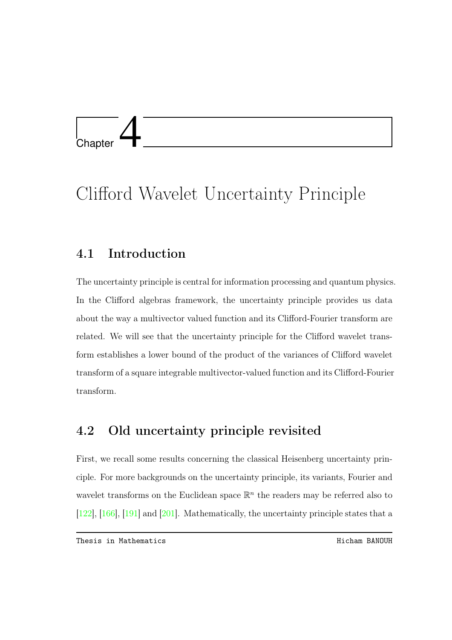# **Chapter**

# Clifford Wavelet Uncertainty Principle

## 4.1 Introduction

The uncertainty principle is central for information processing and quantum physics. In the Clifford algebras framework, the uncertainty principle provides us data about the way a multivector valued function and its Clifford-Fourier transform are related. We will see that the uncertainty principle for the Clifford wavelet transform establishes a lower bound of the product of the variances of Clifford wavelet transform of a square integrable multivector-valued function and its Clifford-Fourier transform.

## 4.2 Old uncertainty principle revisited

First, we recall some results concerning the classical Heisenberg uncertainty principle. For more backgrounds on the uncertainty principle, its variants, Fourier and wavelet transforms on the Euclidean space  $\mathbb{R}^n$  the readers may be referred also to [\[122\]](#page-107-0), [\[166\]](#page-111-0), [\[191\]](#page-114-0) and [\[201\]](#page-115-0). Mathematically, the uncertainty principle states that a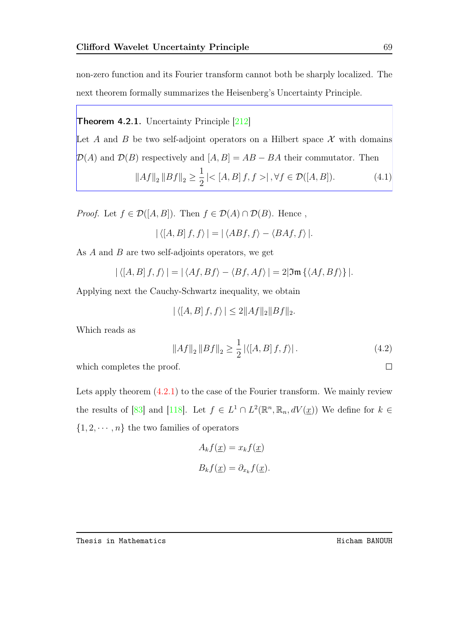non-zero function and its Fourier transform cannot both be sharply localized. The next theorem formally summarizes the Heisenberg's Uncertainty Principle.

<span id="page-78-0"></span>Theorem 4.2.1. Uncertainty Principle [\[212\]](#page-116-0) Let A and B be two self-adjoint operators on a Hilbert space  $\mathcal X$  with domains  $\mathcal{D}(A)$  and  $\mathcal{D}(B)$  respectively and  $[A, B] = AB - BA$  their commutator. Then  $||Af||_2 ||Bf||_2 \geq \frac{1}{2}$ 2  $|\langle [A, B] f, f \rangle|, \forall f \in \mathcal{D}([A, B]).$  (4.1)

*Proof.* Let  $f \in \mathcal{D}([A, B])$ . Then  $f \in \mathcal{D}(A) \cap \mathcal{D}(B)$ . Hence,

$$
|\langle [A, B] f, f \rangle| = |\langle ABf, f \rangle - \langle BAf, f \rangle|.
$$

As A and B are two self-adjoints operators, we get

$$
|\left\langle \left[ A, B \right] f, f \right\rangle| = |\left\langle A f, B f \right\rangle - \left\langle B f, A f \right\rangle| = 2 |\mathfrak{Im}\left\{ \left\langle A f, B f \right\rangle \right\}|.
$$

Applying next the Cauchy-Schwartz inequality, we obtain

$$
|\langle [A,B]f,f\rangle| \le 2||Af||_2||Bf||_2.
$$

Which reads as

$$
||Af||_2 ||Bf||_2 \ge \frac{1}{2} |\langle [A, B] f, f \rangle|.
$$
 (4.2)

which completes the proof.

Lets apply theorem  $(4.2.1)$  to the case of the Fourier transform. We mainly review the results of [\[83\]](#page-103-0) and [\[118\]](#page-106-0). Let  $f \in L^1 \cap L^2(\mathbb{R}^n, \mathbb{R}_n, dV(\underline{x}))$  We define for  $k \in$  $\{1, 2, \dots, n\}$  the two families of operators

$$
A_k f(\underline{x}) = x_k f(\underline{x})
$$
  

$$
B_k f(\underline{x}) = \partial_{x_k} f(\underline{x}).
$$

 $\Box$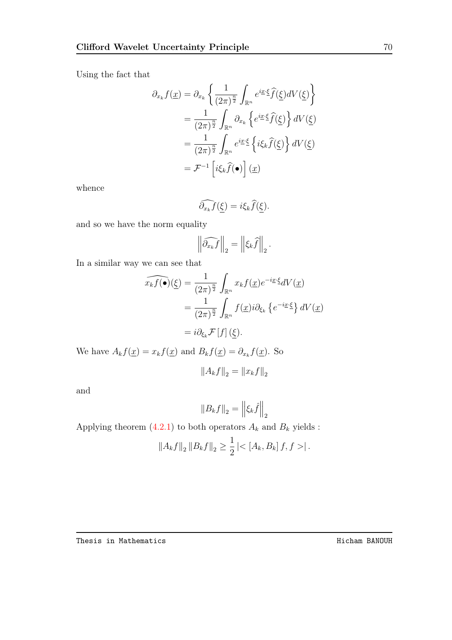Using the fact that

$$
\partial_{x_k} f(\underline{x}) = \partial_{x_k} \left\{ \frac{1}{(2\pi)^{\frac{n}{2}}} \int_{\mathbb{R}^n} e^{i\underline{x}\cdot\xi} \widehat{f}(\underline{\xi}) dV(\underline{\xi}) \right\}
$$

$$
= \frac{1}{(2\pi)^{\frac{n}{2}}} \int_{\mathbb{R}^n} \partial_{x_k} \left\{ e^{i\underline{x}\cdot\xi} \widehat{f}(\underline{\xi}) \right\} dV(\underline{\xi})
$$

$$
= \frac{1}{(2\pi)^{\frac{n}{2}}} \int_{\mathbb{R}^n} e^{i\underline{x}\cdot\xi} \left\{ i\xi_k \widehat{f}(\underline{\xi}) \right\} dV(\underline{\xi})
$$

$$
= \mathcal{F}^{-1} \left[ i\xi_k \widehat{f}(\bullet) \right](\underline{x})
$$

whence

$$
\widehat{\partial_{x_k} f}(\underline{\xi}) = i\xi_k \widehat{f}(\underline{\xi}).
$$

and so we have the norm equality

$$
\left\|\widehat{\partial_{x_k}f}\right\|_2=\left\|\xi_k\widehat{f}\right\|_2.
$$

In a similar way we can see that

$$
\widehat{x_k f(\bullet)}(\underline{\xi}) = \frac{1}{(2\pi)^{\frac{n}{2}}} \int_{\mathbb{R}^n} x_k f(\underline{x}) e^{-i\underline{x}\cdot\xi} dV(\underline{x})
$$

$$
= \frac{1}{(2\pi)^{\frac{n}{2}}} \int_{\mathbb{R}^n} f(\underline{x}) i \partial_{\xi_k} \left\{ e^{-i\underline{x}\cdot\xi} \right\} dV(\underline{x})
$$

$$
= i \partial_{\xi_k} \mathcal{F}[f](\underline{\xi}).
$$

We have  $A_k f(\underline{x}) = x_k f(\underline{x})$  and  $B_k f(\underline{x}) = \partial_{x_k} f(\underline{x})$ . So

$$
||A_k f||_2 = ||x_k f||_2
$$

and

$$
||B_k f||_2 = ||\xi_k \hat{f}||_2
$$

Applying theorem [\(4.2.1\)](#page-78-0) to both operators  $\mathcal{A}_k$  and  $\mathcal{B}_k$  yields :

$$
||A_k f||_2 ||B_k f||_2 \ge \frac{1}{2} |< [A_k, B_k] f, f >|.
$$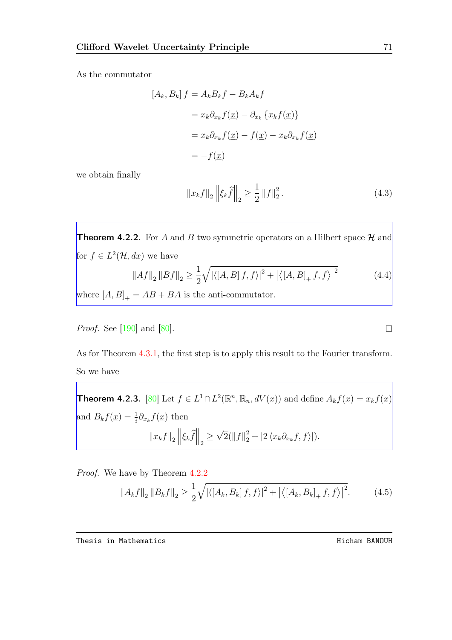As the commutator

$$
[A_k, B_k] f = A_k B_k f - B_k A_k f
$$
  
=  $x_k \partial_{x_k} f(\underline{x}) - \partial_{x_k} \{x_k f(\underline{x})\}$   
=  $x_k \partial_{x_k} f(\underline{x}) - f(\underline{x}) - x_k \partial_{x_k} f(\underline{x})$   
=  $-f(\underline{x})$ 

we obtain finally

<span id="page-80-2"></span>
$$
||x_k f||_2 ||\xi_k \widehat{f}||_2 \ge \frac{1}{2} ||f||_2^2.
$$
 (4.3)

<span id="page-80-0"></span>**Theorem 4.2.2.** For A and B two symmetric operators on a Hilbert space  $\mathcal{H}$  and for  $f \in L^2(\mathcal{H}, dx)$  we have

$$
\|Af\|_2 \|Bf\|_2 \ge \frac{1}{2} \sqrt{|\langle [A, B] f, f \rangle|^2 + |\langle [A, B]_+ f, f \rangle|^2} \tag{4.4}
$$

where  $[A, B]_+ = AB + BA$  is the anti-commutator.

*Proof.* See [\[190\]](#page-114-1) and [\[80\]](#page-102-0).

As for Theorem [4.3.1,](#page-82-0) the first step is to apply this result to the Fourier transform. So we have

<span id="page-80-3"></span>**Theorem 4.2.3.** [\[80\]](#page-102-0) Let  $f \in L^1 \cap L^2(\mathbb{R}^n, \mathbb{R}_n, dV(\underline{x}))$  and define  $A_k f(\underline{x}) = x_k f(\underline{x})$ and  $B_k f(\underline{x}) = \frac{1}{i} \partial_{x_k} f(\underline{x})$  then  $\left\|x_k f\right\|_2 \left\|\xi_k \widehat{f}\right\|_2 \geq$ √  $\overline{2}(\|f\|_{2}^{2} + |2 \langle x_{k}\partial_{x_{k}}f, f \rangle |).$ 

Proof. We have by Theorem [4.2.2](#page-80-0)

<span id="page-80-1"></span>
$$
||A_k f||_2 ||B_k f||_2 \ge \frac{1}{2} \sqrt{|\langle [A_k, B_k] f, f \rangle|^2 + |\langle [A_k, B_k]_+ f, f \rangle|^2}.
$$
 (4.5)

Thesis in Mathematics **Hicham BANOUH** 

 $\Box$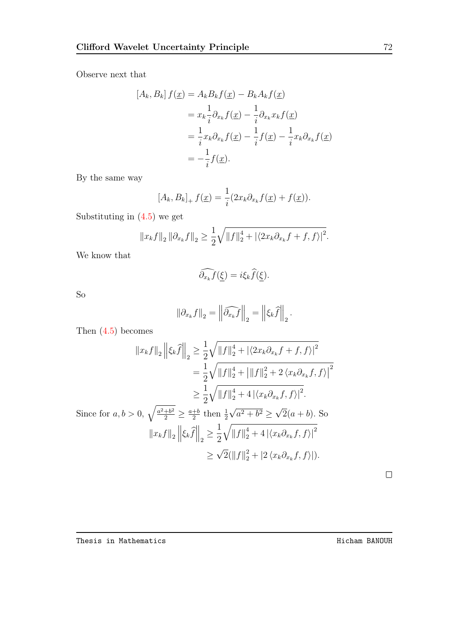Observe next that

$$
[A_k, B_k] f(\underline{x}) = A_k B_k f(\underline{x}) - B_k A_k f(\underline{x})
$$
  
=  $x_k \frac{1}{i} \partial_{x_k} f(\underline{x}) - \frac{1}{i} \partial_{x_k} x_k f(\underline{x})$   
=  $\frac{1}{i} x_k \partial_{x_k} f(\underline{x}) - \frac{1}{i} f(\underline{x}) - \frac{1}{i} x_k \partial_{x_k} f(\underline{x})$   
=  $-\frac{1}{i} f(\underline{x}).$ 

By the same way

$$
[A_k, B_k]_+ f(\underline{x}) = \frac{1}{i} (2x_k \partial_{x_k} f(\underline{x}) + f(\underline{x})).
$$

Substituting in [\(4.5\)](#page-80-1) we get

$$
||x_k f||_2 ||\partial_{x_k} f||_2 \ge \frac{1}{2} \sqrt{||f||_2^4 + |\langle 2x_k \partial_{x_k} f + f, f \rangle|^2}.
$$

We know that

$$
\widehat{\partial_{x_k} f}(\underline{\xi}) = i \xi_k \widehat{f}(\underline{\xi}).
$$

So

$$
\left\|\partial_{x_k} f\right\|_2 = \left\|\widehat{\partial_{x_k} f}\right\|_2 = \left\|\xi_k \widehat{f}\right\|_2.
$$

Then  $(4.5)$  becomes

$$
||x_k f||_2 ||\xi_k \hat{f}||_2 \ge \frac{1}{2} \sqrt{||f||_2^4 + |\langle 2x_k \partial_{x_k} f + f, f \rangle|^2}
$$
  
\n
$$
= \frac{1}{2} \sqrt{||f||_2^4 + ||f||_2^2 + 2 \langle x_k \partial_{x_k} f, f \rangle|^2}
$$
  
\n
$$
\ge \frac{1}{2} \sqrt{||f||_2^4 + 4 |\langle x_k \partial_{x_k} f, f \rangle|^2}.
$$
  
\nSince for  $a, b > 0$ ,  $\sqrt{\frac{a^2 + b^2}{2}} \ge \frac{a+b}{2}$  then  $\frac{1}{2} \sqrt{a^2 + b^2} \ge \sqrt{2}(a+b)$ . So  
\n
$$
||x_k f||_2 ||\xi_k \hat{f}||_2 \ge \frac{1}{2} \sqrt{||f||_2^4 + 4 |\langle x_k \partial_{x_k} f, f \rangle|^2}
$$
  
\n
$$
\ge \sqrt{2} (||f||_2^2 + |2 \langle x_k \partial_{x_k} f, f \rangle|).
$$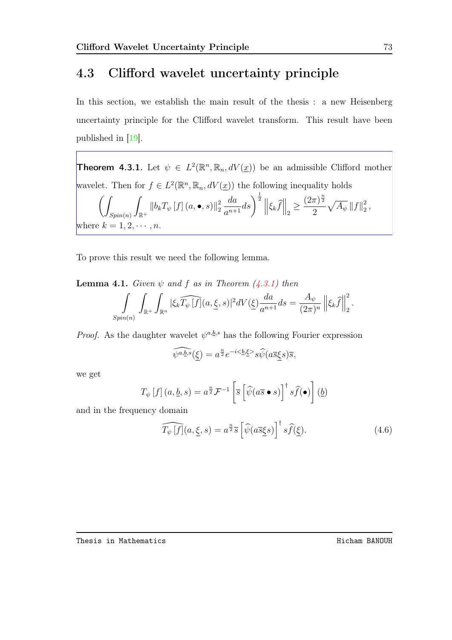### 4.3 Clifford wavelet uncertainty principle

In this section, we establish the main result of the thesis : a new Heisenberg uncertainty principle for the Clifford wavelet transform. This result have been published in [\[19\]](#page-96-0).

<span id="page-82-0"></span>**Theorem 4.3.1.** Let  $\psi \in L^2(\mathbb{R}^n, \mathbb{R}_n, dV(\underline{x}))$  be an admissible Clifford mother wavelet. Then for  $f \in L^2(\mathbb{R}^n, \mathbb{R}_n, dV(\underline{x}))$  the following inequality holds  $\sqrt{2}$  $Spin(n)$ Z  $\int_{\mathbb{R}^{+}}\left\Vert b_{k}T_{\psi}\left[ f\right] \left( a,\bullet,s\right) \right\Vert _{2}^{2}$ 2 da  $\left. \frac{da}{a^{n+1}}ds\right) \frac{1}{2}\left\Vert \xi_{k}\widehat{f}\right\Vert _{2}\geq\frac{(2\pi)^{\frac{n}{2}}}{2}$ 2  $\sqrt{A_{\psi}} \|f\|_2^2$  $\frac{2}{2}$  , where  $k = 1, 2, \cdots, n$ .

To prove this result we need the following lemma.

<span id="page-82-1"></span>**Lemma 4.1.** Given  $\psi$  and  $f$  as in Theorem [\(4.3.1\)](#page-82-0) then

$$
\int_{Spin(n)} \int_{\mathbb{R}^+} \int_{\mathbb{R}^n} |\xi_k \widehat{T_{\psi}[f]}(a,\underline{\xi},s)|^2 dV(\underline{\xi}) \frac{da}{a^{n+1}} ds = \frac{A_{\psi}}{(2\pi)^n} ||\xi_k \widehat{f}||_2^2.
$$

*Proof.* As the daughter wavelet  $\psi^{a,b,s}$  has the following Fourier expression

$$
\widehat{\psi^{a,\underline{b},s}}(\underline{\xi}) = a^{\frac{n}{2}} e^{-i \langle \underline{b},\underline{\xi} \rangle} s \widehat{\psi}(a \overline{s} \underline{\xi} s) \overline{s},
$$

we get

$$
T_{\psi}\left[f\right](a,\underline{b},s) = a^{\frac{n}{2}}\mathcal{F}^{-1}\left[\overline{s}\left[\widehat{\psi}(a\overline{s}\bullet s)\right]^{\dagger}s\widehat{f}(\bullet)\right](\underline{b})
$$

and in the frequency domain

$$
\widehat{T_{\psi}[f]}(a,\underline{\xi},s) = a^{\frac{n}{2}}\overline{s}\left[\widehat{\psi}(a\overline{s}\underline{\xi}s)\right]^{\dagger}s\widehat{f}(\underline{\xi}).\tag{4.6}
$$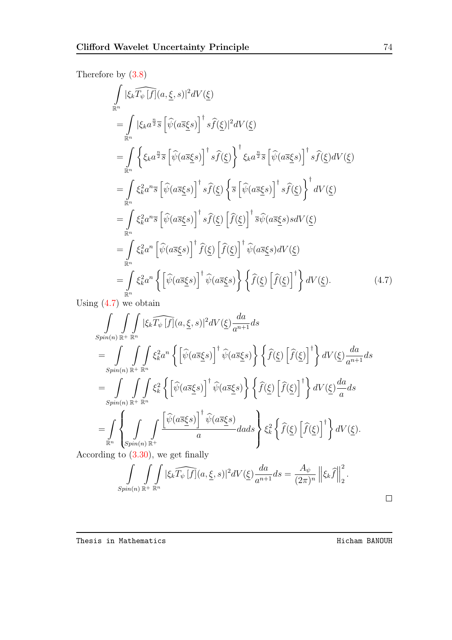Therefore by [\(3.8\)](#page-43-0)

$$
\int_{\mathbb{R}^n} |\xi_k \widehat{T_{\psi}[f]}(a,\xi,s)|^2 dV(\xi)
$$
\n=
$$
\int_{\mathbb{R}^n} |\xi_k a^{\frac{n}{2}} \overline{s} [\widehat{\psi}(a\overline{s}\xi s)]^{\dagger} s \widehat{f}(\xi)|^2 dV(\xi)
$$
\n=
$$
\int_{\mathbb{R}^n} \left\{ \xi_k a^{\frac{n}{2}} \overline{s} [\widehat{\psi}(a\overline{s}\xi s)]^{\dagger} s \widehat{f}(\xi) \right\}^{\dagger} \xi_k a^{\frac{n}{2}} \overline{s} [\widehat{\psi}(a\overline{s}\xi s)]^{\dagger} s \widehat{f}(\xi) dV(\xi)
$$
\n=
$$
\int_{\mathbb{R}^n} \xi_k^2 a^n \overline{s} [\widehat{\psi}(a\overline{s}\xi s)]^{\dagger} s \widehat{f}(\xi) \left\{ \overline{s} [\widehat{\psi}(a\overline{s}\xi s)]^{\dagger} s \widehat{f}(\xi) \right\}^{\dagger} dV(\xi)
$$
\n=
$$
\int_{\mathbb{R}^n} \xi_k^2 a^n \overline{s} [\widehat{\psi}(a\overline{s}\xi s)]^{\dagger} s \widehat{f}(\xi) [\widehat{f}(\xi)]^{\dagger} \overline{s} \widehat{\psi}(a\overline{s}\xi s) s dV(\xi)
$$
\n=
$$
\int_{\mathbb{R}^n} \xi_k^2 a^n [\widehat{\psi}(a\overline{s}\xi s)]^{\dagger} \widehat{f}(\xi) [\widehat{f}(\xi)]^{\dagger} \widehat{\psi}(a\overline{s}\xi s) dV(\xi)
$$
\n=
$$
\int_{\mathbb{R}^n} \xi_k^2 a^n \left\{ [\widehat{\psi}(a\overline{s}\xi s)]^{\dagger} \widehat{\psi}(a\overline{s}\xi s) \right\} \left\{ \widehat{f}(\xi) [\widehat{f}(\xi)]^{\dagger} \right\} dV(\xi).
$$
\n(4.7)  
\n(4.7)  
\n(4.7)  
\n(4.7)  
\n(4.7)

Using  $(4.7)$  we obtain

$$
\int_{Spin(n)\mathbb{R}^+} \int_{\mathbb{R}^n} |\xi_k \widehat{T_{\psi}[f]}(a,\xi,s)|^2 dV(\xi) \frac{da}{a^{n+1}} ds
$$
\n
$$
= \int_{Spin(n)\mathbb{R}^+} \int_{\mathbb{R}^n} \xi_k^2 a^n \left\{ \left[ \widehat{\psi}(a\overline{s}\xi s) \right]^{\dagger} \widehat{\psi}(a\overline{s}\xi s) \right\} \left\{ \widehat{f}(\xi) \left[ \widehat{f}(\xi) \right]^{\dagger} \right\} dV(\xi) \frac{da}{a^{n+1}} ds
$$
\n
$$
= \int_{Spin(n)\mathbb{R}^+} \int_{\mathbb{R}^n} \xi_k^2 \left\{ \left[ \widehat{\psi}(a\overline{s}\xi s) \right]^{\dagger} \widehat{\psi}(a\overline{s}\xi s) \right\} \left\{ \widehat{f}(\xi) \left[ \widehat{f}(\xi) \right]^{\dagger} \right\} dV(\xi) \frac{da}{a} ds
$$
\n
$$
= \int_{\mathbb{R}^n} \int_{Spin(n)\mathbb{R}^+} \int_{\mathbb{R}^n} \left[ \widehat{\psi}(a\overline{s}\xi s) \right]^{\dagger} \widehat{\psi}(a\overline{s}\xi s) ds ds \right\} \xi_k^2 \left\{ \widehat{f}(\xi) \left[ \widehat{f}(\xi) \right]^{\dagger} \right\} dV(\xi).
$$
\n
$$
= \int_{\mathbb{R}^n} \left\{ \int_{Spin(n)\mathbb{R}^+} \int_{\mathbb{R}^n} \left[ \widehat{\psi}(a\overline{s}\xi s) \right] ds ds ds ds ds ds
$$
\n
$$
= \int_{\mathbb{R}^n} \left\{ \int_{Spin(n)\mathbb{R}^+} \left[ \widehat{\psi}(a\overline{s}\xi s) \right] ds ds ds ds ds ds
$$
\n
$$
= \int_{\mathbb{R}^n} \left\{ \widehat{f}(\xi) \left[ \widehat{f}(\xi) \right] \right\} dV(\xi).
$$

According to  $(3.30)$ , we g

$$
\int_{Spin(n)\ \mathbb{R}^+} \int_{\mathbb{R}^n} |\widehat{\xi_k T_{\psi}[f]}(a,\underline{\xi},s)|^2 dV(\underline{\xi}) \frac{da}{a^{n+1}} ds = \frac{A_{\psi}}{(2\pi)^n} ||\xi_k \widehat{f}||_2^2.
$$

<span id="page-83-0"></span>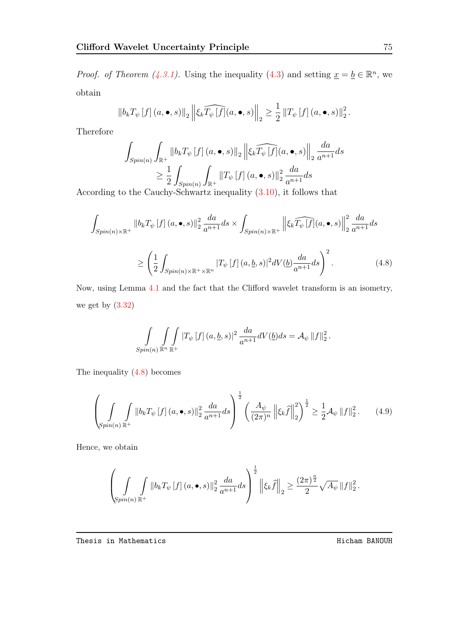*Proof. of Theorem [\(4.3.1\)](#page-82-0)*. Using the inequality [\(4.3\)](#page-80-2) and setting  $\underline{x} = \underline{b} \in \mathbb{R}^n$ , we obtain

$$
\|b_k T_{\psi}\left[f\right](a,\bullet,s)\|_2 \left\|\xi_k \widehat{T_{\psi}\left[f\right]}(a,\bullet,s)\right\|_2 \geq \frac{1}{2} \left\|T_{\psi}\left[f\right](a,\bullet,s)\right\|_2^2.
$$

Therefore

$$
\int_{Spin(n)} \int_{\mathbb{R}^+} \|b_k T_{\psi}[f](a, \bullet, s)\|_2 \left\|\xi_k \widehat{T_{\psi}[f]}(a, \bullet, s)\right\|_2 \frac{da}{a^{n+1}} ds
$$
\n
$$
\geq \frac{1}{2} \int_{Spin(n)} \int_{\mathbb{R}^+} \|T_{\psi}[f](a, \bullet, s)\|_2^2 \frac{da}{a^{n+1}} ds
$$
\nThe Gouche Schuert's inequality (3.10) it follows that

According to the Cauchy-Schwartz inequality [\(3.10\)](#page-43-1), it follows that

<span id="page-84-0"></span>
$$
\int_{Spin(n)\times\mathbb{R}^+} \|b_k T_{\psi}[f](a, \bullet, s)\|_2^2 \frac{da}{a^{n+1}} ds \times \int_{Spin(n)\times\mathbb{R}^+} \left\| \xi_k \widehat{T_{\psi}[f]}(a, \bullet, s) \right\|_2^2 \frac{da}{a^{n+1}} ds
$$
\n
$$
\geq \left( \frac{1}{2} \int_{Spin(n)\times\mathbb{R}^+\times\mathbb{R}^n} |T_{\psi}[f](a, \underline{b}, s)|^2 dV(\underline{b}) \frac{da}{a^{n+1}} ds \right)^2.
$$
\n(4.8)

Now, using Lemma [4.1](#page-82-1) and the fact that the Clifford wavelet transform is an isometry, we get by [\(3.32\)](#page-74-0)

$$
\int\limits_{Spin(n)\mathbb{R}^n}\int\limits_{\mathbb{R}^+} \int \left|T_{\psi}\left[f\right](a,\underline{b},s)\right|^2 \frac{da}{a^{n+1}}dV(\underline{b})ds = \mathcal{A}_{\psi}\left\|f\right\|_{2}^{2}.
$$

The inequality [\(4.8\)](#page-84-0) becomes

$$
\left(\int_{Spin(n)\,\mathbb{R}^+} \int \|b_k T_{\psi}[f](a,\bullet,s)\|_2^2 \frac{da}{a^{n+1}} ds\right)^{\frac{1}{2}} \left(\frac{A_{\psi}}{(2\pi)^n} \left\|\xi_k \hat{f}\right\|_2^2\right)^{\frac{1}{2}} \ge \frac{1}{2} \mathcal{A}_{\psi} \|f\|_2^2. \tag{4.9}
$$

Hence, we obtain

$$
\left(\int_{\text{Spin}(n)\,\mathbb{R}^+} \int_{\mathbb{R}^+} \|b_k T_{\psi}\,[f]\, (a, \bullet, s)\|_2^2 \, \frac{da}{a^{n+1}} ds\right)^{\frac{1}{2}} \left\|\xi_k \widehat{f}\right\|_2 \geq \frac{(2\pi)^{\frac{n}{2}}}{2} \sqrt{A_{\psi}} \, \|f\|_2^2 \, .
$$

Thesis in Mathematics **Hicham BANOUH Hicham BANOUH**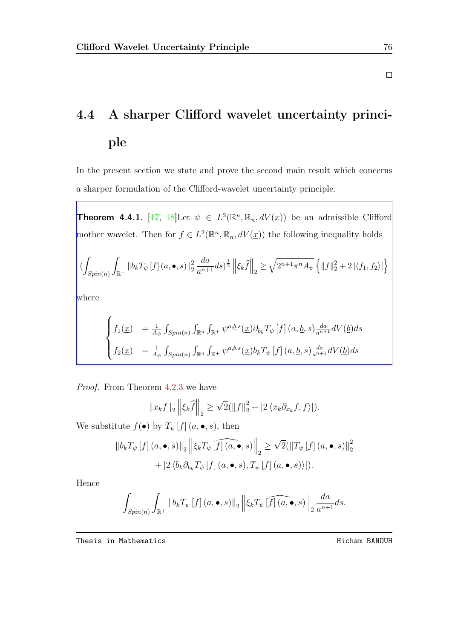# 4.4 A sharper Clifford wavelet uncertainty principle

In the present section we state and prove the second main result which concerns a sharper formulation of the Clifford-wavelet uncertainty principle.

**Theorem 4.4.1.** [\[17,](#page-96-1) [18\]](#page-96-2)Let  $\psi \in L^2(\mathbb{R}^n, \mathbb{R}_n, dV(\underline{x}))$  be an admissible Clifford mother wavelet. Then for  $f \in L^2(\mathbb{R}^n, \mathbb{R}_n, dV(\underline{x}))$  the following inequality holds

$$
\left(\int_{Spin(n)} \int_{\mathbb{R}^+} \|b_k T_{\psi}\left[f\right](a, \bullet, s)\|_{2}^{2} \frac{da}{a^{n+1}} ds\right)^{\frac{1}{2}} \left\|\xi_k \widehat{f}\right\|_{2} \geq \sqrt{2^{n+1} \pi^{n} A_{\psi}} \left\{\|f\|_{2}^{2} + 2 \left|\langle f_1, f_2 \rangle\right|\right\}
$$

where

$$
\begin{cases}\nf_1(\underline{x}) = \frac{1}{A_{\psi}} \int_{Spin(n)} \int_{\mathbb{R}^n} \int_{\mathbb{R}^+} \psi^{a,\underline{b},s}(\underline{x}) \partial_{b_k} T_{\psi} [f] (a, \underline{b}, s) \frac{da}{a^{n+1}} dV(\underline{b}) ds \\
f_2(\underline{x}) = \frac{1}{A_{\psi}} \int_{Spin(n)} \int_{\mathbb{R}^n} \int_{\mathbb{R}^+} \psi^{a,\underline{b},s}(\underline{x}) b_k T_{\psi} [f] (a, \underline{b}, s) \frac{da}{a^{n+1}} dV(\underline{b}) ds\n\end{cases}
$$

Proof. From Theorem [4.2.3](#page-80-3) we have

$$
||x_k f||_2 ||\xi_k \widehat{f}||_2 \ge \sqrt{2} (||f||_2^2 + |2 \langle x_k \partial_{x_k} f, f \rangle|).
$$

We substitute  $f(\bullet)$  by  $T_{\psi}[f](a, \bullet, s)$ , then

$$
||b_k T_{\psi} [f] (a, \bullet, s)||_2 ||\xi_k T_{\psi} [\widehat{f] (a, \bullet, s)}||_2 \geq \sqrt{2} (||T_{\psi} [f] (a, \bullet, s)||_2^2
$$
  
+ |2  $\langle b_k \partial_{b_k} T_{\psi} [f] (a, \bullet, s), T_{\psi} [f] (a, \bullet, s) \rangle|).$ 

Hence

$$
\int_{Spin(n)} \int_{\mathbb{R}^+} \|b_k T_{\psi}[f](a, \bullet, s)\|_{2} \left\|\xi_k T_{\psi}[\widehat{f}](a, \bullet, s)\right\|_{2} \frac{da}{a^{n+1}} ds.
$$

Thesis in Mathematics **Hicham BANOUH** 

 $\Box$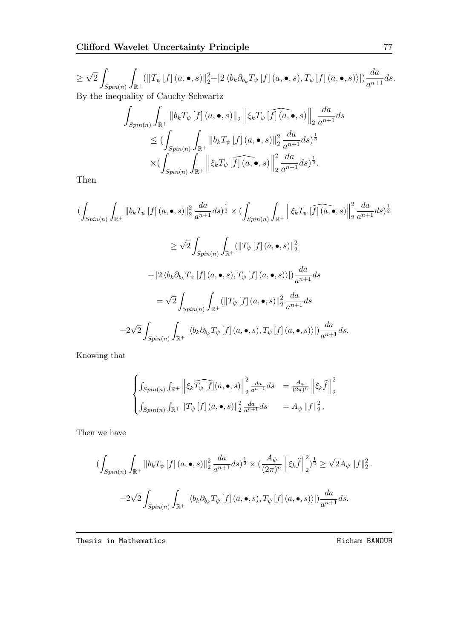≥ √  $\overline{2}$  $Spin(n)$ Z  $\int_{\mathbb{R}^{+}} \left(\left\|T_{\psi}\left[f\right](a,\bullet,s)\right\|_{2}^{2}+\left|2\left\langle b_{k}\partial_{b_{k}}T_{\psi}\left[f\right](a,\bullet,s),T_{\psi}\left[f\right](a,\bullet,s)\right\rangle\right| \right)\frac{da}{a^{n+1}}$  $rac{a}{a^{n+1}}ds.$ By the inequality of Cauchy-Schwartz

$$
\int_{Spin(n)} \int_{\mathbb{R}^+} ||b_k T_{\psi} [f] (a, \bullet, s)||_2 ||\xi_k T_{\psi} [\widehat{f}] (a, \bullet, s)||_2 \frac{da}{a^{n+1}} ds
$$
  
\n
$$
\leq (\int_{Spin(n)} \int_{\mathbb{R}^+} ||b_k T_{\psi} [f] (a, \bullet, s)||_2^2 \frac{da}{a^{n+1}} ds)^{\frac{1}{2}}
$$
  
\n
$$
\times (\int_{Spin(n)} \int_{\mathbb{R}^+} ||\xi_k T_{\psi} [\widehat{f}] (a, \bullet, s)||_2^2 \frac{da}{a^{n+1}} ds)^{\frac{1}{2}}.
$$

Then

$$
\left(\int_{Spin(n)} \int_{\mathbb{R}^+} \|b_k T_{\psi}[f](a, \bullet, s)\|_{2}^{2} \frac{da}{a^{n+1}} ds\right)^{\frac{1}{2}} \times \left(\int_{Spin(n)} \int_{\mathbb{R}^+} \left\|\xi_k T_{\psi}[\widehat{f}](a, \bullet, s)\right\|_{2}^{2} \frac{da}{a^{n+1}} ds)^{\frac{1}{2}}
$$
  

$$
\geq \sqrt{2} \int_{Spin(n)} \int_{\mathbb{R}^+} (\|T_{\psi}[f](a, \bullet, s)\|_{2}^{2}
$$
  

$$
+ |2 \langle b_k \partial_{b_k} T_{\psi}[f](a, \bullet, s), T_{\psi}[f](a, \bullet, s) \rangle|) \frac{da}{a^{n+1}} ds
$$
  

$$
= \sqrt{2} \int_{Spin(n)} \int_{\mathbb{R}^+} (\|T_{\psi}[f](a, \bullet, s)\|_{2}^{2} \frac{da}{a^{n+1}} ds
$$
  

$$
+ 2\sqrt{2} \int_{Spin(n)} \int_{\mathbb{R}^+} |\langle b_k \partial_{b_k} T_{\psi}[f](a, \bullet, s), T_{\psi}[f](a, \bullet, s) \rangle|) \frac{da}{a^{n+1}} ds.
$$

Knowing that

$$
\begin{cases} \int_{Spin(n)} \int_{\mathbb{R}^{+}} \left\| \xi_{k} \widehat{T_{\psi}[f]}(a, \bullet, s) \right\|_{2}^{2} \frac{da}{a^{n+1}} ds = \frac{A_{\psi}}{(2\pi)^{n}} \left\| \xi_{k} \widehat{f} \right\|_{2}^{2} \\ \int_{Spin(n)} \int_{\mathbb{R}^{+}} \left\| T_{\psi}[f](a, \bullet, s) \right\|_{2}^{2} \frac{da}{a^{n+1}} ds = A_{\psi} \left\| f \right\|_{2}^{2} .\end{cases}
$$

Then we have

$$
\begin{split}\n&\left(\int_{Spin(n)}\int_{\mathbb{R}^+}\left\|b_kT_{\psi}\left[f\right](a,\bullet,s)\right\|_{2}^{2}\frac{da}{a^{n+1}}ds\right)^{\frac{1}{2}} \times \left(\frac{A_{\psi}}{(2\pi)^{n}}\left\|\xi_k\widehat{f}\right\|_{2}^{2}\right)^{\frac{1}{2}} \geq \sqrt{2}A_{\psi}\left\|f\right\|_{2}^{2}.\n\end{split}
$$
\n
$$
+2\sqrt{2}\int_{Spin(n)}\int_{\mathbb{R}^+}\left|\left\langle b_k\partial_{b_k}T_{\psi}\left[f\right](a,\bullet,s),T_{\psi}\left[f\right](a,\bullet,s)\right\rangle\right|)\frac{da}{a^{n+1}}ds.
$$

Thesis in Mathematics **Hicham BANOUH Hicham BANOUH**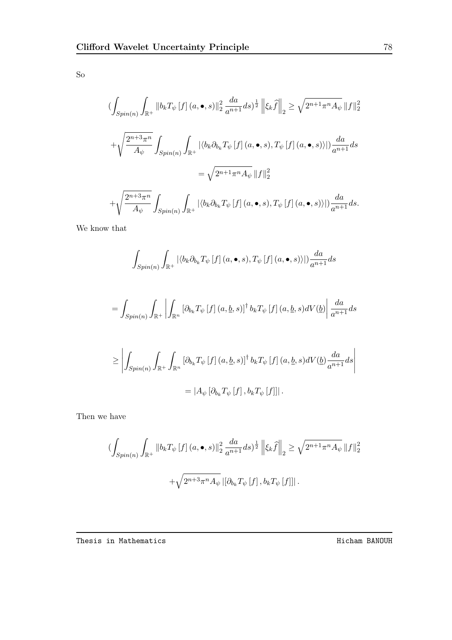So

$$
\left(\int_{Spin(n)} \int_{\mathbb{R}^+} \|b_k T_{\psi}[f](a, \bullet, s)\|_{2}^{2} \frac{da}{a^{n+1}} ds\right)^{\frac{1}{2}} \left\|\xi_k \widehat{f}\right\|_{2} \geq \sqrt{2^{n+1} \pi^{n} A_{\psi}} \|f\|_{2}^{2}
$$

$$
+\sqrt{\frac{2^{n+3} \pi^{n}}{A_{\psi}}} \int_{Spin(n)} \int_{\mathbb{R}^+} |\langle b_k \partial_{b_k} T_{\psi}[f](a, \bullet, s), T_{\psi}[f](a, \bullet, s) \rangle|) \frac{da}{a^{n+1}} ds
$$

$$
= \sqrt{2^{n+1} \pi^{n} A_{\psi}} \|f\|_{2}^{2}
$$

$$
+\sqrt{\frac{2^{n+3} \pi^{n}}{A_{\psi}}} \int_{Spin(n)} \int_{\mathbb{R}^+} |\langle b_k \partial_{b_k} T_{\psi}[f](a, \bullet, s), T_{\psi}[f](a, \bullet, s) \rangle|) \frac{da}{a^{n+1}} ds.
$$

We know that

$$
\int_{Spin(n)} \int_{\mathbb{R}^{+}} |\langle b_{k} \partial_{b_{k}} T_{\psi} [f] (a, \bullet, s), T_{\psi} [f] (a, \bullet, s) \rangle|) \frac{da}{a^{n+1}} ds
$$
\n
$$
= \int_{Spin(n)} \int_{\mathbb{R}^{+}} \left| \int_{\mathbb{R}^{n}} \left[ \partial_{b_{k}} T_{\psi} [f] (a, \underline{b}, s) \right]^{+} b_{k} T_{\psi} [f] (a, \underline{b}, s) dV(\underline{b}) \right| \frac{da}{a^{n+1}} ds
$$
\n
$$
\geq \left| \int_{Spin(n)} \int_{\mathbb{R}^{+}} \int_{\mathbb{R}^{n}} \left[ \partial_{b_{k}} T_{\psi} [f] (a, \underline{b}, s) \right]^{+} b_{k} T_{\psi} [f] (a, \underline{b}, s) dV(\underline{b}) \frac{da}{a^{n+1}} ds \right|
$$
\n
$$
= |A_{\psi} [ \partial_{b_{k}} T_{\psi} [f], b_{k} T_{\psi} [f] |].
$$

Then we have

$$
\left(\int_{Spin(n)} \int_{\mathbb{R}^+} \|b_k T_{\psi} [f] \, (a, \bullet, s) \|_{2}^2 \, \frac{da}{a^{n+1}} ds\right)^{\frac{1}{2}} \left\| \xi_k \widehat{f} \right\|_2 \ge \sqrt{2^{n+1} \pi^n A_{\psi}} \, \|f\|_2^2
$$

$$
+ \sqrt{2^{n+3} \pi^n A_{\psi}} \, \left\| \left[\partial_{b_k} T_{\psi} [f] \, , b_k T_{\psi} [f] \right] \right\|.
$$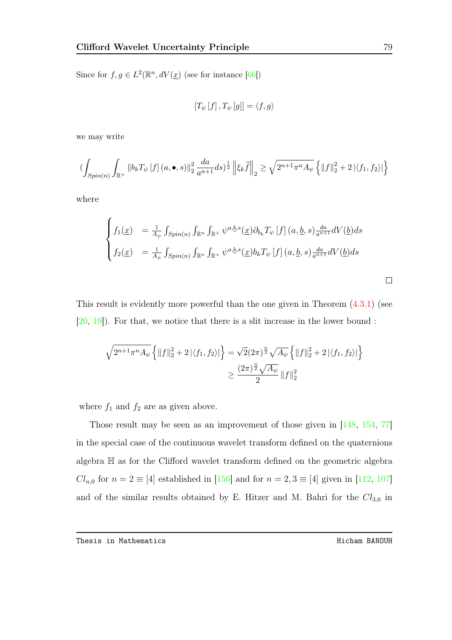Since for  $f, g \in L^2(\mathbb{R}^n, dV(\underline{x}))$  (see for instance [\[66\]](#page-101-0))

$$
[T_{\psi}\left[f\right],T_{\psi}\left[g\right]] = \langle f,g \rangle
$$

we may write

$$
\left(\int_{Spin(n)} \int_{\mathbb{R}^+} \|b_k T_{\psi}\left[f\right](a, \bullet, s)\|_2^2 \frac{da}{a^{n+1}} ds\right)^{\frac{1}{2}} \left\|\xi_k \widehat{f}\right\|_2 \ge \sqrt{2^{n+1} \pi^n A_{\psi}} \left\{\|f\|_2^2 + 2 \left|\langle f_1, f_2 \rangle\right|\right\}
$$

where

$$
\begin{cases}\nf_1(\underline{x}) = \frac{1}{A_{\psi}} \int_{Spin(n)} \int_{\mathbb{R}^n} \int_{\mathbb{R}^+} \psi^{a,\underline{b},s}(\underline{x}) \partial_{b_k} T_{\psi} [f] (a, \underline{b}, s) \frac{da}{a^{n+1}} dV(\underline{b}) ds \\
f_2(\underline{x}) = \frac{1}{A_{\psi}} \int_{Spin(n)} \int_{\mathbb{R}^n} \int_{\mathbb{R}^+} \psi^{a,\underline{b},s}(\underline{x}) b_k T_{\psi} [f] (a, \underline{b}, s) \frac{da}{a^{n+1}} dV(\underline{b}) ds\n\end{cases}
$$

 $\Box$ 

This result is evidently more powerful than the one given in Theorem [\(4.3.1\)](#page-82-0) (see [\[20,](#page-96-3) [19\]](#page-96-0)). For that, we notice that there is a slit increase in the lower bound :

$$
\sqrt{2^{n+1}\pi^n A_{\psi}} \left\{ \|f\|_2^2 + 2 \left| \langle f_1, f_2 \rangle \right| \right\} = \sqrt{2} (2\pi)^{\frac{n}{2}} \sqrt{A_{\psi}} \left\{ \|f\|_2^2 + 2 \left| \langle f_1, f_2 \rangle \right| \right\}
$$

$$
\geq \frac{(2\pi)^{\frac{n}{2}} \sqrt{A_{\psi}}}{2} \|f\|_2^2
$$

where  $f_1$  and  $f_2$  are as given above.

Those result may be seen as an improvement of those given in [\[148,](#page-109-0) [154,](#page-110-0) [77\]](#page-102-1) in the special case of the continuous wavelet transform defined on the quaternions algebra H as for the Clifford wavelet transform defined on the geometric algebra  $Cl_{n,0}$  for  $n = 2 \equiv [4]$  established in [\[156\]](#page-110-1) and for  $n = 2, 3 \equiv [4]$  given in [\[112,](#page-106-1) [107\]](#page-105-0) and of the similar results obtained by E. Hitzer and M. Bahri for the  $Cl_{3,0}$  in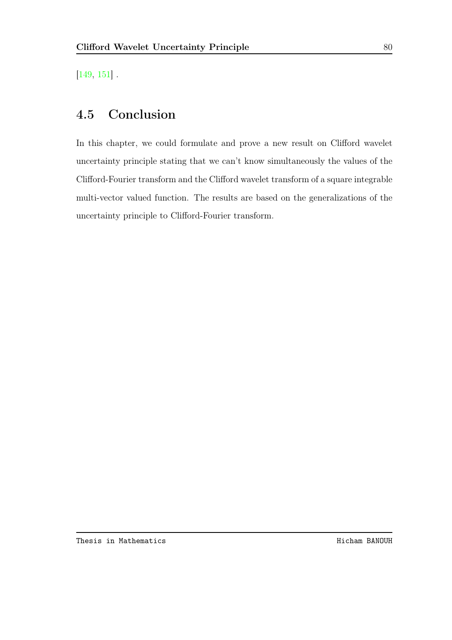[\[149,](#page-109-1) [151\]](#page-110-2) .

## 4.5 Conclusion

In this chapter, we could formulate and prove a new result on Clifford wavelet uncertainty principle stating that we can't know simultaneously the values of the Clifford-Fourier transform and the Clifford wavelet transform of a square integrable multi-vector valued function. The results are based on the generalizations of the uncertainty principle to Clifford-Fourier transform.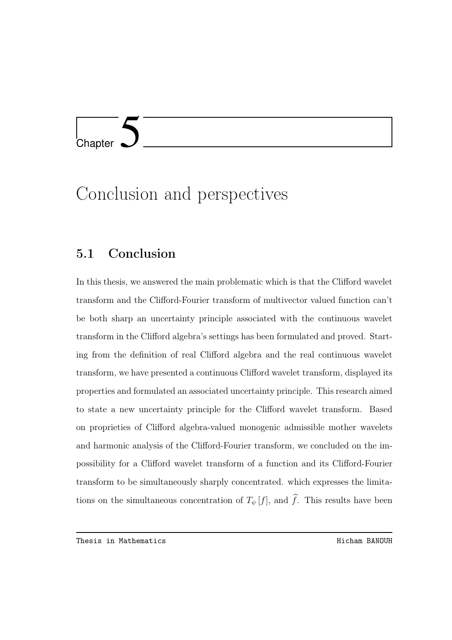# l<br>Chapter

# Conclusion and perspectives

## 5.1 Conclusion

In this thesis, we answered the main problematic which is that the Clifford wavelet transform and the Clifford-Fourier transform of multivector valued function can't be both sharp an uncertainty principle associated with the continuous wavelet transform in the Clifford algebra's settings has been formulated and proved. Starting from the definition of real Clifford algebra and the real continuous wavelet transform, we have presented a continuous Clifford wavelet transform, displayed its properties and formulated an associated uncertainty principle. This research aimed to state a new uncertainty principle for the Clifford wavelet transform. Based on proprieties of Clifford algebra-valued monogenic admissible mother wavelets and harmonic analysis of the Clifford-Fourier transform, we concluded on the impossibility for a Clifford wavelet transform of a function and its Clifford-Fourier transform to be simultaneously sharply concentrated. which expresses the limitations on the simultaneous concentration of  $T_{\psi}[f]$ , and  $\widehat{f}$ . This results have been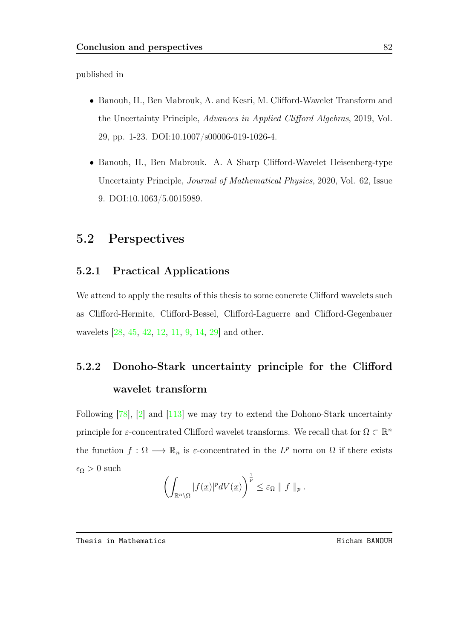published in

- Banouh, H., Ben Mabrouk, A. and Kesri, M. Clifford-Wavelet Transform and the Uncertainty Principle, Advances in Applied Clifford Algebras, 2019, Vol. 29, pp. 1-23. DOI:10.1007/s00006-019-1026-4.
- Banouh, H., Ben Mabrouk. A. A Sharp Clifford-Wavelet Heisenberg-type Uncertainty Principle, Journal of Mathematical Physics, 2020, Vol. 62, Issue 9. DOI:10.1063/5.0015989.

### 5.2 Perspectives

#### 5.2.1 Practical Applications

We attend to apply the results of this thesis to some concrete Clifford wavelets such as Clifford-Hermite, Clifford-Bessel, Clifford-Laguerre and Clifford-Gegenbauer wavelets [\[28,](#page-97-0) [45,](#page-99-0) [42,](#page-98-0) [12,](#page-95-0) [11,](#page-95-1) [9,](#page-95-2) [14,](#page-95-3) [29\]](#page-97-1) and other.

# 5.2.2 Donoho-Stark uncertainty principle for the Clifford wavelet transform

Following [\[78\]](#page-102-2), [\[2\]](#page-94-0) and [\[113\]](#page-106-2) we may try to extend the Dohono-Stark uncertainty principle for  $\varepsilon$ -concentrated Clifford wavelet transforms. We recall that for  $\Omega \subset \mathbb{R}^n$ the function  $f: \Omega \longrightarrow \mathbb{R}_n$  is  $\varepsilon$ -concentrated in the  $L^p$  norm on  $\Omega$  if there exists  $\epsilon_{\Omega} > 0$  such

$$
\left(\int_{\mathbb{R}^n\setminus\Omega}|f(\underline{x})|^p dV(\underline{x})\right)^{\frac{1}{p}} \leq \varepsilon_{\Omega} \parallel f \parallel_p.
$$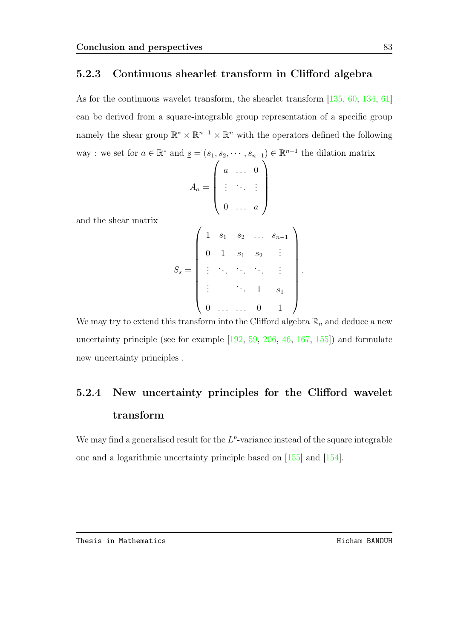#### 5.2.3 Continuous shearlet transform in Clifford algebra

As for the continuous wavelet transform, the shearlet transform [\[135,](#page-108-0) [60,](#page-100-0) [134,](#page-108-1) [61\]](#page-100-1) can be derived from a square-integrable group representation of a specific group namely the shear group  $\mathbb{R}^* \times \mathbb{R}^{n-1} \times \mathbb{R}^n$  with the operators defined the following way : we set for  $a \in \mathbb{R}^*$  and  $\underline{s} = (s_1, s_2, \cdots, s_{n-1}) \in \mathbb{R}^{n-1}$  the dilation matrix

$$
A_a = \left( \begin{array}{ccc} a & \dots & 0 \\ \vdots & \ddots & \vdots \\ 0 & \dots & a \end{array} \right)
$$

and the shear matrix

$$
S_s = \begin{pmatrix} 1 & s_1 & s_2 & \dots & s_{n-1} \\ 0 & 1 & s_1 & s_2 & \vdots \\ \vdots & \ddots & \ddots & \ddots & \vdots \\ \vdots & & \ddots & 1 & s_1 \\ 0 & \dots & \dots & 0 & 1 \end{pmatrix}
$$

.

We may try to extend this transform into the Clifford algebra  $\mathbb{R}_n$  and deduce a new uncertainty principle (see for example [\[192,](#page-114-2) [59,](#page-100-2) [206,](#page-115-1) [46,](#page-99-1) [167,](#page-111-1) [155\]](#page-110-3)) and formulate new uncertainty principles .

## 5.2.4 New uncertainty principles for the Clifford wavelet transform

We may find a generalised result for the  $L^p$ -variance instead of the square integrable one and a logarithmic uncertainty principle based on [\[155\]](#page-110-3) and [\[154\]](#page-110-0).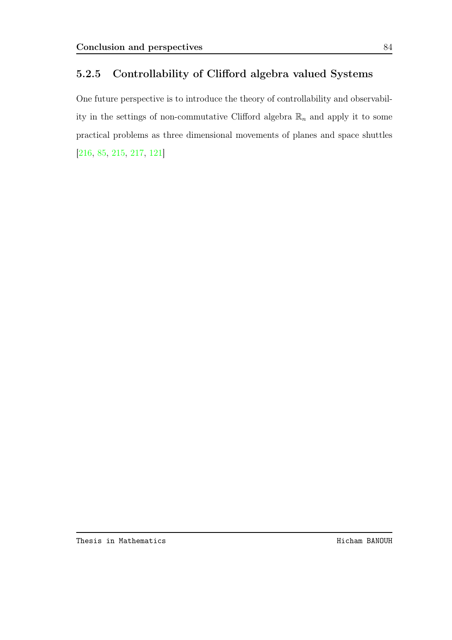#### 5.2.5 Controllability of Clifford algebra valued Systems

One future perspective is to introduce the theory of controllability and observability in the settings of non-commutative Clifford algebra  $\mathbb{R}_n$  and apply it to some practical problems as three dimensional movements of planes and space shuttles [\[216,](#page-116-1) [85,](#page-103-1) [215,](#page-116-2) [217,](#page-116-3) [121\]](#page-107-1)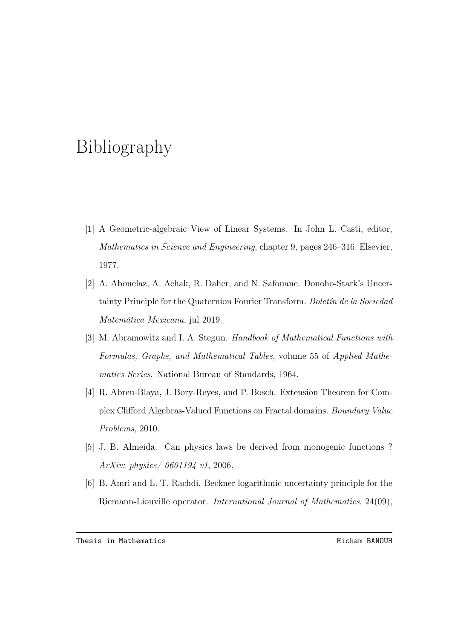# Bibliography

- [1] A Geometric-algebraic View of Linear Systems. In John L. Casti, editor, Mathematics in Science and Engineering, chapter 9, pages 246–316. Elsevier, 1977.
- <span id="page-94-0"></span>[2] A. Abouelaz, A. Achak, R. Daher, and N. Safouane. Donoho-Stark's Uncertainty Principle for the Quaternion Fourier Transform. Boletín de la Sociedad Matemática Mexicana, jul 2019.
- [3] M. Abramowitz and I. A. Stegun. Handbook of Mathematical Functions with Formulas, Graphs, and Mathematical Tables, volume 55 of Applied Mathematics Series. National Bureau of Standards, 1964.
- [4] R. Abreu-Blaya, J. Bory-Reyes, and P. Bosch. Extension Theorem for Complex Clifford Algebras-Valued Functions on Fractal domains. Boundary Value Problems, 2010.
- [5] J. B. Almeida. Can physics laws be derived from monogenic functions ? ArXiv: physics/ 0601194 v1, 2006.
- [6] B. Amri and L. T. Rachdi. Beckner logarithmic uncertainty principle for the Riemann-Liouville operator. International Journal of Mathematics, 24(09),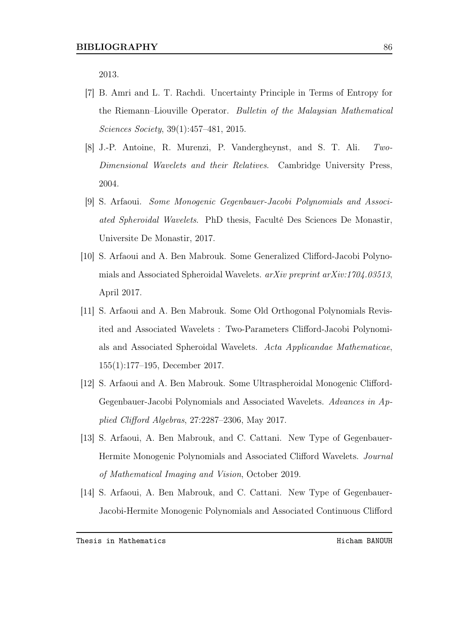2013.

- [7] B. Amri and L. T. Rachdi. Uncertainty Principle in Terms of Entropy for the Riemann–Liouville Operator. Bulletin of the Malaysian Mathematical Sciences Society, 39(1):457–481, 2015.
- [8] J.-P. Antoine, R. Murenzi, P. Vandergheynst, and S. T. Ali. Two-Dimensional Wavelets and their Relatives. Cambridge University Press, 2004.
- <span id="page-95-2"></span>[9] S. Arfaoui. Some Monogenic Gegenbauer-Jacobi Polynomials and Associated Spheroidal Wavelets. PhD thesis, Faculté Des Sciences De Monastir, Universite De Monastir, 2017.
- [10] S. Arfaoui and A. Ben Mabrouk. Some Generalized Clifford-Jacobi Polynomials and Associated Spheroidal Wavelets. arXiv preprint arXiv:1704.03513, April 2017.
- <span id="page-95-1"></span>[11] S. Arfaoui and A. Ben Mabrouk. Some Old Orthogonal Polynomials Revisited and Associated Wavelets : Two-Parameters Clifford-Jacobi Polynomials and Associated Spheroidal Wavelets. Acta Applicandae Mathematicae, 155(1):177–195, December 2017.
- <span id="page-95-0"></span>[12] S. Arfaoui and A. Ben Mabrouk. Some Ultraspheroidal Monogenic Clifford-Gegenbauer-Jacobi Polynomials and Associated Wavelets. Advances in Applied Clifford Algebras, 27:2287–2306, May 2017.
- [13] S. Arfaoui, A. Ben Mabrouk, and C. Cattani. New Type of Gegenbauer-Hermite Monogenic Polynomials and Associated Clifford Wavelets. Journal of Mathematical Imaging and Vision, October 2019.
- <span id="page-95-3"></span>[14] S. Arfaoui, A. Ben Mabrouk, and C. Cattani. New Type of Gegenbauer-Jacobi-Hermite Monogenic Polynomials and Associated Continuous Clifford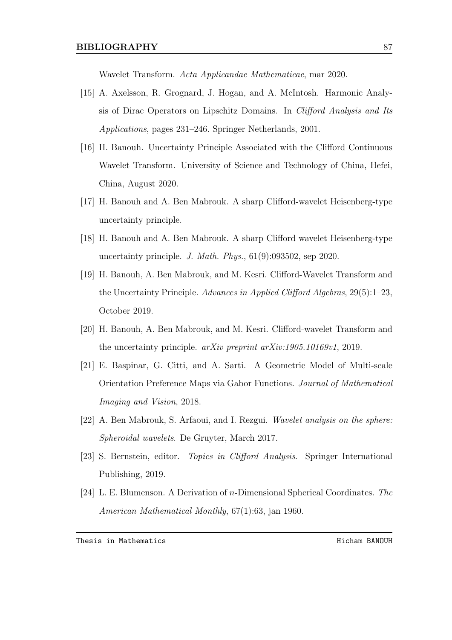Wavelet Transform. Acta Applicandae Mathematicae, mar 2020.

- [15] A. Axelsson, R. Grognard, J. Hogan, and A. McIntosh. Harmonic Analysis of Dirac Operators on Lipschitz Domains. In Clifford Analysis and Its Applications, pages 231–246. Springer Netherlands, 2001.
- [16] H. Banouh. Uncertainty Principle Associated with the Clifford Continuous Wavelet Transform. University of Science and Technology of China, Hefei, China, August 2020.
- <span id="page-96-1"></span>[17] H. Banouh and A. Ben Mabrouk. A sharp Clifford-wavelet Heisenberg-type uncertainty principle.
- <span id="page-96-2"></span>[18] H. Banouh and A. Ben Mabrouk. A sharp Clifford wavelet Heisenberg-type uncertainty principle. J. Math. Phys., 61(9):093502, sep 2020.
- <span id="page-96-0"></span>[19] H. Banouh, A. Ben Mabrouk, and M. Kesri. Clifford-Wavelet Transform and the Uncertainty Principle. Advances in Applied Clifford Algebras, 29(5):1–23, October 2019.
- <span id="page-96-3"></span>[20] H. Banouh, A. Ben Mabrouk, and M. Kesri. Clifford-wavelet Transform and the uncertainty principle. arXiv preprint arXiv:1905.10169v1, 2019.
- [21] E. Baspinar, G. Citti, and A. Sarti. A Geometric Model of Multi-scale Orientation Preference Maps via Gabor Functions. Journal of Mathematical Imaging and Vision, 2018.
- [22] A. Ben Mabrouk, S. Arfaoui, and I. Rezgui. Wavelet analysis on the sphere: Spheroidal wavelets. De Gruyter, March 2017.
- [23] S. Bernstein, editor. Topics in Clifford Analysis. Springer International Publishing, 2019.
- [24] L. E. Blumenson. A Derivation of n-Dimensional Spherical Coordinates. The American Mathematical Monthly, 67(1):63, jan 1960.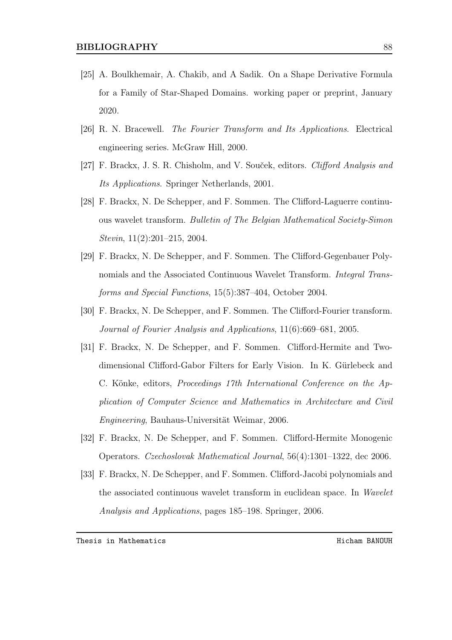- [25] A. Boulkhemair, A. Chakib, and A Sadik. On a Shape Derivative Formula for a Family of Star-Shaped Domains. working paper or preprint, January 2020.
- [26] R. N. Bracewell. The Fourier Transform and Its Applications. Electrical engineering series. McGraw Hill, 2000.
- [27] F. Brackx, J. S. R. Chisholm, and V. Souček, editors. Clifford Analysis and Its Applications. Springer Netherlands, 2001.
- <span id="page-97-0"></span>[28] F. Brackx, N. De Schepper, and F. Sommen. The Clifford-Laguerre continuous wavelet transform. Bulletin of The Belgian Mathematical Society-Simon Stevin, 11(2):201–215, 2004.
- <span id="page-97-1"></span>[29] F. Brackx, N. De Schepper, and F. Sommen. The Clifford-Gegenbauer Polynomials and the Associated Continuous Wavelet Transform. Integral Transforms and Special Functions, 15(5):387–404, October 2004.
- [30] F. Brackx, N. De Schepper, and F. Sommen. The Clifford-Fourier transform. Journal of Fourier Analysis and Applications, 11(6):669–681, 2005.
- [31] F. Brackx, N. De Schepper, and F. Sommen. Clifford-Hermite and Twodimensional Clifford-Gabor Filters for Early Vision. In K. Gürlebeck and C. Könke, editors, Proceedings 17th International Conference on the Application of Computer Science and Mathematics in Architecture and Civil Engineering, Bauhaus-Universität Weimar, 2006.
- [32] F. Brackx, N. De Schepper, and F. Sommen. Clifford-Hermite Monogenic Operators. Czechoslovak Mathematical Journal, 56(4):1301–1322, dec 2006.
- [33] F. Brackx, N. De Schepper, and F. Sommen. Clifford-Jacobi polynomials and the associated continuous wavelet transform in euclidean space. In *Wavelet* Analysis and Applications, pages 185–198. Springer, 2006.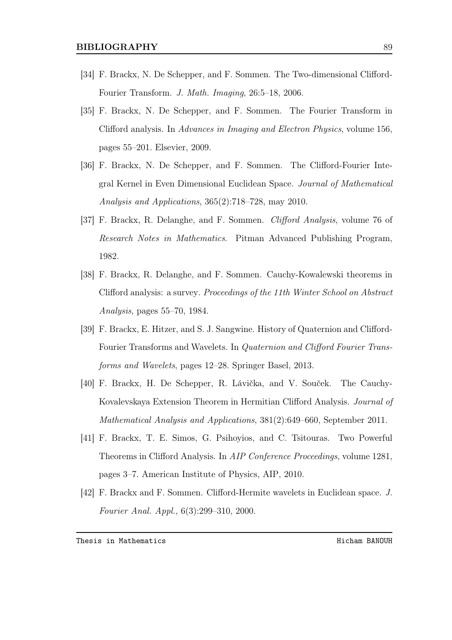- [34] F. Brackx, N. De Schepper, and F. Sommen. The Two-dimensional Clifford-Fourier Transform. J. Math. Imaging, 26:5–18, 2006.
- [35] F. Brackx, N. De Schepper, and F. Sommen. The Fourier Transform in Clifford analysis. In Advances in Imaging and Electron Physics, volume 156, pages 55–201. Elsevier, 2009.
- [36] F. Brackx, N. De Schepper, and F. Sommen. The Clifford-Fourier Integral Kernel in Even Dimensional Euclidean Space. Journal of Mathematical Analysis and Applications, 365(2):718–728, may 2010.
- [37] F. Brackx, R. Delanghe, and F. Sommen. Clifford Analysis, volume 76 of Research Notes in Mathematics. Pitman Advanced Publishing Program, 1982.
- [38] F. Brackx, R. Delanghe, and F. Sommen. Cauchy-Kowalewski theorems in Clifford analysis: a survey. Proceedings of the 11th Winter School on Abstract Analysis, pages 55–70, 1984.
- [39] F. Brackx, E. Hitzer, and S. J. Sangwine. History of Quaternion and Clifford-Fourier Transforms and Wavelets. In Quaternion and Clifford Fourier Transforms and Wavelets, pages 12–28. Springer Basel, 2013.
- [40] F. Brackx, H. De Schepper, R. Lávička, and V. Souček. The Cauchy-Kovalevskaya Extension Theorem in Hermitian Clifford Analysis. Journal of Mathematical Analysis and Applications, 381(2):649–660, September 2011.
- [41] F. Brackx, T. E. Simos, G. Psihoyios, and C. Tsitouras. Two Powerful Theorems in Clifford Analysis. In AIP Conference Proceedings, volume 1281, pages 3–7. American Institute of Physics, AIP, 2010.
- <span id="page-98-0"></span>[42] F. Brackx and F. Sommen. Clifford-Hermite wavelets in Euclidean space. J. Fourier Anal. Appl., 6(3):299–310, 2000.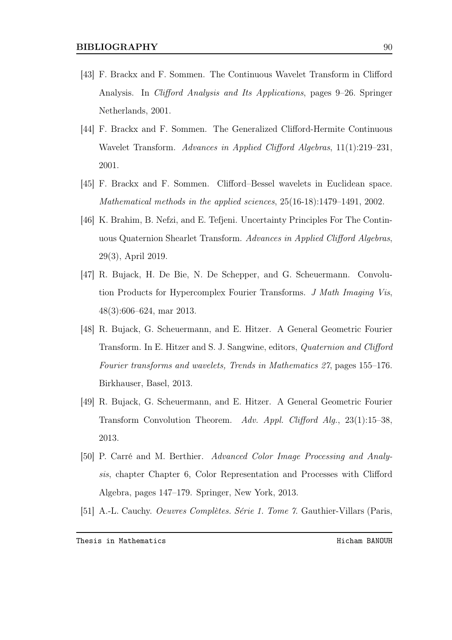- [43] F. Brackx and F. Sommen. The Continuous Wavelet Transform in Clifford Analysis. In *Clifford Analysis and Its Applications*, pages 9–26. Springer Netherlands, 2001.
- [44] F. Brackx and F. Sommen. The Generalized Clifford-Hermite Continuous Wavelet Transform. Advances in Applied Clifford Algebras, 11(1):219–231, 2001.
- <span id="page-99-0"></span>[45] F. Brackx and F. Sommen. Clifford–Bessel wavelets in Euclidean space. Mathematical methods in the applied sciences, 25(16-18):1479–1491, 2002.
- <span id="page-99-1"></span>[46] K. Brahim, B. Nefzi, and E. Tefjeni. Uncertainty Principles For The Continuous Quaternion Shearlet Transform. Advances in Applied Clifford Algebras, 29(3), April 2019.
- [47] R. Bujack, H. De Bie, N. De Schepper, and G. Scheuermann. Convolution Products for Hypercomplex Fourier Transforms. J Math Imaging Vis, 48(3):606–624, mar 2013.
- [48] R. Bujack, G. Scheuermann, and E. Hitzer. A General Geometric Fourier Transform. In E. Hitzer and S. J. Sangwine, editors, Quaternion and Clifford Fourier transforms and wavelets, Trends in Mathematics 27, pages 155–176. Birkhauser, Basel, 2013.
- [49] R. Bujack, G. Scheuermann, and E. Hitzer. A General Geometric Fourier Transform Convolution Theorem. Adv. Appl. Clifford Alg., 23(1):15–38, 2013.
- [50] P. Carré and M. Berthier. Advanced Color Image Processing and Analysis, chapter Chapter 6, Color Representation and Processes with Clifford Algebra, pages 147–179. Springer, New York, 2013.
- [51] A.-L. Cauchy. Oeuvres Complètes. Série 1. Tome 7. Gauthier-Villars (Paris,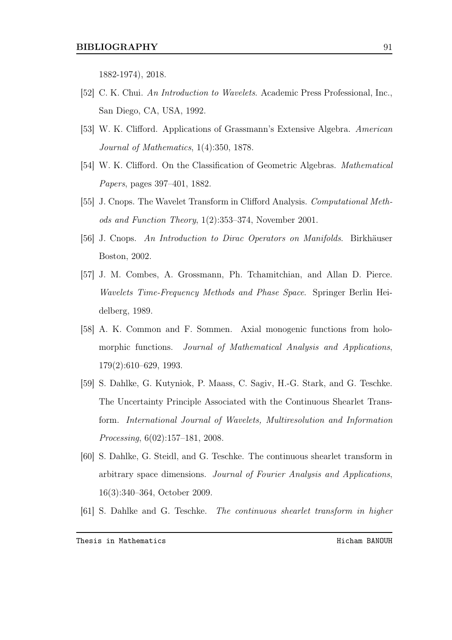1882-1974), 2018.

- [52] C. K. Chui. An Introduction to Wavelets. Academic Press Professional, Inc., San Diego, CA, USA, 1992.
- [53] W. K. Clifford. Applications of Grassmann's Extensive Algebra. American Journal of Mathematics, 1(4):350, 1878.
- [54] W. K. Clifford. On the Classification of Geometric Algebras. Mathematical Papers, pages 397–401, 1882.
- [55] J. Cnops. The Wavelet Transform in Clifford Analysis. Computational Methods and Function Theory, 1(2):353–374, November 2001.
- [56] J. Cnops. An Introduction to Dirac Operators on Manifolds. Birkhäuser Boston, 2002.
- [57] J. M. Combes, A. Grossmann, Ph. Tchamitchian, and Allan D. Pierce. Wavelets Time-Frequency Methods and Phase Space. Springer Berlin Heidelberg, 1989.
- [58] A. K. Common and F. Sommen. Axial monogenic functions from holomorphic functions. Journal of Mathematical Analysis and Applications, 179(2):610–629, 1993.
- <span id="page-100-2"></span>[59] S. Dahlke, G. Kutyniok, P. Maass, C. Sagiv, H.-G. Stark, and G. Teschke. The Uncertainty Principle Associated with the Continuous Shearlet Transform. International Journal of Wavelets, Multiresolution and Information Processing, 6(02):157–181, 2008.
- <span id="page-100-0"></span>[60] S. Dahlke, G. Steidl, and G. Teschke. The continuous shearlet transform in arbitrary space dimensions. Journal of Fourier Analysis and Applications, 16(3):340–364, October 2009.
- <span id="page-100-1"></span>[61] S. Dahlke and G. Teschke. The continuous shearlet transform in higher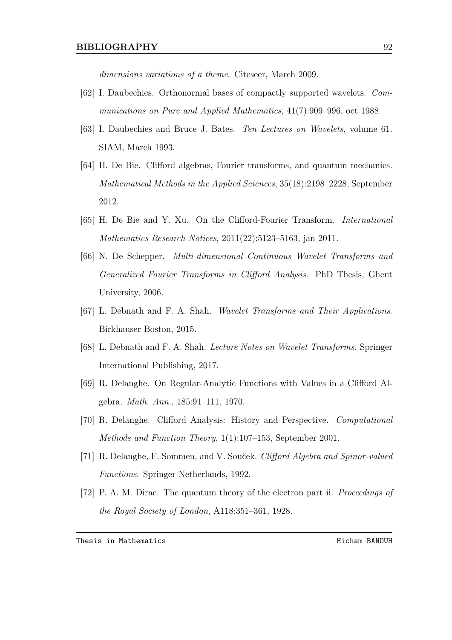dimensions variations of a theme. Citeseer, March 2009.

- [62] I. Daubechies. Orthonormal bases of compactly supported wavelets. Communications on Pure and Applied Mathematics, 41(7):909–996, oct 1988.
- [63] I. Daubechies and Bruce J. Bates. Ten Lectures on Wavelets, volume 61. SIAM, March 1993.
- [64] H. De Bie. Clifford algebras, Fourier transforms, and quantum mechanics. Mathematical Methods in the Applied Sciences, 35(18):2198–2228, September 2012.
- [65] H. De Bie and Y. Xu. On the Clifford-Fourier Transform. International Mathematics Research Notices, 2011(22):5123–5163, jan 2011.
- <span id="page-101-0"></span>[66] N. De Schepper. Multi-dimensional Continuous Wavelet Transforms and Generalized Fourier Transforms in Clifford Analysis. PhD Thesis, Ghent University, 2006.
- [67] L. Debnath and F. A. Shah. Wavelet Transforms and Their Applications. Birkhauser Boston, 2015.
- [68] L. Debnath and F. A. Shah. Lecture Notes on Wavelet Transforms. Springer International Publishing, 2017.
- [69] R. Delanghe. On Regular-Analytic Functions with Values in a Clifford Algebra. Math. Ann., 185:91–111, 1970.
- [70] R. Delanghe. Clifford Analysis: History and Perspective. Computational Methods and Function Theory, 1(1):107–153, September 2001.
- [71] R. Delanghe, F. Sommen, and V. Souček. Clifford Algebra and Spinor-valued Functions. Springer Netherlands, 1992.
- [72] P. A. M. Dirac. The quantum theory of the electron part ii. Proceedings of the Royal Society of London, A118:351–361, 1928.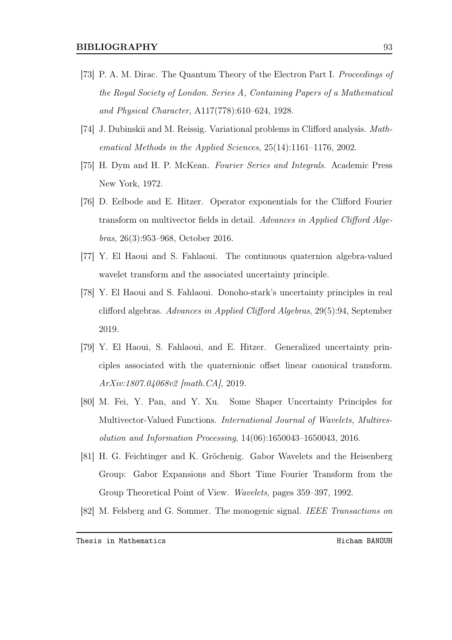- [73] P. A. M. Dirac. The Quantum Theory of the Electron Part I. Proceedings of the Royal Society of London. Series A, Containing Papers of a Mathematical and Physical Character, A117(778):610–624, 1928.
- [74] J. Dubinskii and M. Reissig. Variational problems in Clifford analysis. Mathematical Methods in the Applied Sciences, 25(14):1161–1176, 2002.
- [75] H. Dym and H. P. McKean. Fourier Series and Integrals. Academic Press New York, 1972.
- [76] D. Eelbode and E. Hitzer. Operator exponentials for the Clifford Fourier transform on multivector fields in detail. Advances in Applied Clifford Algebras, 26(3):953–968, October 2016.
- <span id="page-102-1"></span>[77] Y. El Haoui and S. Fahlaoui. The continuous quaternion algebra-valued wavelet transform and the associated uncertainty principle.
- <span id="page-102-2"></span>[78] Y. El Haoui and S. Fahlaoui. Donoho-stark's uncertainty principles in real clifford algebras. Advances in Applied Clifford Algebras, 29(5):94, September 2019.
- [79] Y. El Haoui, S. Fahlaoui, and E. Hitzer. Generalized uncertainty principles associated with the quaternionic offset linear canonical transform. ArXiv:1807.04068v2 [math.CA], 2019.
- <span id="page-102-0"></span>[80] M. Fei, Y. Pan, and Y. Xu. Some Shaper Uncertainty Principles for Multivector-Valued Functions. International Journal of Wavelets, Multiresolution and Information Processing, 14(06):1650043–1650043, 2016.
- [81] H. G. Feichtinger and K. Gröchenig. Gabor Wavelets and the Heisenberg Group: Gabor Expansions and Short Time Fourier Transform from the Group Theoretical Point of View. Wavelets, pages 359–397, 1992.
- [82] M. Felsberg and G. Sommer. The monogenic signal. IEEE Transactions on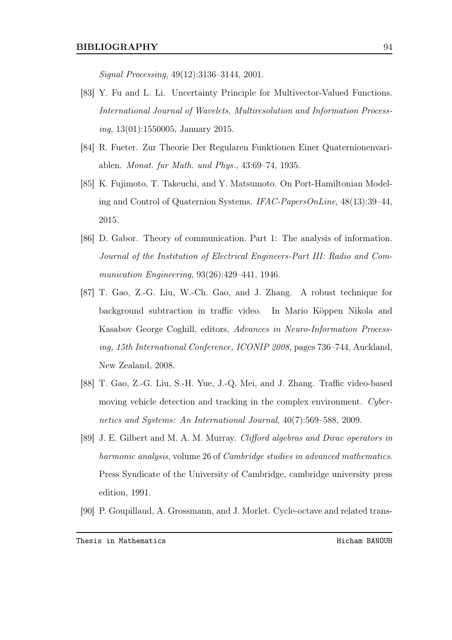Signal Processing, 49(12):3136–3144, 2001.

- <span id="page-103-0"></span>[83] Y. Fu and L. Li. Uncertainty Principle for Multivector-Valued Functions. International Journal of Wavelets, Multiresolution and Information Process*ing*,  $13(01):1550005$ , January 2015.
- [84] R. Fueter. Zur Theorie Der Regularen Funktionen Einer Quaternionenvariablen. Monat. fur Math. und Phys., 43:69–74, 1935.
- <span id="page-103-1"></span>[85] K. Fujimoto, T. Takeuchi, and Y. Matsumoto. On Port-Hamiltonian Modeling and Control of Quaternion Systems. IFAC-PapersOnLine, 48(13):39–44, 2015.
- [86] D. Gabor. Theory of communication. Part 1: The analysis of information. Journal of the Institution of Electrical Engineers-Part III: Radio and Communication Engineering, 93(26):429–441, 1946.
- [87] T. Gao, Z.-G. Liu, W.-Ch. Gao, and J. Zhang. A robust technique for background subtraction in traffic video. In Mario Köppen Nikola and Kasabov George Coghill, editors, Advances in Neuro-Information Processing, 15th International Conference, ICONIP 2008, pages 736–744, Auckland, New Zealand, 2008.
- [88] T. Gao, Z.-G. Liu, S.-H. Yue, J.-Q. Mei, and J. Zhang. Traffic video-based moving vehicle detection and tracking in the complex environment. Cybernetics and Systems: An International Journal, 40(7):569–588, 2009.
- [89] J. E. Gilbert and M. A. M. Murray. Clifford algebras and Dirac operators in harmonic analysis, volume 26 of Cambridge studies in advanced mathematics. Press Syndicate of the University of Cambridge, cambridge university press edition, 1991.
- [90] P. Goupillaud, A. Grossmann, and J. Morlet. Cycle-octave and related trans-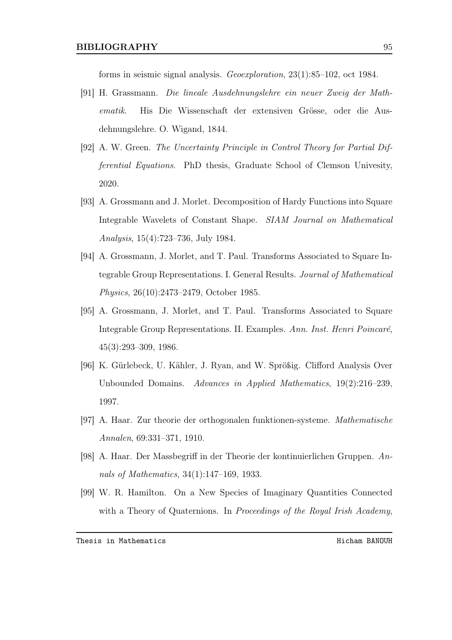forms in seismic signal analysis. Geoexploration, 23(1):85–102, oct 1984.

- [91] H. Grassmann. Die lineale Ausdehnungslehre ein neuer Zweig der Mathematik. His Die Wissenschaft der extensiven Grösse, oder die Ausdehnungslehre. O. Wigand, 1844.
- [92] A. W. Green. The Uncertainty Principle in Control Theory for Partial Differential Equations. PhD thesis, Graduate School of Clemson Univesity, 2020.
- [93] A. Grossmann and J. Morlet. Decomposition of Hardy Functions into Square Integrable Wavelets of Constant Shape. SIAM Journal on Mathematical Analysis, 15(4):723–736, July 1984.
- [94] A. Grossmann, J. Morlet, and T. Paul. Transforms Associated to Square Integrable Group Representations. I. General Results. Journal of Mathematical Physics, 26(10):2473–2479, October 1985.
- [95] A. Grossmann, J. Morlet, and T. Paul. Transforms Associated to Square Integrable Group Representations. II. Examples. Ann. Inst. Henri Poincaré, 45(3):293–309, 1986.
- [96] K. Gürlebeck, U. Kähler, J. Ryan, and W. Sprößig. Clifford Analysis Over Unbounded Domains. Advances in Applied Mathematics, 19(2):216–239, 1997.
- [97] A. Haar. Zur theorie der orthogonalen funktionen-systeme. Mathematische Annalen, 69:331–371, 1910.
- [98] A. Haar. Der Massbegriff in der Theorie der kontinuierlichen Gruppen. Annals of Mathematics, 34(1):147–169, 1933.
- [99] W. R. Hamilton. On a New Species of Imaginary Quantities Connected with a Theory of Quaternions. In Proceedings of the Royal Irish Academy,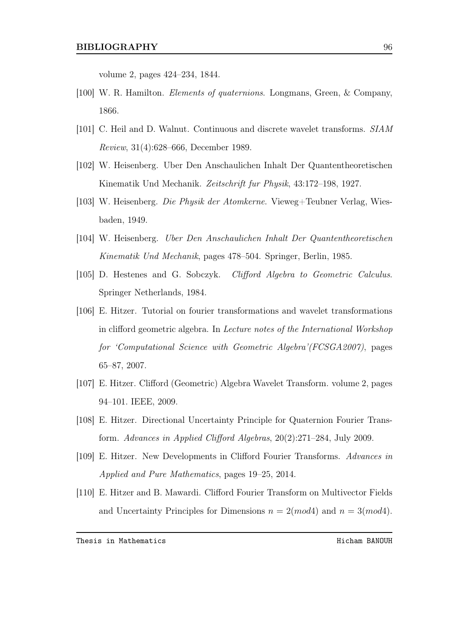volume 2, pages 424–234, 1844.

- [100] W. R. Hamilton. Elements of quaternions. Longmans, Green, & Company, 1866.
- [101] C. Heil and D. Walnut. Continuous and discrete wavelet transforms. SIAM Review, 31(4):628–666, December 1989.
- [102] W. Heisenberg. Uber Den Anschaulichen Inhalt Der Quantentheoretischen Kinematik Und Mechanik. Zeitschrift fur Physik, 43:172–198, 1927.
- [103] W. Heisenberg. Die Physik der Atomkerne. Vieweg+Teubner Verlag, Wiesbaden, 1949.
- [104] W. Heisenberg. Uber Den Anschaulichen Inhalt Der Quantentheoretischen Kinematik Und Mechanik, pages 478–504. Springer, Berlin, 1985.
- [105] D. Hestenes and G. Sobczyk. Clifford Algebra to Geometric Calculus. Springer Netherlands, 1984.
- [106] E. Hitzer. Tutorial on fourier transformations and wavelet transformations in clifford geometric algebra. In Lecture notes of the International Workshop for 'Computational Science with Geometric Algebra'(FCSGA2007), pages 65–87, 2007.
- <span id="page-105-0"></span>[107] E. Hitzer. Clifford (Geometric) Algebra Wavelet Transform. volume 2, pages 94–101. IEEE, 2009.
- [108] E. Hitzer. Directional Uncertainty Principle for Quaternion Fourier Transform. Advances in Applied Clifford Algebras, 20(2):271–284, July 2009.
- [109] E. Hitzer. New Developments in Clifford Fourier Transforms. Advances in Applied and Pure Mathematics, pages 19–25, 2014.
- [110] E. Hitzer and B. Mawardi. Clifford Fourier Transform on Multivector Fields and Uncertainty Principles for Dimensions  $n = 2 \pmod{4}$  and  $n = 3 \pmod{4}$ .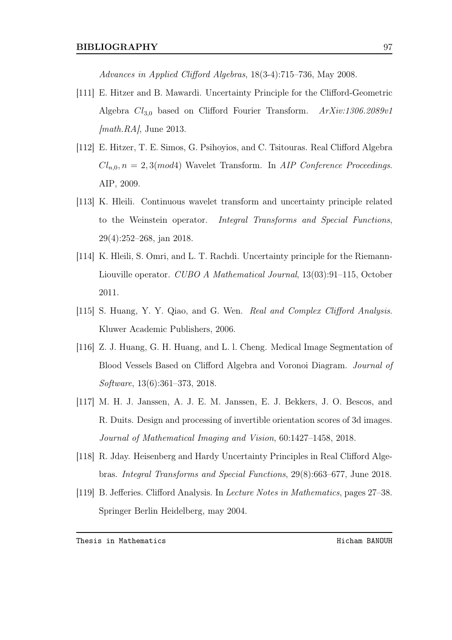Advances in Applied Clifford Algebras, 18(3-4):715–736, May 2008.

- [111] E. Hitzer and B. Mawardi. Uncertainty Principle for the Clifford-Geometric Algebra  $Cl_{3,0}$  based on Clifford Fourier Transform.  $ArXiv:1306.2089v1$  $[math, RA]$ , June 2013.
- <span id="page-106-1"></span>[112] E. Hitzer, T. E. Simos, G. Psihoyios, and C. Tsitouras. Real Clifford Algebra  $Cl_{n,0}, n = 2, 3 \pmod{4}$  Wavelet Transform. In AIP Conference Proceedings. AIP, 2009.
- <span id="page-106-2"></span>[113] K. Hleili. Continuous wavelet transform and uncertainty principle related to the Weinstein operator. Integral Transforms and Special Functions, 29(4):252–268, jan 2018.
- [114] K. Hleili, S. Omri, and L. T. Rachdi. Uncertainty principle for the Riemann-Liouville operator. CUBO A Mathematical Journal, 13(03):91–115, October 2011.
- [115] S. Huang, Y. Y. Qiao, and G. Wen. Real and Complex Clifford Analysis. Kluwer Academic Publishers, 2006.
- [116] Z. J. Huang, G. H. Huang, and L. l. Cheng. Medical Image Segmentation of Blood Vessels Based on Clifford Algebra and Voronoi Diagram. Journal of Software, 13(6):361–373, 2018.
- [117] M. H. J. Janssen, A. J. E. M. Janssen, E. J. Bekkers, J. O. Bescos, and R. Duits. Design and processing of invertible orientation scores of 3d images. Journal of Mathematical Imaging and Vision, 60:1427–1458, 2018.
- <span id="page-106-0"></span>[118] R. Jday. Heisenberg and Hardy Uncertainty Principles in Real Clifford Algebras. Integral Transforms and Special Functions, 29(8):663–677, June 2018.
- [119] B. Jefferies. Clifford Analysis. In Lecture Notes in Mathematics, pages 27–38. Springer Berlin Heidelberg, may 2004.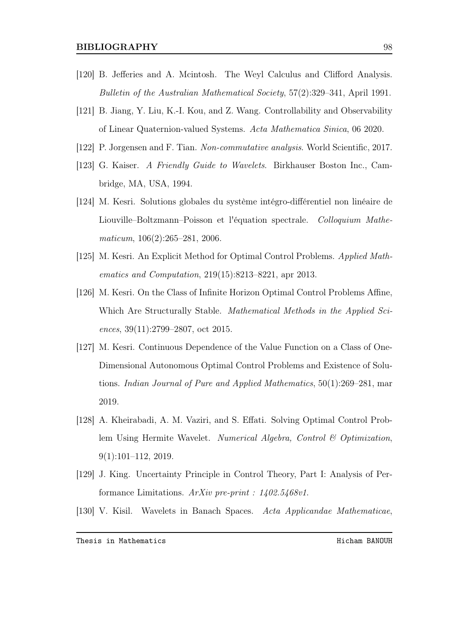- [120] B. Jefferies and A. Mcintosh. The Weyl Calculus and Clifford Analysis. Bulletin of the Australian Mathematical Society, 57(2):329–341, April 1991.
- <span id="page-107-1"></span>[121] B. Jiang, Y. Liu, K.-I. Kou, and Z. Wang. Controllability and Observability of Linear Quaternion-valued Systems. Acta Mathematica Sinica, 06 2020.
- <span id="page-107-0"></span>[122] P. Jorgensen and F. Tian. Non-commutative analysis. World Scientific, 2017.
- [123] G. Kaiser. A Friendly Guide to Wavelets. Birkhauser Boston Inc., Cambridge, MA, USA, 1994.
- [124] M. Kesri. Solutions globales du système intégro-différentiel non linéaire de Liouville–Boltzmann–Poisson et l'équation spectrale. Colloquium Mathematicum, 106(2):265–281, 2006.
- [125] M. Kesri. An Explicit Method for Optimal Control Problems. Applied Mathematics and Computation, 219(15):8213–8221, apr 2013.
- [126] M. Kesri. On the Class of Infinite Horizon Optimal Control Problems Affine, Which Are Structurally Stable. Mathematical Methods in the Applied Sciences, 39(11):2799–2807, oct 2015.
- [127] M. Kesri. Continuous Dependence of the Value Function on a Class of One-Dimensional Autonomous Optimal Control Problems and Existence of Solutions. Indian Journal of Pure and Applied Mathematics, 50(1):269–281, mar 2019.
- [128] A. Kheirabadi, A. M. Vaziri, and S. Effati. Solving Optimal Control Problem Using Hermite Wavelet. Numerical Algebra, Control & Optimization, 9(1):101–112, 2019.
- [129] J. King. Uncertainty Principle in Control Theory, Part I: Analysis of Performance Limitations. ArXiv pre-print : 1402.5468v1.
- [130] V. Kisil. Wavelets in Banach Spaces. Acta Applicandae Mathematicae,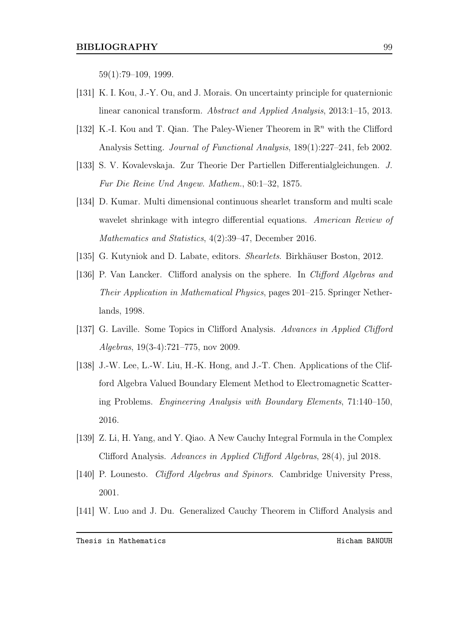59(1):79–109, 1999.

- [131] K. I. Kou, J.-Y. Ou, and J. Morais. On uncertainty principle for quaternionic linear canonical transform. Abstract and Applied Analysis, 2013:1–15, 2013.
- [132] K.-I. Kou and T. Qian. The Paley-Wiener Theorem in  $\mathbb{R}^n$  with the Clifford Analysis Setting. Journal of Functional Analysis, 189(1):227–241, feb 2002.
- [133] S. V. Kovalevskaja. Zur Theorie Der Partiellen Differentialgleichungen. J. Fur Die Reine Und Angew. Mathem., 80:1–32, 1875.
- [134] D. Kumar. Multi dimensional continuous shearlet transform and multi scale wavelet shrinkage with integro differential equations. American Review of Mathematics and Statistics, 4(2):39–47, December 2016.
- [135] G. Kutyniok and D. Labate, editors. Shearlets. Birkhäuser Boston, 2012.
- [136] P. Van Lancker. Clifford analysis on the sphere. In Clifford Algebras and Their Application in Mathematical Physics, pages 201–215. Springer Netherlands, 1998.
- [137] G. Laville. Some Topics in Clifford Analysis. Advances in Applied Clifford Algebras, 19(3-4):721–775, nov 2009.
- [138] J.-W. Lee, L.-W. Liu, H.-K. Hong, and J.-T. Chen. Applications of the Clifford Algebra Valued Boundary Element Method to Electromagnetic Scattering Problems. Engineering Analysis with Boundary Elements, 71:140–150, 2016.
- [139] Z. Li, H. Yang, and Y. Qiao. A New Cauchy Integral Formula in the Complex Clifford Analysis. Advances in Applied Clifford Algebras, 28(4), jul 2018.
- [140] P. Lounesto. Clifford Algebras and Spinors. Cambridge University Press, 2001.
- [141] W. Luo and J. Du. Generalized Cauchy Theorem in Clifford Analysis and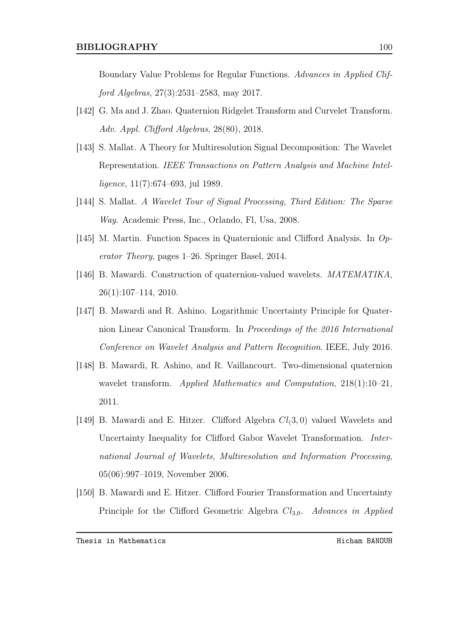Boundary Value Problems for Regular Functions. Advances in Applied Clifford Algebras, 27(3):2531–2583, may 2017.

- [142] G. Ma and J. Zhao. Quaternion Ridgelet Transform and Curvelet Transform. Adv. Appl. Clifford Algebras, 28(80), 2018.
- [143] S. Mallat. A Theory for Multiresolution Signal Decomposition: The Wavelet Representation. IEEE Transactions on Pattern Analysis and Machine Intelligence, 11(7):674–693, jul 1989.
- [144] S. Mallat. A Wavelet Tour of Signal Processing, Third Edition: The Sparse Way. Academic Press, Inc., Orlando, Fl, Usa, 2008.
- [145] M. Martin. Function Spaces in Quaternionic and Clifford Analysis. In Operator Theory, pages 1–26. Springer Basel, 2014.
- [146] B. Mawardi. Construction of quaternion-valued wavelets. MATEMATIKA, 26(1):107–114, 2010.
- [147] B. Mawardi and R. Ashino. Logarithmic Uncertainty Principle for Quaternion Linear Canonical Transform. In Proceedings of the 2016 International Conference on Wavelet Analysis and Pattern Recognition. IEEE, July 2016.
- [148] B. Mawardi, R. Ashino, and R. Vaillancourt. Two-dimensional quaternion wavelet transform. Applied Mathematics and Computation, 218(1):10–21, 2011.
- [149] B. Mawardi and E. Hitzer. Clifford Algebra  $Cl(3,0)$  valued Wavelets and Uncertainty Inequality for Clifford Gabor Wavelet Transformation. International Journal of Wavelets, Multiresolution and Information Processing, 05(06):997–1019, November 2006.
- [150] B. Mawardi and E. Hitzer. Clifford Fourier Transformation and Uncertainty Principle for the Clifford Geometric Algebra  $Cl_{3,0}$ . Advances in Applied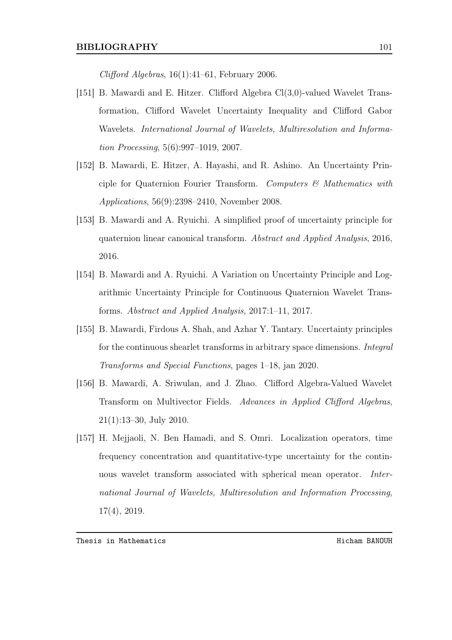$Clifford$  Algebras, 16(1):41–61, February 2006.

- [151] B. Mawardi and E. Hitzer. Clifford Algebra Cl(3,0)-valued Wavelet Transformation, Clifford Wavelet Uncertainty Inequality and Clifford Gabor Wavelets. International Journal of Wavelets, Multiresolution and Information Processing, 5(6):997–1019, 2007.
- [152] B. Mawardi, E. Hitzer, A. Hayashi, and R. Ashino. An Uncertainty Principle for Quaternion Fourier Transform. Computers  $\mathcal C$  Mathematics with Applications, 56(9):2398–2410, November 2008.
- [153] B. Mawardi and A. Ryuichi. A simplified proof of uncertainty principle for quaternion linear canonical transform. Abstract and Applied Analysis, 2016, 2016.
- [154] B. Mawardi and A. Ryuichi. A Variation on Uncertainty Principle and Logarithmic Uncertainty Principle for Continuous Quaternion Wavelet Transforms. Abstract and Applied Analysis, 2017:1–11, 2017.
- [155] B. Mawardi, Firdous A. Shah, and Azhar Y. Tantary. Uncertainty principles for the continuous shearlet transforms in arbitrary space dimensions. *Integral* Transforms and Special Functions, pages 1–18, jan 2020.
- [156] B. Mawardi, A. Sriwulan, and J. Zhao. Clifford Algebra-Valued Wavelet Transform on Multivector Fields. Advances in Applied Clifford Algebras, 21(1):13–30, July 2010.
- [157] H. Mejjaoli, N. Ben Hamadi, and S. Omri. Localization operators, time frequency concentration and quantitative-type uncertainty for the continuous wavelet transform associated with spherical mean operator. International Journal of Wavelets, Multiresolution and Information Processing, 17(4), 2019.

Thesis in Mathematics **Hicham BANOUH**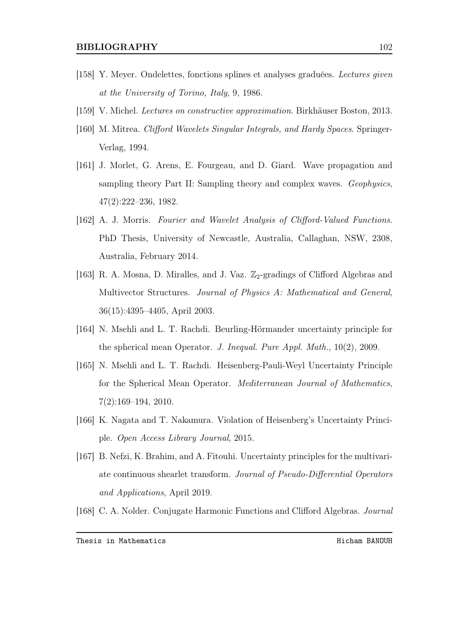- [158] Y. Meyer. Ondelettes, fonctions splines et analyses graduées. Lectures given at the University of Torino, Italy, 9, 1986.
- [159] V. Michel. Lectures on constructive approximation. Birkhäuser Boston, 2013.
- [160] M. Mitrea. Clifford Wavelets Singular Integrals, and Hardy Spaces. Springer-Verlag, 1994.
- [161] J. Morlet, G. Arens, E. Fourgeau, and D. Giard. Wave propagation and sampling theory Part II: Sampling theory and complex waves. Geophysics, 47(2):222–236, 1982.
- [162] A. J. Morris. Fourier and Wavelet Analysis of Clifford-Valued Functions. PhD Thesis, University of Newcastle, Australia, Callaghan, NSW, 2308, Australia, February 2014.
- [163] R. A. Mosna, D. Miralles, and J. Vaz.  $\mathbb{Z}_2$ -gradings of Clifford Algebras and Multivector Structures. Journal of Physics A: Mathematical and General, 36(15):4395–4405, April 2003.
- [164] N. Msehli and L. T. Rachdi. Beurling-Hörmander uncertainty principle for the spherical mean Operator. J. Inequal. Pure Appl. Math., 10(2), 2009.
- [165] N. Msehli and L. T. Rachdi. Heisenberg-Pauli-Weyl Uncertainty Principle for the Spherical Mean Operator. Mediterranean Journal of Mathematics, 7(2):169–194, 2010.
- [166] K. Nagata and T. Nakamura. Violation of Heisenberg's Uncertainty Principle. Open Access Library Journal, 2015.
- [167] B. Nefzi, K. Brahim, and A. Fitouhi. Uncertainty principles for the multivariate continuous shearlet transform. Journal of Pseudo-Differential Operators and Applications, April 2019.
- [168] C. A. Nolder. Conjugate Harmonic Functions and Clifford Algebras. Journal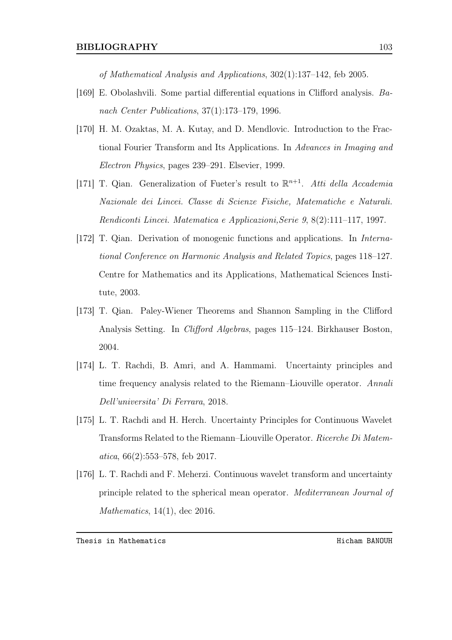of Mathematical Analysis and Applications, 302(1):137–142, feb 2005.

- [169] E. Obolashvili. Some partial differential equations in Clifford analysis. Banach Center Publications, 37(1):173–179, 1996.
- [170] H. M. Ozaktas, M. A. Kutay, and D. Mendlovic. Introduction to the Fractional Fourier Transform and Its Applications. In Advances in Imaging and Electron Physics, pages 239–291. Elsevier, 1999.
- [171] T. Qian. Generalization of Fueter's result to  $\mathbb{R}^{n+1}$ . Atti della Accademia Nazionale dei Lincei. Classe di Scienze Fisiche, Matematiche e Naturali. Rendiconti Lincei. Matematica e Applicazioni,Serie 9, 8(2):111–117, 1997.
- [172] T. Qian. Derivation of monogenic functions and applications. In International Conference on Harmonic Analysis and Related Topics, pages 118–127. Centre for Mathematics and its Applications, Mathematical Sciences Institute, 2003.
- [173] T. Qian. Paley-Wiener Theorems and Shannon Sampling in the Clifford Analysis Setting. In Clifford Algebras, pages 115–124. Birkhauser Boston, 2004.
- [174] L. T. Rachdi, B. Amri, and A. Hammami. Uncertainty principles and time frequency analysis related to the Riemann–Liouville operator. Annali Dell'universita' Di Ferrara, 2018.
- [175] L. T. Rachdi and H. Herch. Uncertainty Principles for Continuous Wavelet Transforms Related to the Riemann–Liouville Operator. Ricerche Di Matematica, 66(2):553–578, feb 2017.
- [176] L. T. Rachdi and F. Meherzi. Continuous wavelet transform and uncertainty principle related to the spherical mean operator. Mediterranean Journal of Mathematics,  $14(1)$ , dec 2016.

Thesis in Mathematics **Hicham BANOUH**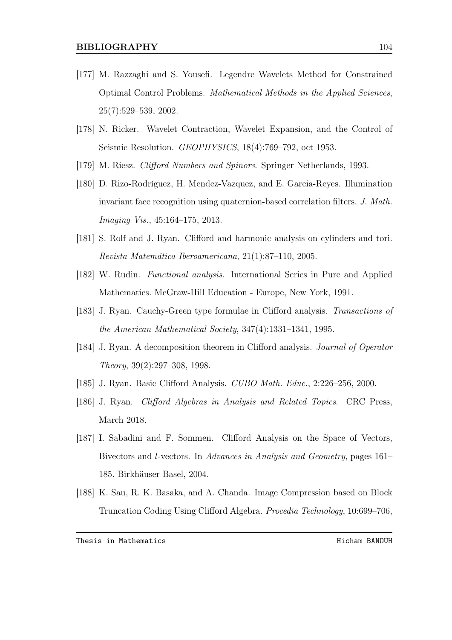- [177] M. Razzaghi and S. Yousefi. Legendre Wavelets Method for Constrained Optimal Control Problems. Mathematical Methods in the Applied Sciences, 25(7):529–539, 2002.
- [178] N. Ricker. Wavelet Contraction, Wavelet Expansion, and the Control of Seismic Resolution. *GEOPHYSICS*, 18(4):769–792, oct 1953.
- [179] M. Riesz. Clifford Numbers and Spinors. Springer Netherlands, 1993.
- [180] D. Rizo-Rodríguez, H. Mendez-Vazquez, and E. Garcia-Reyes. Illumination invariant face recognition using quaternion-based correlation filters. J. Math. Imaging Vis., 45:164–175, 2013.
- [181] S. Rolf and J. Ryan. Clifford and harmonic analysis on cylinders and tori. Revista Matemática Iberoamericana, 21(1):87–110, 2005.
- [182] W. Rudin. Functional analysis. International Series in Pure and Applied Mathematics. McGraw-Hill Education - Europe, New York, 1991.
- [183] J. Ryan. Cauchy-Green type formulae in Clifford analysis. Transactions of the American Mathematical Society, 347(4):1331–1341, 1995.
- [184] J. Ryan. A decomposition theorem in Clifford analysis. Journal of Operator Theory, 39(2):297–308, 1998.
- [185] J. Ryan. Basic Clifford Analysis. CUBO Math. Educ., 2:226–256, 2000.
- [186] J. Ryan. Clifford Algebras in Analysis and Related Topics. CRC Press, March 2018.
- [187] I. Sabadini and F. Sommen. Clifford Analysis on the Space of Vectors, Bivectors and l-vectors. In Advances in Analysis and Geometry, pages 161– 185. Birkhäuser Basel, 2004.
- [188] K. Sau, R. K. Basaka, and A. Chanda. Image Compression based on Block Truncation Coding Using Clifford Algebra. Procedia Technology, 10:699–706,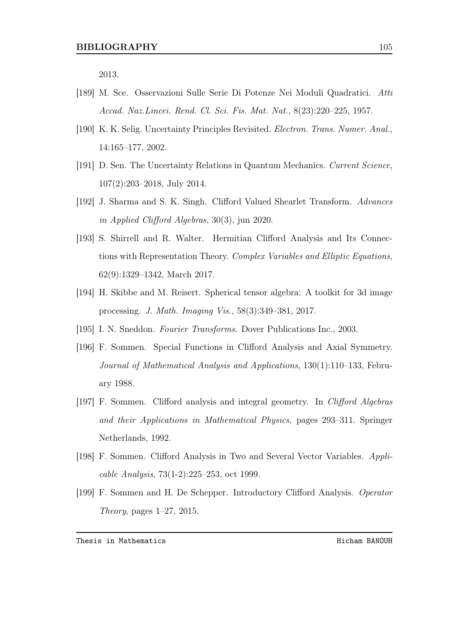2013.

- [189] M. Sce. Osservazioni Sulle Serie Di Potenze Nei Moduli Quadratici. Atti Accad. Naz.Lincei. Rend. Cl. Sci. Fis. Mat. Nat., 8(23):220–225, 1957.
- [190] K. K. Selig. Uncertainty Principles Revisited. Electron. Trans. Numer. Anal., 14:165–177, 2002.
- [191] D. Sen. The Uncertainty Relations in Quantum Mechanics. Current Science, 107(2):203–2018, July 2014.
- [192] J. Sharma and S. K. Singh. Clifford Valued Shearlet Transform. Advances in Applied Clifford Algebras, 30(3), jun 2020.
- [193] S. Shirrell and R. Walter. Hermitian Clifford Analysis and Its Connections with Representation Theory. Complex Variables and Elliptic Equations, 62(9):1329–1342, March 2017.
- [194] H. Skibbe and M. Reisert. Spherical tensor algebra: A toolkit for 3d image processing. J. Math. Imaging Vis., 58(3):349–381, 2017.
- [195] I. N. Sneddon. Fourier Transforms. Dover Publications Inc., 2003.
- [196] F. Sommen. Special Functions in Clifford Analysis and Axial Symmetry. Journal of Mathematical Analysis and Applications, 130(1):110–133, February 1988.
- [197] F. Sommen. Clifford analysis and integral geometry. In Clifford Algebras and their Applications in Mathematical Physics, pages 293–311. Springer Netherlands, 1992.
- [198] F. Sommen. Clifford Analysis in Two and Several Vector Variables. Applicable Analysis, 73(1-2):225–253, oct 1999.
- [199] F. Sommen and H. De Schepper. Introductory Clifford Analysis. Operator Theory, pages  $1-27$ ,  $2015$ .

Thesis in Mathematics **Hicham BANOUH**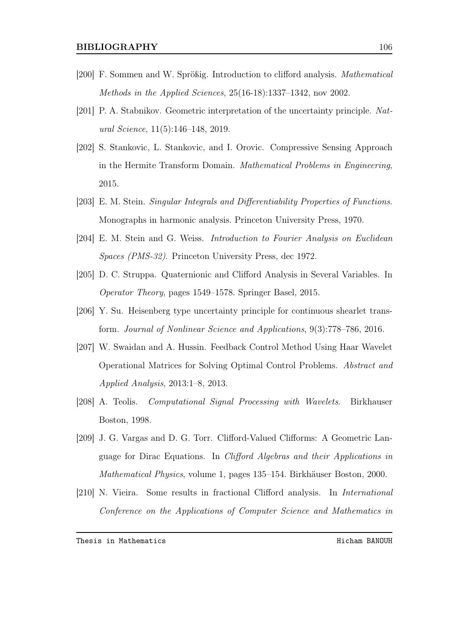- [200] F. Sommen and W. Sprößig. Introduction to clifford analysis. Mathematical Methods in the Applied Sciences, 25(16-18):1337–1342, nov 2002.
- [201] P. A. Stabnikov. Geometric interpretation of the uncertainty principle. Natural Science, 11(5):146–148, 2019.
- [202] S. Stankovic, L. Stankovic, and I. Orovic. Compressive Sensing Approach in the Hermite Transform Domain. Mathematical Problems in Engineering, 2015.
- [203] E. M. Stein. Singular Integrals and Differentiability Properties of Functions. Monographs in harmonic analysis. Princeton University Press, 1970.
- [204] E. M. Stein and G. Weiss. Introduction to Fourier Analysis on Euclidean Spaces (PMS-32). Princeton University Press, dec 1972.
- [205] D. C. Struppa. Quaternionic and Clifford Analysis in Several Variables. In Operator Theory, pages 1549–1578. Springer Basel, 2015.
- [206] Y. Su. Heisenberg type uncertainty principle for continuous shearlet transform. Journal of Nonlinear Science and Applications, 9(3):778–786, 2016.
- [207] W. Swaidan and A. Hussin. Feedback Control Method Using Haar Wavelet Operational Matrices for Solving Optimal Control Problems. Abstract and Applied Analysis, 2013:1–8, 2013.
- [208] A. Teolis. Computational Signal Processing with Wavelets. Birkhauser Boston, 1998.
- [209] J. G. Vargas and D. G. Torr. Clifford-Valued Clifforms: A Geometric Language for Dirac Equations. In Clifford Algebras and their Applications in Mathematical Physics, volume 1, pages 135–154. Birkhäuser Boston, 2000.
- [210] N. Vieira. Some results in fractional Clifford analysis. In International Conference on the Applications of Computer Science and Mathematics in